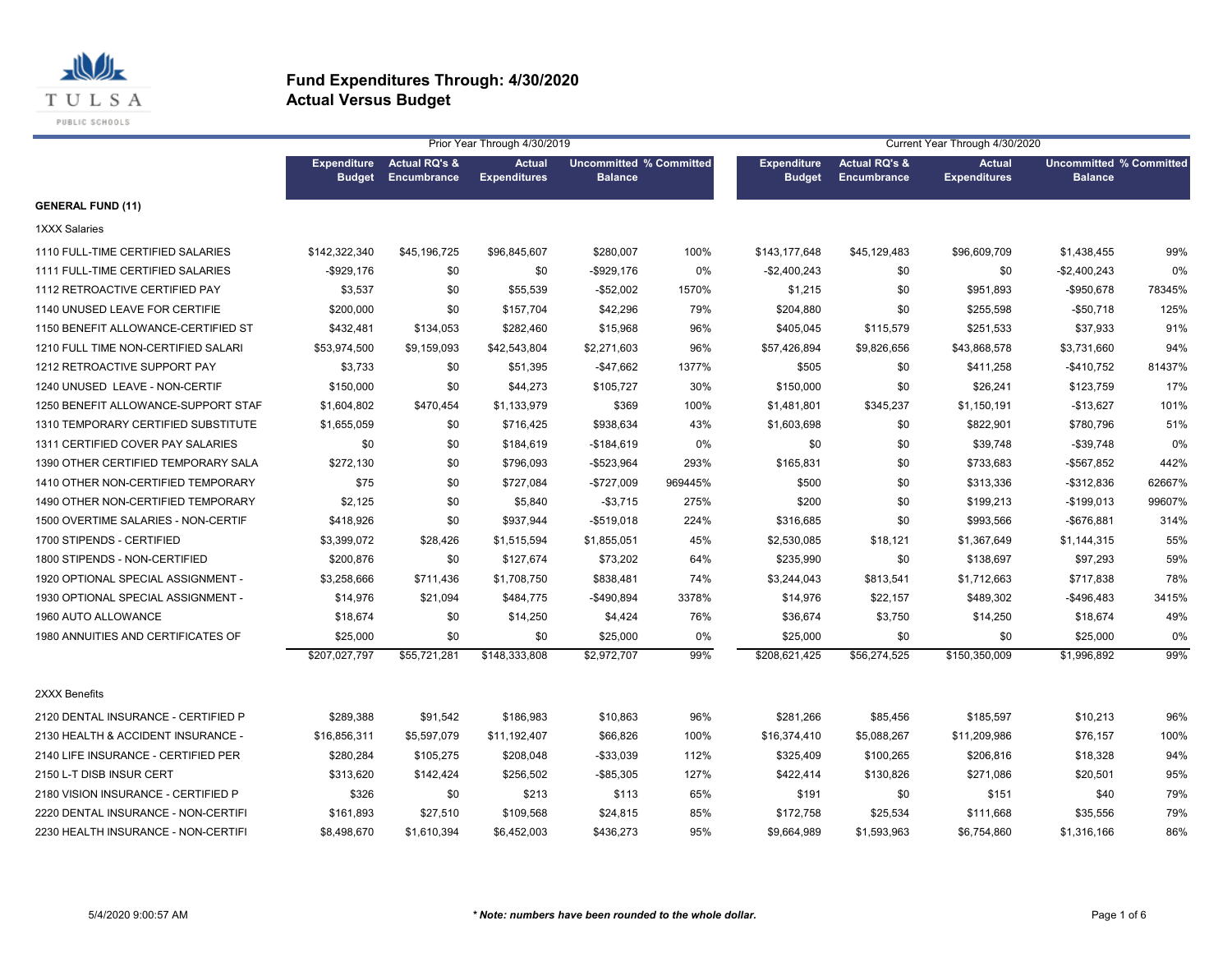

|                                     |                                     |                                         | Prior Year Through 4/30/2019         |                                                  |         |                                     |                                                | Current Year Through 4/30/2020       |                                                  |        |
|-------------------------------------|-------------------------------------|-----------------------------------------|--------------------------------------|--------------------------------------------------|---------|-------------------------------------|------------------------------------------------|--------------------------------------|--------------------------------------------------|--------|
|                                     | <b>Expenditure</b><br><b>Budget</b> | <b>Actual RQ's &amp;</b><br>Encumbrance | <b>Actual</b><br><b>Expenditures</b> | <b>Uncommitted % Committed</b><br><b>Balance</b> |         | <b>Expenditure</b><br><b>Budget</b> | <b>Actual RQ's &amp;</b><br><b>Encumbrance</b> | <b>Actual</b><br><b>Expenditures</b> | <b>Uncommitted % Committed</b><br><b>Balance</b> |        |
| <b>GENERAL FUND (11)</b>            |                                     |                                         |                                      |                                                  |         |                                     |                                                |                                      |                                                  |        |
| <b>1XXX Salaries</b>                |                                     |                                         |                                      |                                                  |         |                                     |                                                |                                      |                                                  |        |
| 1110 FULL-TIME CERTIFIED SALARIES   | \$142,322,340                       | \$45,196,725                            | \$96,845,607                         | \$280,007                                        | 100%    | \$143,177,648                       | \$45,129,483                                   | \$96,609,709                         | \$1,438,455                                      | 99%    |
| 1111 FULL-TIME CERTIFIED SALARIES   | $-$ \$929,176                       | \$0                                     | \$0                                  | -\$929,176                                       | 0%      | $-$2,400,243$                       | \$0                                            | \$0                                  | -\$2,400,243                                     | 0%     |
| 1112 RETROACTIVE CERTIFIED PAY      | \$3,537                             | \$0                                     | \$55,539                             | $-$52,002$                                       | 1570%   | \$1,215                             | \$0                                            | \$951,893                            | $-$950,678$                                      | 78345% |
| 1140 UNUSED LEAVE FOR CERTIFIE      | \$200,000                           | \$0                                     | \$157,704                            | \$42,296                                         | 79%     | \$204,880                           | \$0                                            | \$255,598                            | $-$50,718$                                       | 125%   |
| 1150 BENEFIT ALLOWANCE-CERTIFIED ST | \$432,481                           | \$134,053                               | \$282,460                            | \$15,968                                         | 96%     | \$405,045                           | \$115,579                                      | \$251,533                            | \$37,933                                         | 91%    |
| 1210 FULL TIME NON-CERTIFIED SALARI | \$53,974,500                        | \$9,159,093                             | \$42,543,804                         | \$2,271,603                                      | 96%     | \$57,426,894                        | \$9,826,656                                    | \$43,868,578                         | \$3,731,660                                      | 94%    |
| 1212 RETROACTIVE SUPPORT PAY        | \$3,733                             | \$0                                     | \$51,395                             | $-$ \$47,662                                     | 1377%   | \$505                               | \$0                                            | \$411,258                            | $-$410,752$                                      | 81437% |
| 1240 UNUSED LEAVE - NON-CERTIF      | \$150,000                           | \$0                                     | \$44,273                             | \$105,727                                        | 30%     | \$150,000                           | \$0                                            | \$26,241                             | \$123,759                                        | 17%    |
| 1250 BENEFIT ALLOWANCE-SUPPORT STAF | \$1,604,802                         | \$470,454                               | \$1,133,979                          | \$369                                            | 100%    | \$1,481,801                         | \$345,237                                      | \$1,150,191                          | $-$13,627$                                       | 101%   |
| 1310 TEMPORARY CERTIFIED SUBSTITUTE | \$1,655,059                         | \$0                                     | \$716,425                            | \$938,634                                        | 43%     | \$1,603,698                         | \$0                                            | \$822,901                            | \$780,796                                        | 51%    |
| 1311 CERTIFIED COVER PAY SALARIES   | \$0                                 | \$0                                     | \$184,619                            | $-$184,619$                                      | 0%      | \$0                                 | \$0                                            | \$39,748                             | $-$39,748$                                       | 0%     |
| 1390 OTHER CERTIFIED TEMPORARY SALA | \$272,130                           | \$0                                     | \$796,093                            | -\$523,964                                       | 293%    | \$165,831                           | \$0                                            | \$733,683                            | -\$567,852                                       | 442%   |
| 1410 OTHER NON-CERTIFIED TEMPORARY  | \$75                                | \$0                                     | \$727,084                            | -\$727,009                                       | 969445% | \$500                               | \$0                                            | \$313,336                            | $-$312,836$                                      | 62667% |
| 1490 OTHER NON-CERTIFIED TEMPORARY  | \$2,125                             | \$0                                     | \$5,840                              | $-$3,715$                                        | 275%    | \$200                               | \$0                                            | \$199,213                            | $-$199,013$                                      | 99607% |
| 1500 OVERTIME SALARIES - NON-CERTIF | \$418,926                           | \$0                                     | \$937,944                            | $-$519,018$                                      | 224%    | \$316,685                           | \$0                                            | \$993,566                            | -\$676,881                                       | 314%   |
| 1700 STIPENDS - CERTIFIED           | \$3,399,072                         | \$28,426                                | \$1,515,594                          | \$1,855,051                                      | 45%     | \$2,530,085                         | \$18,121                                       | \$1,367,649                          | \$1,144,315                                      | 55%    |
| 1800 STIPENDS - NON-CERTIFIED       | \$200,876                           | \$0                                     | \$127,674                            | \$73,202                                         | 64%     | \$235,990                           | \$0                                            | \$138,697                            | \$97,293                                         | 59%    |
| 1920 OPTIONAL SPECIAL ASSIGNMENT -  | \$3,258,666                         | \$711,436                               | \$1,708,750                          | \$838,481                                        | 74%     | \$3,244,043                         | \$813,541                                      | \$1,712,663                          | \$717,838                                        | 78%    |
| 1930 OPTIONAL SPECIAL ASSIGNMENT -  | \$14,976                            | \$21,094                                | \$484,775                            | -\$490,894                                       | 3378%   | \$14,976                            | \$22,157                                       | \$489,302                            | -\$496,483                                       | 3415%  |
| 1960 AUTO ALLOWANCE                 | \$18,674                            | \$0                                     | \$14,250                             | \$4,424                                          | 76%     | \$36,674                            | \$3,750                                        | \$14,250                             | \$18,674                                         | 49%    |
| 1980 ANNUITIES AND CERTIFICATES OF  | \$25,000                            | \$0                                     | \$0                                  | \$25,000                                         | 0%      | \$25,000                            | \$0                                            | \$0                                  | \$25,000                                         | 0%     |
|                                     | \$207,027,797                       | \$55,721,281                            | \$148.333.808                        | \$2,972,707                                      | 99%     | \$208,621,425                       | \$56,274,525                                   | \$150,350,009                        | \$1,996.892                                      | 99%    |
| 2XXX Benefits                       |                                     |                                         |                                      |                                                  |         |                                     |                                                |                                      |                                                  |        |
| 2120 DENTAL INSURANCE - CERTIFIED P | \$289,388                           | \$91,542                                | \$186,983                            | \$10,863                                         | 96%     | \$281,266                           | \$85,456                                       | \$185,597                            | \$10,213                                         | 96%    |
| 2130 HEALTH & ACCIDENT INSURANCE -  | \$16,856,311                        | \$5,597,079                             | \$11,192,407                         | \$66,826                                         | 100%    | \$16,374,410                        | \$5,088,267                                    | \$11,209,986                         | \$76,157                                         | 100%   |
| 2140 LIFE INSURANCE - CERTIFIED PER | \$280,284                           | \$105,275                               | \$208,048                            | $-$ \$33,039                                     | 112%    | \$325,409                           | \$100,265                                      | \$206,816                            | \$18,328                                         | 94%    |
| 2150 L-T DISB INSUR CERT            | \$313,620                           | \$142,424                               | \$256,502                            | $-$ \$85,305                                     | 127%    | \$422,414                           | \$130,826                                      | \$271,086                            | \$20,501                                         | 95%    |
| 2180 VISION INSURANCE - CERTIFIED P | \$326                               | \$0                                     | \$213                                | \$113                                            | 65%     | \$191                               | \$0                                            | \$151                                | \$40                                             | 79%    |
| 2220 DENTAL INSURANCE - NON-CERTIFI | \$161,893                           | \$27,510                                | \$109,568                            | \$24,815                                         | 85%     | \$172,758                           | \$25,534                                       | \$111,668                            | \$35,556                                         | 79%    |
| 2230 HEALTH INSURANCE - NON-CERTIFI | \$8,498,670                         | \$1,610,394                             | \$6,452,003                          | \$436,273                                        | 95%     | \$9,664,989                         | \$1,593,963                                    | \$6,754,860                          | \$1,316,166                                      | 86%    |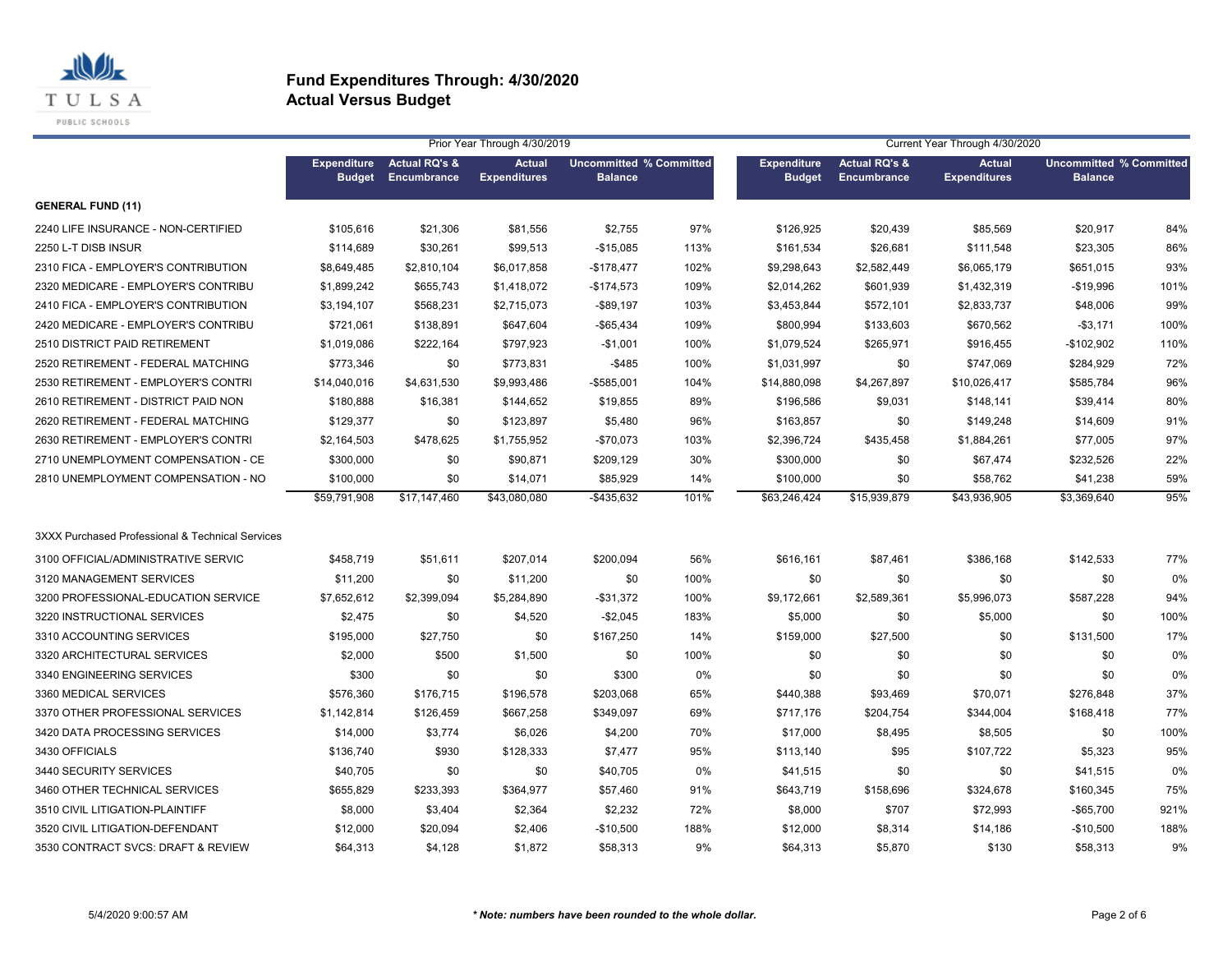

|                                                  |                                     |                                                | Prior Year Through 4/30/2019         |                                                  |      |                                     |                                         | Current Year Through 4/30/2020       |                                                  |      |
|--------------------------------------------------|-------------------------------------|------------------------------------------------|--------------------------------------|--------------------------------------------------|------|-------------------------------------|-----------------------------------------|--------------------------------------|--------------------------------------------------|------|
|                                                  | <b>Expenditure</b><br><b>Budget</b> | <b>Actual RQ's &amp;</b><br><b>Encumbrance</b> | <b>Actual</b><br><b>Expenditures</b> | <b>Uncommitted % Committed</b><br><b>Balance</b> |      | <b>Expenditure</b><br><b>Budget</b> | <b>Actual RQ's &amp;</b><br>Encumbrance | <b>Actual</b><br><b>Expenditures</b> | <b>Uncommitted % Committed</b><br><b>Balance</b> |      |
| <b>GENERAL FUND (11)</b>                         |                                     |                                                |                                      |                                                  |      |                                     |                                         |                                      |                                                  |      |
| 2240 LIFE INSURANCE - NON-CERTIFIED              | \$105,616                           | \$21,306                                       | \$81,556                             | \$2,755                                          | 97%  | \$126,925                           | \$20,439                                | \$85,569                             | \$20,917                                         | 84%  |
| 2250 L-T DISB INSUR                              | \$114,689                           | \$30,261                                       | \$99,513                             | $-$15,085$                                       | 113% | \$161,534                           | \$26,681                                | \$111,548                            | \$23,305                                         | 86%  |
| 2310 FICA - EMPLOYER'S CONTRIBUTION              | \$8,649,485                         | \$2,810,104                                    | \$6,017,858                          | $-$178,477$                                      | 102% | \$9,298,643                         | \$2,582,449                             | \$6,065,179                          | \$651,015                                        | 93%  |
| 2320 MEDICARE - EMPLOYER'S CONTRIBU              | \$1,899,242                         | \$655,743                                      | \$1,418,072                          | $-$174,573$                                      | 109% | \$2,014,262                         | \$601,939                               | \$1,432,319                          | $-$19,996$                                       | 101% |
| 2410 FICA - EMPLOYER'S CONTRIBUTION              | \$3,194,107                         | \$568,231                                      | \$2,715,073                          | -\$89,197                                        | 103% | \$3,453,844                         | \$572,101                               | \$2,833,737                          | \$48,006                                         | 99%  |
| 2420 MEDICARE - EMPLOYER'S CONTRIBU              | \$721,061                           | \$138,891                                      | \$647,604                            | $-$65,434$                                       | 109% | \$800,994                           | \$133,603                               | \$670,562                            | $- $3,171$                                       | 100% |
| 2510 DISTRICT PAID RETIREMENT                    | \$1.019.086                         | \$222,164                                      | \$797,923                            | $-$1,001$                                        | 100% | \$1,079,524                         | \$265,971                               | \$916,455                            | $-$102,902$                                      | 110% |
| 2520 RETIREMENT - FEDERAL MATCHING               | \$773,346                           | \$0                                            | \$773,831                            | $-$485$                                          | 100% | \$1,031,997                         | \$0                                     | \$747,069                            | \$284,929                                        | 72%  |
| 2530 RETIREMENT - EMPLOYER'S CONTRI              | \$14,040,016                        | \$4,631,530                                    | \$9,993,486                          | -\$585,001                                       | 104% | \$14,880,098                        | \$4,267,897                             | \$10,026,417                         | \$585,784                                        | 96%  |
| 2610 RETIREMENT - DISTRICT PAID NON              | \$180,888                           | \$16,381                                       | \$144,652                            | \$19,855                                         | 89%  | \$196,586                           | \$9,031                                 | \$148,141                            | \$39,414                                         | 80%  |
| 2620 RETIREMENT - FEDERAL MATCHING               | \$129,377                           | \$0                                            | \$123,897                            | \$5,480                                          | 96%  | \$163,857                           | \$0                                     | \$149,248                            | \$14,609                                         | 91%  |
| 2630 RETIREMENT - EMPLOYER'S CONTRI              | \$2,164,503                         | \$478,625                                      | \$1,755,952                          | -\$70,073                                        | 103% | \$2,396,724                         | \$435,458                               | \$1,884,261                          | \$77,005                                         | 97%  |
| 2710 UNEMPLOYMENT COMPENSATION - CE              | \$300,000                           | \$0                                            | \$90,871                             | \$209,129                                        | 30%  | \$300,000                           | \$0                                     | \$67,474                             | \$232,526                                        | 22%  |
| 2810 UNEMPLOYMENT COMPENSATION - NO              | \$100,000                           | \$0                                            | \$14,071                             | \$85,929                                         | 14%  | \$100,000                           | \$0                                     | \$58,762                             | \$41,238                                         | 59%  |
|                                                  | \$59,791,908                        | \$17.147.460                                   | \$43,080,080                         | $-$435,632$                                      | 101% | \$63,246,424                        | \$15,939,879                            | \$43,936,905                         | \$3,369,640                                      | 95%  |
| 3XXX Purchased Professional & Technical Services |                                     |                                                |                                      |                                                  |      |                                     |                                         |                                      |                                                  |      |
| 3100 OFFICIAL/ADMINISTRATIVE SERVIC              | \$458,719                           | \$51,611                                       | \$207,014                            | \$200,094                                        | 56%  | \$616,161                           | \$87,461                                | \$386,168                            | \$142,533                                        | 77%  |
| 3120 MANAGEMENT SERVICES                         | \$11,200                            | \$0                                            | \$11,200                             | \$0                                              | 100% | \$0                                 | \$0                                     | \$0                                  | \$0                                              | 0%   |
| 3200 PROFESSIONAL-EDUCATION SERVICE              | \$7,652,612                         | \$2,399,094                                    | \$5,284,890                          | -\$31,372                                        | 100% | \$9,172,661                         | \$2,589,361                             | \$5,996,073                          | \$587,228                                        | 94%  |
| 3220 INSTRUCTIONAL SERVICES                      | \$2,475                             | \$0                                            | \$4,520                              | $-$2,045$                                        | 183% | \$5,000                             | \$0                                     | \$5,000                              | \$0                                              | 100% |
| 3310 ACCOUNTING SERVICES                         | \$195,000                           | \$27,750                                       | \$0                                  | \$167,250                                        | 14%  | \$159,000                           | \$27,500                                | \$0                                  | \$131,500                                        | 17%  |
| 3320 ARCHITECTURAL SERVICES                      | \$2,000                             | \$500                                          | \$1,500                              | \$0                                              | 100% | \$0                                 | \$0                                     | \$0                                  | \$0                                              | 0%   |
| 3340 ENGINEERING SERVICES                        | \$300                               | \$0                                            | \$0                                  | \$300                                            | 0%   | \$0                                 | \$0                                     | \$0                                  | \$0                                              | 0%   |
| 3360 MEDICAL SERVICES                            | \$576,360                           | \$176,715                                      | \$196,578                            | \$203,068                                        | 65%  | \$440,388                           | \$93,469                                | \$70,071                             | \$276,848                                        | 37%  |
| 3370 OTHER PROFESSIONAL SERVICES                 | \$1,142,814                         | \$126,459                                      | \$667,258                            | \$349,097                                        | 69%  | \$717,176                           | \$204,754                               | \$344,004                            | \$168,418                                        | 77%  |
| 3420 DATA PROCESSING SERVICES                    | \$14,000                            | \$3,774                                        | \$6,026                              | \$4,200                                          | 70%  | \$17,000                            | \$8,495                                 | \$8,505                              | \$0                                              | 100% |
| 3430 OFFICIALS                                   | \$136,740                           | \$930                                          | \$128,333                            | \$7,477                                          | 95%  | \$113,140                           | \$95                                    | \$107,722                            | \$5,323                                          | 95%  |
| 3440 SECURITY SERVICES                           | \$40,705                            | \$0                                            | \$0                                  | \$40,705                                         | 0%   | \$41,515                            | \$0                                     | \$0                                  | \$41,515                                         | 0%   |
| 3460 OTHER TECHNICAL SERVICES                    | \$655,829                           | \$233,393                                      | \$364,977                            | \$57,460                                         | 91%  | \$643,719                           | \$158,696                               | \$324,678                            | \$160,345                                        | 75%  |
| 3510 CIVIL LITIGATION-PLAINTIFF                  | \$8,000                             | \$3,404                                        | \$2,364                              | \$2,232                                          | 72%  | \$8,000                             | \$707                                   | \$72,993                             | $-$65,700$                                       | 921% |
| 3520 CIVIL LITIGATION-DEFENDANT                  | \$12,000                            | \$20,094                                       | \$2,406                              | $-$10,500$                                       | 188% | \$12,000                            | \$8,314                                 | \$14,186                             | $-$10,500$                                       | 188% |
| 3530 CONTRACT SVCS: DRAFT & REVIEW               | \$64,313                            | \$4,128                                        | \$1,872                              | \$58,313                                         | 9%   | \$64,313                            | \$5,870                                 | \$130                                | \$58,313                                         | 9%   |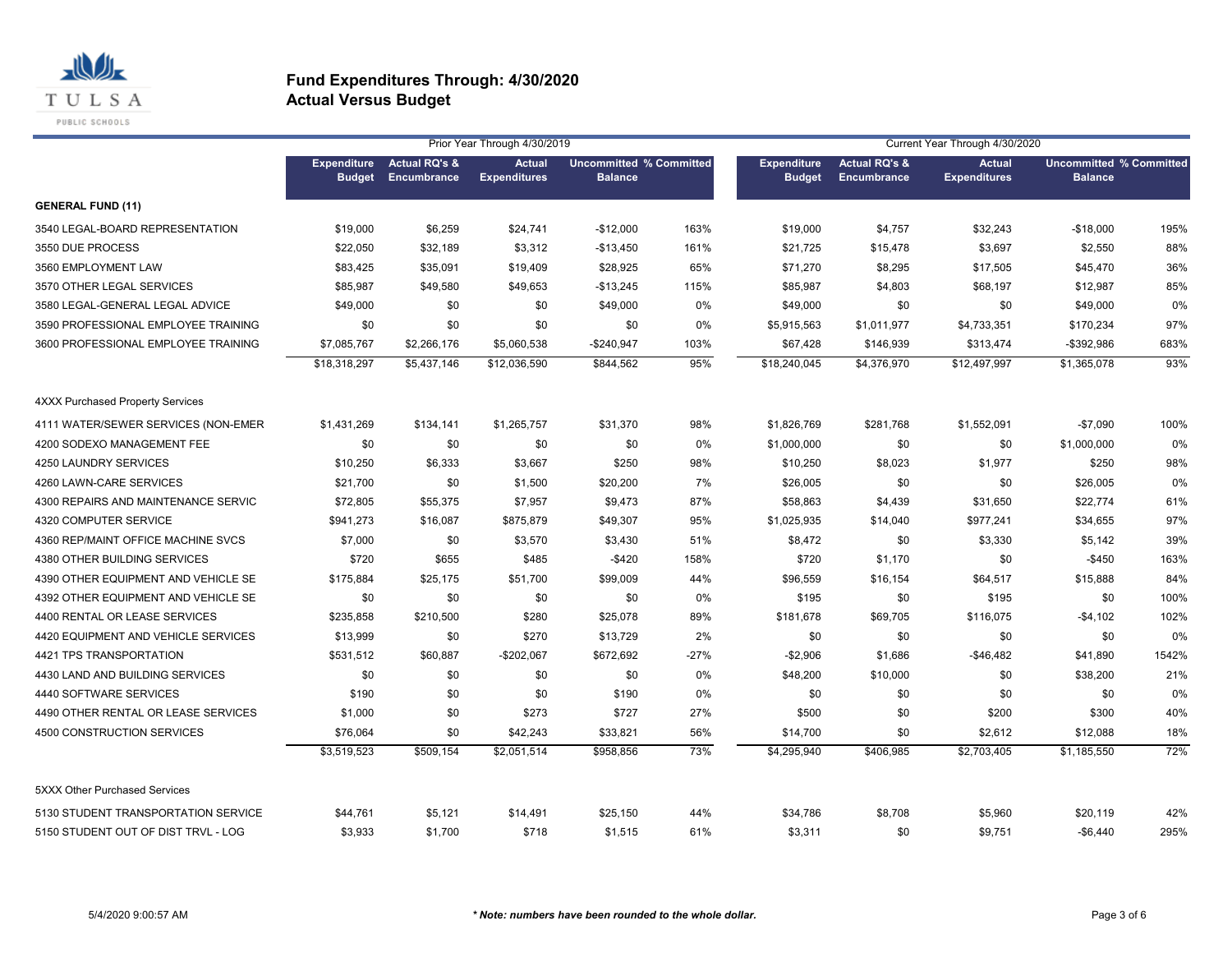

|                                         |                                     |                                         | Prior Year Through 4/30/2019         |                                                  |        |                                     |                                         | Current Year Through 4/30/2020       |                                                  |       |
|-----------------------------------------|-------------------------------------|-----------------------------------------|--------------------------------------|--------------------------------------------------|--------|-------------------------------------|-----------------------------------------|--------------------------------------|--------------------------------------------------|-------|
|                                         | <b>Expenditure</b><br><b>Budget</b> | <b>Actual RQ's &amp;</b><br>Encumbrance | <b>Actual</b><br><b>Expenditures</b> | <b>Uncommitted % Committed</b><br><b>Balance</b> |        | <b>Expenditure</b><br><b>Budget</b> | <b>Actual RQ's &amp;</b><br>Encumbrance | <b>Actual</b><br><b>Expenditures</b> | <b>Uncommitted % Committed</b><br><b>Balance</b> |       |
| <b>GENERAL FUND (11)</b>                |                                     |                                         |                                      |                                                  |        |                                     |                                         |                                      |                                                  |       |
| 3540 LEGAL-BOARD REPRESENTATION         | \$19,000                            | \$6,259                                 | \$24,741                             | $-$12,000$                                       | 163%   | \$19,000                            | \$4,757                                 | \$32,243                             | $-$18,000$                                       | 195%  |
| 3550 DUE PROCESS                        | \$22,050                            | \$32,189                                | \$3,312                              | $-$13,450$                                       | 161%   | \$21,725                            | \$15,478                                | \$3,697                              | \$2,550                                          | 88%   |
| 3560 EMPLOYMENT LAW                     | \$83,425                            | \$35,091                                | \$19,409                             | \$28,925                                         | 65%    | \$71,270                            | \$8,295                                 | \$17,505                             | \$45,470                                         | 36%   |
| 3570 OTHER LEGAL SERVICES               | \$85,987                            | \$49,580                                | \$49,653                             | $-$13,245$                                       | 115%   | \$85,987                            | \$4,803                                 | \$68,197                             | \$12,987                                         | 85%   |
| 3580 LEGAL-GENERAL LEGAL ADVICE         | \$49,000                            | \$0                                     | \$0                                  | \$49,000                                         | 0%     | \$49,000                            | \$0                                     | \$0                                  | \$49,000                                         | 0%    |
| 3590 PROFESSIONAL EMPLOYEE TRAINING     | \$0                                 | \$0                                     | \$0                                  | \$0                                              | 0%     | \$5,915,563                         | \$1,011,977                             | \$4,733,351                          | \$170,234                                        | 97%   |
| 3600 PROFESSIONAL EMPLOYEE TRAINING     | \$7,085,767                         | \$2,266,176                             | \$5,060,538                          | -\$240,947                                       | 103%   | \$67,428                            | \$146,939                               | \$313,474                            | -\$392,986                                       | 683%  |
|                                         | \$18,318,297                        | \$5,437,146                             | \$12,036,590                         | \$844,562                                        | 95%    | \$18,240,045                        | \$4,376,970                             | \$12,497,997                         | \$1,365,078                                      | 93%   |
| <b>4XXX Purchased Property Services</b> |                                     |                                         |                                      |                                                  |        |                                     |                                         |                                      |                                                  |       |
| 4111 WATER/SEWER SERVICES (NON-EMER     | \$1,431,269                         | \$134,141                               | \$1,265,757                          | \$31,370                                         | 98%    | \$1,826,769                         | \$281,768                               | \$1,552,091                          | $-$7,090$                                        | 100%  |
| 4200 SODEXO MANAGEMENT FEE              | \$0                                 | \$0                                     | \$0                                  | \$0                                              | 0%     | \$1,000,000                         | \$0                                     | \$0                                  | \$1,000,000                                      | 0%    |
| 4250 LAUNDRY SERVICES                   | \$10,250                            | \$6,333                                 | \$3,667                              | \$250                                            | 98%    | \$10,250                            | \$8,023                                 | \$1,977                              | \$250                                            | 98%   |
| 4260 LAWN-CARE SERVICES                 | \$21,700                            | \$0                                     | \$1,500                              | \$20,200                                         | 7%     | \$26,005                            | \$0                                     | \$0                                  | \$26,005                                         | 0%    |
| 4300 REPAIRS AND MAINTENANCE SERVIC     | \$72,805                            | \$55,375                                | \$7,957                              | \$9,473                                          | 87%    | \$58,863                            | \$4,439                                 | \$31,650                             | \$22,774                                         | 61%   |
| 4320 COMPUTER SERVICE                   | \$941,273                           | \$16,087                                | \$875,879                            | \$49,307                                         | 95%    | \$1,025,935                         | \$14,040                                | \$977,241                            | \$34,655                                         | 97%   |
| 4360 REP/MAINT OFFICE MACHINE SVCS      | \$7,000                             | \$0                                     | \$3,570                              | \$3,430                                          | 51%    | \$8,472                             | \$0                                     | \$3,330                              | \$5,142                                          | 39%   |
| 4380 OTHER BUILDING SERVICES            | \$720                               | \$655                                   | \$485                                | $-$420$                                          | 158%   | \$720                               | \$1,170                                 | \$0                                  | $-$450$                                          | 163%  |
| 4390 OTHER EQUIPMENT AND VEHICLE SE     | \$175,884                           | \$25,175                                | \$51,700                             | \$99,009                                         | 44%    | \$96,559                            | \$16,154                                | \$64,517                             | \$15,888                                         | 84%   |
| 4392 OTHER EQUIPMENT AND VEHICLE SE     | \$0                                 | \$0                                     | \$0                                  | \$0                                              | 0%     | \$195                               | \$0                                     | \$195                                | \$0                                              | 100%  |
| 4400 RENTAL OR LEASE SERVICES           | \$235,858                           | \$210,500                               | \$280                                | \$25,078                                         | 89%    | \$181,678                           | \$69,705                                | \$116,075                            | $-$4,102$                                        | 102%  |
| 4420 EQUIPMENT AND VEHICLE SERVICES     | \$13,999                            | \$0                                     | \$270                                | \$13,729                                         | 2%     | \$0                                 | \$0                                     | \$0                                  | \$0                                              | 0%    |
| 4421 TPS TRANSPORTATION                 | \$531,512                           | \$60,887                                | -\$202,067                           | \$672,692                                        | $-27%$ | $-$2,906$                           | \$1,686                                 | $-$46,482$                           | \$41,890                                         | 1542% |
| 4430 LAND AND BUILDING SERVICES         | \$0                                 | \$0                                     | \$0                                  | \$0                                              | 0%     | \$48,200                            | \$10,000                                | \$0                                  | \$38,200                                         | 21%   |
| 4440 SOFTWARE SERVICES                  | \$190                               | \$0                                     | \$0                                  | \$190                                            | 0%     | \$0                                 | \$0                                     | \$0                                  | \$0                                              | 0%    |
| 4490 OTHER RENTAL OR LEASE SERVICES     | \$1,000                             | \$0                                     | \$273                                | \$727                                            | 27%    | \$500                               | \$0                                     | \$200                                | \$300                                            | 40%   |
| 4500 CONSTRUCTION SERVICES              | \$76,064                            | \$0                                     | \$42,243                             | \$33,821                                         | 56%    | \$14,700                            | \$0                                     | \$2,612                              | \$12,088                                         | 18%   |
|                                         | \$3,519,523                         | \$509,154                               | \$2,051,514                          | \$958,856                                        | 73%    | \$4,295,940                         | \$406,985                               | \$2,703,405                          | \$1,185,550                                      | 72%   |
| 5XXX Other Purchased Services           |                                     |                                         |                                      |                                                  |        |                                     |                                         |                                      |                                                  |       |
| 5130 STUDENT TRANSPORTATION SERVICE     | \$44,761                            | \$5,121                                 | \$14,491                             | \$25,150                                         | 44%    | \$34,786                            | \$8,708                                 | \$5,960                              | \$20,119                                         | 42%   |
| 5150 STUDENT OUT OF DIST TRVL - LOG     | \$3,933                             | \$1,700                                 | \$718                                | \$1,515                                          | 61%    | \$3,311                             | \$0                                     | \$9,751                              | $-$6,440$                                        | 295%  |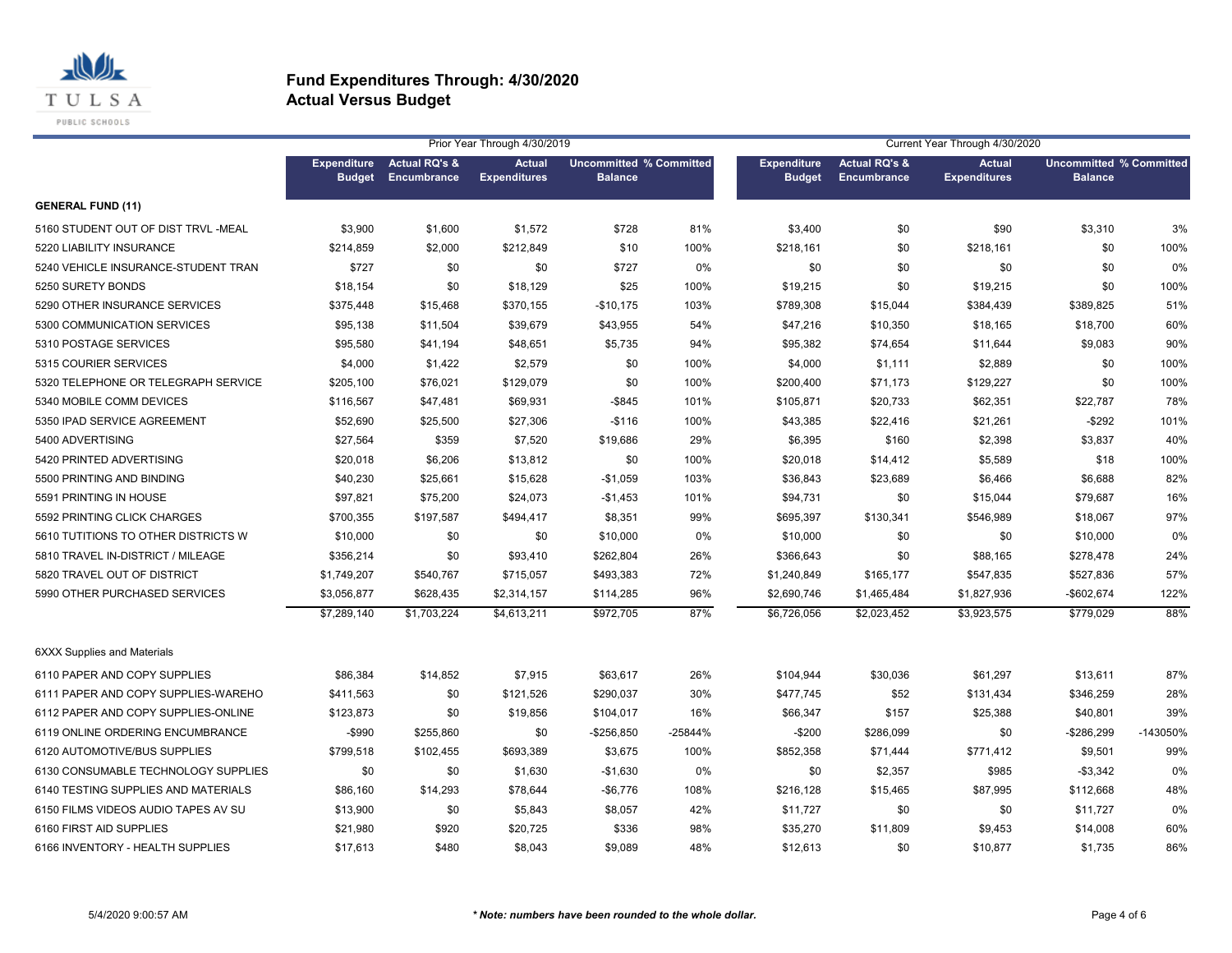

|                                     |                                     |                                         | Prior Year Through 4/30/2019         |                                                  |         |                                     |                                         | Current Year Through 4/30/2020       |                                                  |          |
|-------------------------------------|-------------------------------------|-----------------------------------------|--------------------------------------|--------------------------------------------------|---------|-------------------------------------|-----------------------------------------|--------------------------------------|--------------------------------------------------|----------|
|                                     | <b>Expenditure</b><br><b>Budget</b> | <b>Actual RQ's &amp;</b><br>Encumbrance | <b>Actual</b><br><b>Expenditures</b> | <b>Uncommitted % Committed</b><br><b>Balance</b> |         | <b>Expenditure</b><br><b>Budget</b> | <b>Actual RQ's &amp;</b><br>Encumbrance | <b>Actual</b><br><b>Expenditures</b> | <b>Uncommitted % Committed</b><br><b>Balance</b> |          |
| <b>GENERAL FUND (11)</b>            |                                     |                                         |                                      |                                                  |         |                                     |                                         |                                      |                                                  |          |
| 5160 STUDENT OUT OF DIST TRVL -MEAL | \$3,900                             | \$1,600                                 | \$1,572                              | \$728                                            | 81%     | \$3,400                             | \$0                                     | \$90                                 | \$3,310                                          | 3%       |
| 5220 LIABILITY INSURANCE            | \$214,859                           | \$2,000                                 | \$212,849                            | \$10                                             | 100%    | \$218,161                           | \$0                                     | \$218,161                            | \$0                                              | 100%     |
| 5240 VEHICLE INSURANCE-STUDENT TRAN | \$727                               | \$0                                     | \$0                                  | \$727                                            | 0%      | \$0                                 | \$0                                     | \$0                                  | \$0                                              | 0%       |
| 5250 SURETY BONDS                   | \$18,154                            | \$0                                     | \$18,129                             | \$25                                             | 100%    | \$19,215                            | \$0                                     | \$19,215                             | \$0                                              | 100%     |
| 5290 OTHER INSURANCE SERVICES       | \$375,448                           | \$15,468                                | \$370,155                            | $-$10,175$                                       | 103%    | \$789,308                           | \$15,044                                | \$384,439                            | \$389,825                                        | 51%      |
| 5300 COMMUNICATION SERVICES         | \$95,138                            | \$11,504                                | \$39,679                             | \$43,955                                         | 54%     | \$47,216                            | \$10,350                                | \$18,165                             | \$18,700                                         | 60%      |
| 5310 POSTAGE SERVICES               | \$95,580                            | \$41,194                                | \$48,651                             | \$5,735                                          | 94%     | \$95,382                            | \$74,654                                | \$11,644                             | \$9,083                                          | 90%      |
| 5315 COURIER SERVICES               | \$4,000                             | \$1,422                                 | \$2,579                              | \$0                                              | 100%    | \$4,000                             | \$1,111                                 | \$2,889                              | \$0                                              | 100%     |
| 5320 TELEPHONE OR TELEGRAPH SERVICE | \$205,100                           | \$76,021                                | \$129,079                            | \$0                                              | 100%    | \$200,400                           | \$71,173                                | \$129,227                            | \$0                                              | 100%     |
| 5340 MOBILE COMM DEVICES            | \$116,567                           | \$47,481                                | \$69,931                             | $-$ \$845                                        | 101%    | \$105,871                           | \$20,733                                | \$62,351                             | \$22,787                                         | 78%      |
| 5350 IPAD SERVICE AGREEMENT         | \$52,690                            | \$25,500                                | \$27,306                             | $-$116$                                          | 100%    | \$43,385                            | \$22,416                                | \$21,261                             | $-$ \$292                                        | 101%     |
| 5400 ADVERTISING                    | \$27,564                            | \$359                                   | \$7,520                              | \$19,686                                         | 29%     | \$6,395                             | \$160                                   | \$2,398                              | \$3,837                                          | 40%      |
| 5420 PRINTED ADVERTISING            | \$20,018                            | \$6,206                                 | \$13,812                             | \$0                                              | 100%    | \$20,018                            | \$14,412                                | \$5,589                              | \$18                                             | 100%     |
| 5500 PRINTING AND BINDING           | \$40,230                            | \$25,661                                | \$15,628                             | $-$1,059$                                        | 103%    | \$36,843                            | \$23,689                                | \$6,466                              | \$6,688                                          | 82%      |
| 5591 PRINTING IN HOUSE              | \$97,821                            | \$75,200                                | \$24,073                             | $-$1,453$                                        | 101%    | \$94,731                            | \$0                                     | \$15,044                             | \$79,687                                         | 16%      |
| 5592 PRINTING CLICK CHARGES         | \$700,355                           | \$197,587                               | \$494,417                            | \$8,351                                          | 99%     | \$695,397                           | \$130,341                               | \$546,989                            | \$18,067                                         | 97%      |
| 5610 TUTITIONS TO OTHER DISTRICTS W | \$10,000                            | \$0                                     | \$0                                  | \$10,000                                         | 0%      | \$10,000                            | \$0                                     | \$0                                  | \$10,000                                         | 0%       |
| 5810 TRAVEL IN-DISTRICT / MILEAGE   | \$356,214                           | \$0                                     | \$93,410                             | \$262,804                                        | 26%     | \$366,643                           | \$0                                     | \$88,165                             | \$278,478                                        | 24%      |
| 5820 TRAVEL OUT OF DISTRICT         | \$1,749,207                         | \$540,767                               | \$715,057                            | \$493,383                                        | 72%     | \$1,240,849                         | \$165,177                               | \$547,835                            | \$527,836                                        | 57%      |
| 5990 OTHER PURCHASED SERVICES       | \$3,056,877                         | \$628,435                               | \$2,314,157                          | \$114,285                                        | 96%     | \$2,690,746                         | \$1,465,484                             | \$1,827,936                          | $-$602,674$                                      | 122%     |
|                                     | \$7,289,140                         | \$1,703,224                             | \$4,613,211                          | \$972,705                                        | 87%     | \$6,726,056                         | \$2,023,452                             | \$3,923,575                          | \$779,029                                        | 88%      |
| <b>6XXX Supplies and Materials</b>  |                                     |                                         |                                      |                                                  |         |                                     |                                         |                                      |                                                  |          |
| 6110 PAPER AND COPY SUPPLIES        | \$86,384                            | \$14,852                                | \$7,915                              | \$63,617                                         | 26%     | \$104,944                           | \$30,036                                | \$61,297                             | \$13,611                                         | 87%      |
| 6111 PAPER AND COPY SUPPLIES-WAREHO | \$411,563                           | \$0                                     | \$121,526                            | \$290,037                                        | 30%     | \$477,745                           | \$52                                    | \$131,434                            | \$346,259                                        | 28%      |
| 6112 PAPER AND COPY SUPPLIES-ONLINE | \$123,873                           | \$0                                     | \$19,856                             | \$104,017                                        | 16%     | \$66,347                            | \$157                                   | \$25,388                             | \$40,801                                         | 39%      |
| 6119 ONLINE ORDERING ENCUMBRANCE    | -\$990                              | \$255,860                               | \$0                                  | $-$ \$256,850                                    | -25844% | $-$200$                             | \$286,099                               | \$0                                  | $-$286,299$                                      | -143050% |
| 6120 AUTOMOTIVE/BUS SUPPLIES        | \$799,518                           | \$102,455                               | \$693,389                            | \$3,675                                          | 100%    | \$852,358                           | \$71,444                                | \$771,412                            | \$9,501                                          | 99%      |
| 6130 CONSUMABLE TECHNOLOGY SUPPLIES | \$0                                 | \$0                                     | \$1,630                              | $-$1,630$                                        | 0%      | \$0                                 | \$2,357                                 | \$985                                | $-$ \$3,342                                      | 0%       |
| 6140 TESTING SUPPLIES AND MATERIALS | \$86,160                            | \$14,293                                | \$78,644                             | $-$6,776$                                        | 108%    | \$216,128                           | \$15,465                                | \$87,995                             | \$112,668                                        | 48%      |
| 6150 FILMS VIDEOS AUDIO TAPES AV SU | \$13,900                            | \$0                                     | \$5,843                              | \$8,057                                          | 42%     | \$11,727                            | \$0                                     | \$0                                  | \$11,727                                         | 0%       |
| 6160 FIRST AID SUPPLIES             | \$21,980                            | \$920                                   | \$20,725                             | \$336                                            | 98%     | \$35,270                            | \$11,809                                | \$9,453                              | \$14,008                                         | 60%      |
| 6166 INVENTORY - HEALTH SUPPLIES    | \$17,613                            | \$480                                   | \$8,043                              | \$9,089                                          | 48%     | \$12,613                            | \$0                                     | \$10,877                             | \$1,735                                          | 86%      |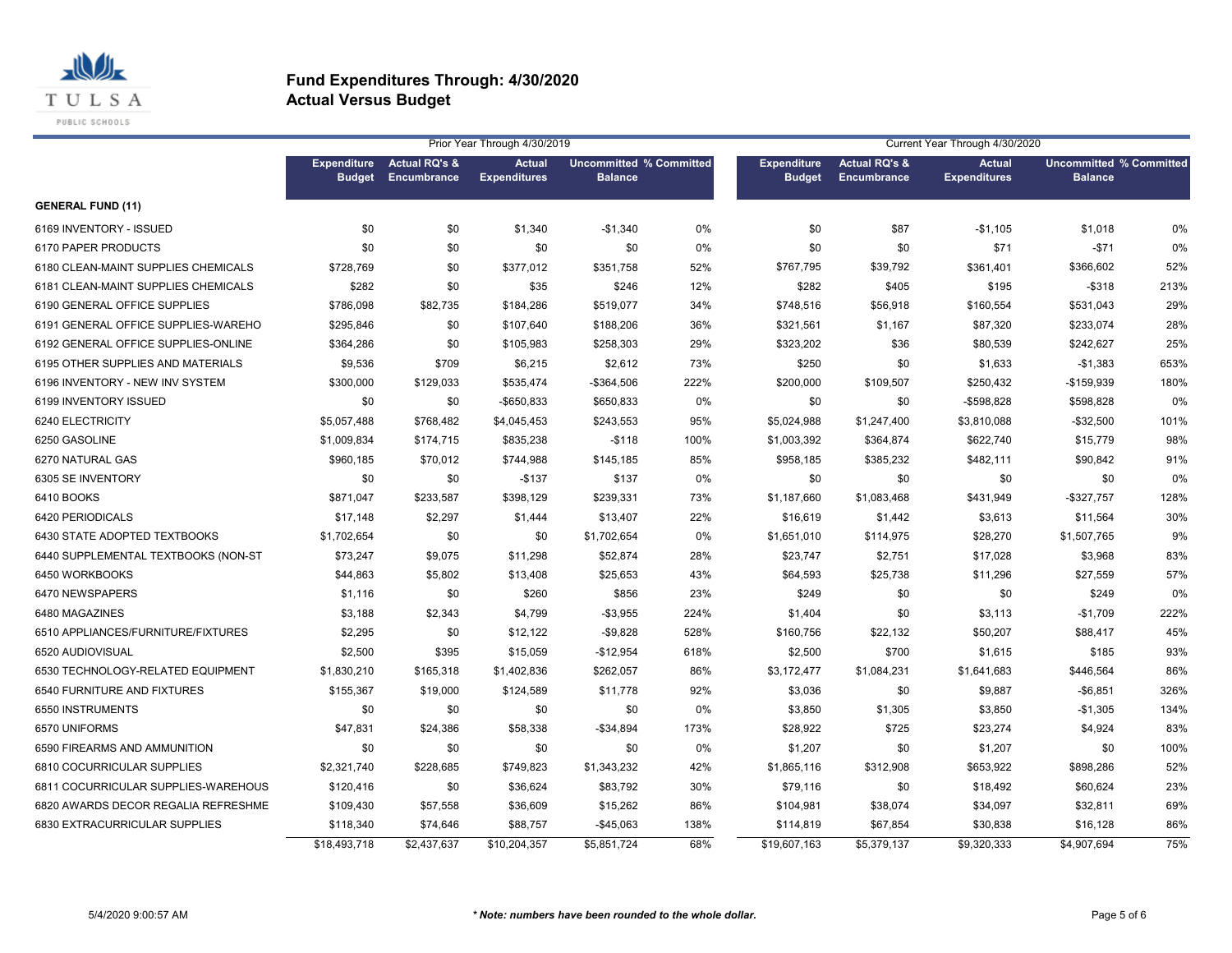

|                                     |                                     |                                         | Prior Year Through 4/30/2019         |                                                  | Current Year Through 4/30/2020<br><b>Actual RQ's &amp;</b><br><b>Actual</b><br><b>Uncommitted % Committed</b><br><b>Expenditure</b> |               |             |                     |                |      |
|-------------------------------------|-------------------------------------|-----------------------------------------|--------------------------------------|--------------------------------------------------|-------------------------------------------------------------------------------------------------------------------------------------|---------------|-------------|---------------------|----------------|------|
|                                     | <b>Expenditure</b><br><b>Budget</b> | <b>Actual RQ's &amp;</b><br>Encumbrance | <b>Actual</b><br><b>Expenditures</b> | <b>Uncommitted % Committed</b><br><b>Balance</b> |                                                                                                                                     | <b>Budget</b> | Encumbrance | <b>Expenditures</b> | <b>Balance</b> |      |
| <b>GENERAL FUND (11)</b>            |                                     |                                         |                                      |                                                  |                                                                                                                                     |               |             |                     |                |      |
| 6169 INVENTORY - ISSUED             | \$0                                 | \$0                                     | \$1,340                              | $-$1,340$                                        | 0%                                                                                                                                  | \$0           | \$87        | $-$1,105$           | \$1,018        | 0%   |
| 6170 PAPER PRODUCTS                 | \$0                                 | \$0                                     | \$0                                  | \$0                                              | 0%                                                                                                                                  | \$0           | \$0         | \$71                | $-$71$         | 0%   |
| 6180 CLEAN-MAINT SUPPLIES CHEMICALS | \$728,769                           | \$0                                     | \$377,012                            | \$351,758                                        | 52%                                                                                                                                 | \$767,795     | \$39,792    | \$361,401           | \$366,602      | 52%  |
| 6181 CLEAN-MAINT SUPPLIES CHEMICALS | \$282                               | \$0                                     | \$35                                 | \$246                                            | 12%                                                                                                                                 | \$282         | \$405       | \$195               | $-$ \$318      | 213% |
| 6190 GENERAL OFFICE SUPPLIES        | \$786,098                           | \$82,735                                | \$184,286                            | \$519,077                                        | 34%                                                                                                                                 | \$748,516     | \$56,918    | \$160,554           | \$531,043      | 29%  |
| 6191 GENERAL OFFICE SUPPLIES-WAREHO | \$295,846                           | \$0                                     | \$107,640                            | \$188,206                                        | 36%                                                                                                                                 | \$321,561     | \$1,167     | \$87,320            | \$233,074      | 28%  |
| 6192 GENERAL OFFICE SUPPLIES-ONLINE | \$364,286                           | \$0                                     | \$105,983                            | \$258,303                                        | 29%                                                                                                                                 | \$323,202     | \$36        | \$80,539            | \$242,627      | 25%  |
| 6195 OTHER SUPPLIES AND MATERIALS   | \$9,536                             | \$709                                   | \$6,215                              | \$2,612                                          | 73%                                                                                                                                 | \$250         | \$0         | \$1,633             | $-$1,383$      | 653% |
| 6196 INVENTORY - NEW INV SYSTEM     | \$300,000                           | \$129,033                               | \$535,474                            | -\$364,506                                       | 222%                                                                                                                                | \$200,000     | \$109,507   | \$250,432           | -\$159,939     | 180% |
| 6199 INVENTORY ISSUED               | \$0                                 | \$0                                     | $-$ \$650,833                        | \$650,833                                        | 0%                                                                                                                                  | \$0           | \$0         | -\$598,828          | \$598,828      | 0%   |
| 6240 ELECTRICITY                    | \$5,057,488                         | \$768,482                               | \$4,045,453                          | \$243,553                                        | 95%                                                                                                                                 | \$5,024,988   | \$1,247,400 | \$3,810,088         | $-$32,500$     | 101% |
| 6250 GASOLINE                       | \$1,009,834                         | \$174,715                               | \$835,238                            | $-$118$                                          | 100%                                                                                                                                | \$1,003,392   | \$364,874   | \$622,740           | \$15,779       | 98%  |
| 6270 NATURAL GAS                    | \$960,185                           | \$70,012                                | \$744,988                            | \$145,185                                        | 85%                                                                                                                                 | \$958,185     | \$385,232   | \$482,111           | \$90,842       | 91%  |
| 6305 SE INVENTORY                   | \$0                                 | \$0                                     | $-$137$                              | \$137                                            | 0%                                                                                                                                  | \$0           | \$0         | \$0                 | \$0            | 0%   |
| 6410 BOOKS                          | \$871,047                           | \$233,587                               | \$398,129                            | \$239,331                                        | 73%                                                                                                                                 | \$1,187,660   | \$1,083,468 | \$431,949           | $-$327,757$    | 128% |
| 6420 PERIODICALS                    | \$17,148                            | \$2,297                                 | \$1,444                              | \$13,407                                         | 22%                                                                                                                                 | \$16,619      | \$1,442     | \$3,613             | \$11,564       | 30%  |
| 6430 STATE ADOPTED TEXTBOOKS        | \$1,702,654                         | \$0                                     | \$0                                  | \$1,702,654                                      | 0%                                                                                                                                  | \$1,651,010   | \$114,975   | \$28,270            | \$1,507,765    | 9%   |
| 6440 SUPPLEMENTAL TEXTBOOKS (NON-ST | \$73,247                            | \$9,075                                 | \$11,298                             | \$52,874                                         | 28%                                                                                                                                 | \$23,747      | \$2,751     | \$17,028            | \$3,968        | 83%  |
| 6450 WORKBOOKS                      | \$44,863                            | \$5,802                                 | \$13,408                             | \$25,653                                         | 43%                                                                                                                                 | \$64,593      | \$25,738    | \$11,296            | \$27,559       | 57%  |
| 6470 NEWSPAPERS                     | \$1,116                             | \$0                                     | \$260                                | \$856                                            | 23%                                                                                                                                 | \$249         | \$0         | \$0                 | \$249          | 0%   |
| 6480 MAGAZINES                      | \$3,188                             | \$2,343                                 | \$4,799                              | $-$3,955$                                        | 224%                                                                                                                                | \$1,404       | \$0         | \$3,113             | $-$1,709$      | 222% |
| 6510 APPLIANCES/FURNITURE/FIXTURES  | \$2,295                             | \$0                                     | \$12,122                             | $-$9,828$                                        | 528%                                                                                                                                | \$160,756     | \$22,132    | \$50,207            | \$88,417       | 45%  |
| 6520 AUDIOVISUAL                    | \$2,500                             | \$395                                   | \$15,059                             | $-$12,954$                                       | 618%                                                                                                                                | \$2,500       | \$700       | \$1,615             | \$185          | 93%  |
| 6530 TECHNOLOGY-RELATED EQUIPMENT   | \$1,830,210                         | \$165,318                               | \$1,402,836                          | \$262,057                                        | 86%                                                                                                                                 | \$3,172,477   | \$1,084,231 | \$1,641,683         | \$446,564      | 86%  |
| 6540 FURNITURE AND FIXTURES         | \$155,367                           | \$19,000                                | \$124,589                            | \$11,778                                         | 92%                                                                                                                                 | \$3,036       | \$0         | \$9,887             | $-$6,851$      | 326% |
| 6550 INSTRUMENTS                    | \$0                                 | \$0                                     | \$0                                  | \$0                                              | 0%                                                                                                                                  | \$3,850       | \$1,305     | \$3,850             | $-$1,305$      | 134% |
| 6570 UNIFORMS                       | \$47,831                            | \$24,386                                | \$58,338                             | $-$34,894$                                       | 173%                                                                                                                                | \$28,922      | \$725       | \$23,274            | \$4,924        | 83%  |
| 6590 FIREARMS AND AMMUNITION        | \$0                                 | \$0                                     | \$0                                  | \$0                                              | 0%                                                                                                                                  | \$1,207       | \$0         | \$1,207             | \$0            | 100% |
| 6810 COCURRICULAR SUPPLIES          | \$2,321,740                         | \$228,685                               | \$749,823                            | \$1,343,232                                      | 42%                                                                                                                                 | \$1,865,116   | \$312,908   | \$653,922           | \$898,286      | 52%  |
| 6811 COCURRICULAR SUPPLIES-WAREHOUS | \$120,416                           | \$0                                     | \$36,624                             | \$83,792                                         | 30%                                                                                                                                 | \$79,116      | \$0         | \$18,492            | \$60,624       | 23%  |
| 6820 AWARDS DECOR REGALIA REFRESHME | \$109,430                           | \$57,558                                | \$36,609                             | \$15,262                                         | 86%                                                                                                                                 | \$104,981     | \$38,074    | \$34,097            | \$32,811       | 69%  |
| 6830 EXTRACURRICULAR SUPPLIES       | \$118,340                           | \$74,646                                | \$88,757                             | $-$45,063$                                       | 138%                                                                                                                                | \$114,819     | \$67,854    | \$30,838            | \$16,128       | 86%  |
|                                     | \$18,493,718                        | \$2.437.637                             | \$10,204,357                         | \$5.851.724                                      | 68%                                                                                                                                 | \$19,607.163  | \$5.379.137 | \$9.320.333         | \$4,907.694    | 75%  |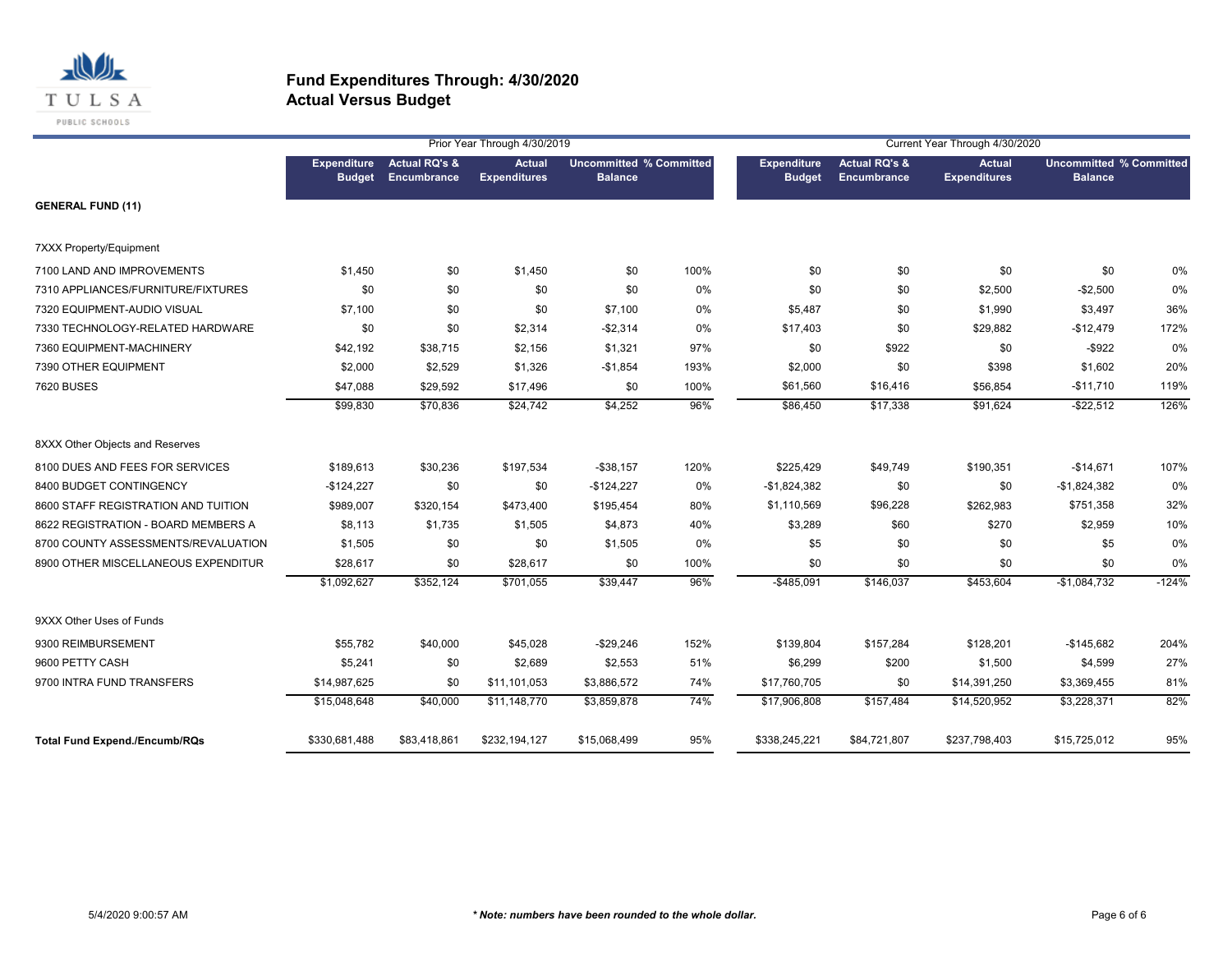

|                                      |                                     |                              | Prior Year Through 4/30/2019         |                                                  |       |                              |                                         | Current Year Through 4/30/2020       |                                                  |         |
|--------------------------------------|-------------------------------------|------------------------------|--------------------------------------|--------------------------------------------------|-------|------------------------------|-----------------------------------------|--------------------------------------|--------------------------------------------------|---------|
|                                      | <b>Expenditure</b><br><b>Budget</b> | Actual RQ's &<br>Encumbrance | <b>Actual</b><br><b>Expenditures</b> | <b>Uncommitted % Committed</b><br><b>Balance</b> |       | Expenditure<br><b>Budget</b> | <b>Actual RQ's &amp;</b><br>Encumbrance | <b>Actual</b><br><b>Expenditures</b> | <b>Uncommitted % Committed</b><br><b>Balance</b> |         |
| <b>GENERAL FUND (11)</b>             |                                     |                              |                                      |                                                  |       |                              |                                         |                                      |                                                  |         |
| 7XXX Property/Equipment              |                                     |                              |                                      |                                                  |       |                              |                                         |                                      |                                                  |         |
| 7100 LAND AND IMPROVEMENTS           | \$1,450                             | \$0                          | \$1,450                              | \$0                                              | 100%  | \$0                          | \$0                                     | \$0                                  | \$0                                              | 0%      |
| 7310 APPLIANCES/FURNITURE/FIXTURES   | \$0                                 | \$0                          | \$0                                  | \$0                                              | 0%    | \$0                          | \$0                                     | \$2,500                              | $-$2,500$                                        | 0%      |
| 7320 EQUIPMENT-AUDIO VISUAL          | \$7,100                             | \$0                          | \$0                                  | \$7,100                                          | $0\%$ | \$5,487                      | \$0                                     | \$1,990                              | \$3,497                                          | 36%     |
| 7330 TECHNOLOGY-RELATED HARDWARE     | \$0                                 | \$0                          | \$2,314                              | $-$2,314$                                        | 0%    | \$17,403                     | \$0                                     | \$29,882                             | $-$12,479$                                       | 172%    |
| 7360 EQUIPMENT-MACHINERY             | \$42,192                            | \$38,715                     | \$2,156                              | \$1,321                                          | 97%   | \$0                          | \$922                                   | \$0                                  | $-$ \$922                                        | 0%      |
| 7390 OTHER EQUIPMENT                 | \$2,000                             | \$2,529                      | \$1,326                              | $-$1,854$                                        | 193%  | \$2,000                      | \$0                                     | \$398                                | \$1,602                                          | 20%     |
| <b>7620 BUSES</b>                    | \$47,088                            | \$29,592                     | \$17,496                             | \$0                                              | 100%  | \$61,560                     | \$16,416                                | \$56,854                             | $-$11,710$                                       | 119%    |
|                                      | \$99,830                            | \$70,836                     | \$24,742                             | \$4,252                                          | 96%   | \$86,450                     | \$17,338                                | \$91,624                             | $-$22,512$                                       | 126%    |
| 8XXX Other Objects and Reserves      |                                     |                              |                                      |                                                  |       |                              |                                         |                                      |                                                  |         |
| 8100 DUES AND FEES FOR SERVICES      | \$189,613                           | \$30,236                     | \$197,534                            | $-$38,157$                                       | 120%  | \$225,429                    | \$49,749                                | \$190,351                            | $-$14,671$                                       | 107%    |
| 8400 BUDGET CONTINGENCY              | $-$124,227$                         | \$0                          | \$0                                  | $-$124,227$                                      | 0%    | $-$1,824,382$                | \$0                                     | \$0                                  | $-$1,824,382$                                    | 0%      |
| 8600 STAFF REGISTRATION AND TUITION  | \$989,007                           | \$320,154                    | \$473,400                            | \$195,454                                        | 80%   | \$1,110,569                  | \$96,228                                | \$262,983                            | \$751,358                                        | 32%     |
| 8622 REGISTRATION - BOARD MEMBERS A  | \$8,113                             | \$1,735                      | \$1,505                              | \$4,873                                          | 40%   | \$3,289                      | \$60                                    | \$270                                | \$2,959                                          | 10%     |
| 8700 COUNTY ASSESSMENTS/REVALUATION  | \$1,505                             | \$0                          | \$0                                  | \$1,505                                          | 0%    | \$5                          | \$0                                     | \$0                                  | \$5                                              | 0%      |
| 8900 OTHER MISCELLANEOUS EXPENDITUR  | \$28,617                            | \$0                          | \$28,617                             | \$0                                              | 100%  | \$0                          | \$0                                     | \$0                                  | \$0                                              | 0%      |
|                                      | \$1,092,627                         | \$352,124                    | \$701,055                            | \$39,447                                         | 96%   | $-$485,091$                  | \$146,037                               | \$453,604                            | $-$1,084,732$                                    | $-124%$ |
| 9XXX Other Uses of Funds             |                                     |                              |                                      |                                                  |       |                              |                                         |                                      |                                                  |         |
| 9300 REIMBURSEMENT                   | \$55,782                            | \$40,000                     | \$45,028                             | $-$29,246$                                       | 152%  | \$139,804                    | \$157,284                               | \$128,201                            | $-$145,682$                                      | 204%    |
| 9600 PETTY CASH                      | \$5,241                             | \$0                          | \$2,689                              | \$2,553                                          | 51%   | \$6,299                      | \$200                                   | \$1,500                              | \$4,599                                          | 27%     |
| 9700 INTRA FUND TRANSFERS            | \$14,987,625                        | \$0                          | \$11,101,053                         | \$3,886,572                                      | 74%   | \$17,760,705                 | \$0                                     | \$14,391,250                         | \$3,369,455                                      | 81%     |
|                                      | \$15,048,648                        | \$40,000                     | \$11,148,770                         | \$3,859,878                                      | 74%   | \$17,906,808                 | \$157,484                               | \$14,520,952                         | \$3,228,371                                      | 82%     |
| <b>Total Fund Expend./Encumb/RQs</b> | \$330,681,488                       | \$83,418,861                 | \$232,194,127                        | \$15,068,499                                     | 95%   | \$338,245,221                | \$84,721,807                            | \$237,798,403                        | \$15,725,012                                     | 95%     |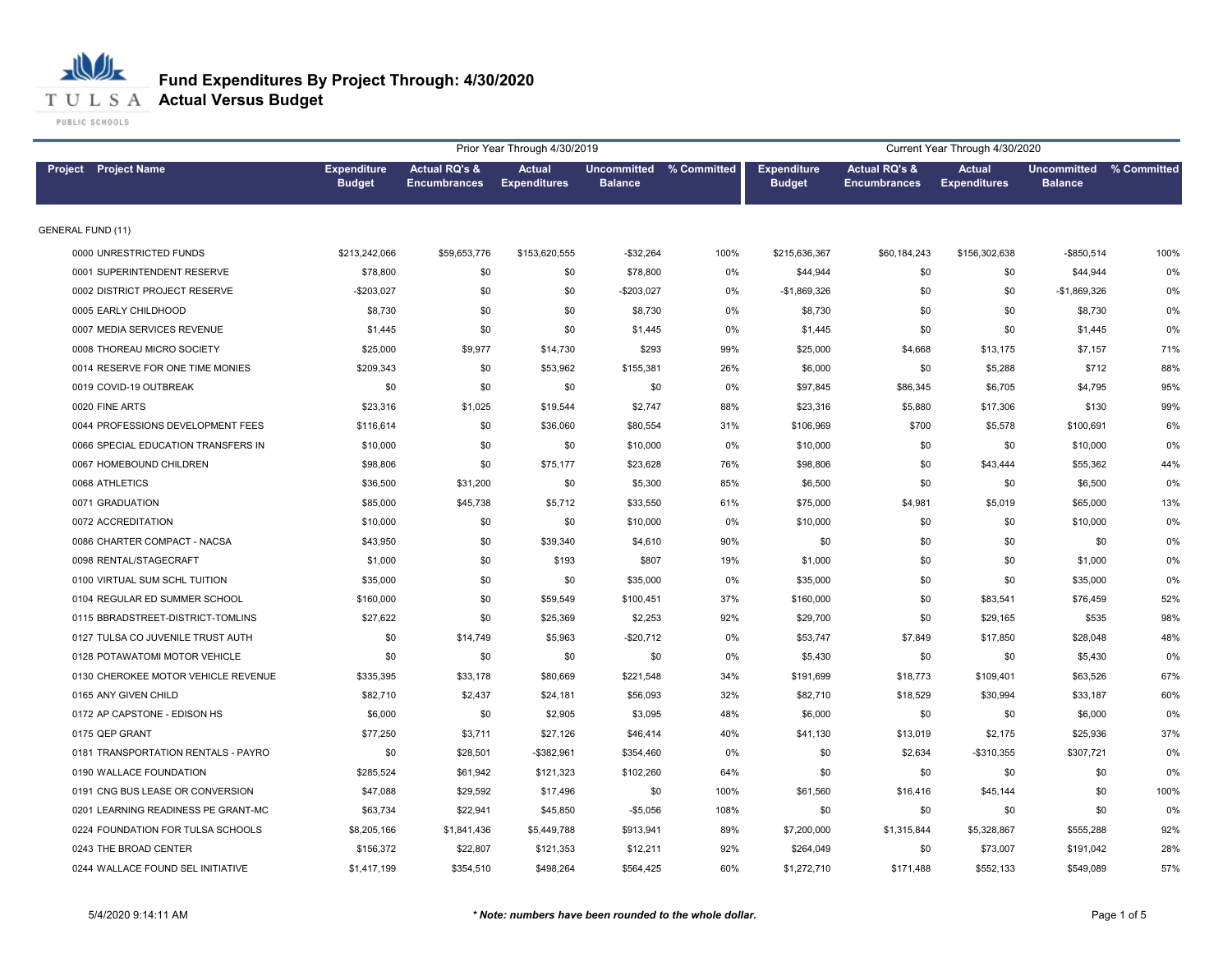

## **Fund Expenditures By Project Through: 4/30/2020**

|                          |                                     |                                     |                                                 | Prior Year Through 4/30/2019         |                                           |      |                                     |                                                 | Current Year Through 4/30/2020       |                                           |      |
|--------------------------|-------------------------------------|-------------------------------------|-------------------------------------------------|--------------------------------------|-------------------------------------------|------|-------------------------------------|-------------------------------------------------|--------------------------------------|-------------------------------------------|------|
|                          | Project Project Name                | <b>Expenditure</b><br><b>Budget</b> | <b>Actual RQ's &amp;</b><br><b>Encumbrances</b> | <b>Actual</b><br><b>Expenditures</b> | Uncommitted % Committed<br><b>Balance</b> |      | <b>Expenditure</b><br><b>Budget</b> | <b>Actual RQ's &amp;</b><br><b>Encumbrances</b> | <b>Actual</b><br><b>Expenditures</b> | Uncommitted % Committed<br><b>Balance</b> |      |
| <b>GENERAL FUND (11)</b> |                                     |                                     |                                                 |                                      |                                           |      |                                     |                                                 |                                      |                                           |      |
|                          | 0000 UNRESTRICTED FUNDS             | \$213,242,066                       | \$59,653,776                                    | \$153,620,555                        | $-$32,264$                                | 100% | \$215,636,367                       | \$60,184,243                                    | \$156,302,638                        | $-$850,514$                               | 100% |
|                          | 0001 SUPERINTENDENT RESERVE         | \$78,800                            | \$0                                             | \$0                                  | \$78,800                                  | 0%   | \$44,944                            | \$0                                             | \$0                                  | \$44,944                                  | 0%   |
|                          | 0002 DISTRICT PROJECT RESERVE       | $-$203,027$                         | \$0                                             | \$0                                  | -\$203,027                                | 0%   | $-$1,869,326$                       | \$0                                             | \$0                                  | $-$1,869,326$                             | 0%   |
|                          | 0005 EARLY CHILDHOOD                | \$8,730                             | \$0                                             | \$0                                  | \$8,730                                   | 0%   | \$8,730                             | \$0                                             | \$0                                  | \$8,730                                   | 0%   |
|                          | 0007 MEDIA SERVICES REVENUE         | \$1,445                             | \$0                                             | \$0                                  | \$1,445                                   | 0%   | \$1,445                             | \$0                                             | \$0                                  | \$1,445                                   | 0%   |
|                          | 0008 THOREAU MICRO SOCIETY          | \$25,000                            | \$9,977                                         | \$14,730                             | \$293                                     | 99%  | \$25,000                            | \$4,668                                         | \$13,175                             | \$7,157                                   | 71%  |
|                          | 0014 RESERVE FOR ONE TIME MONIES    | \$209,343                           | \$0                                             | \$53,962                             | \$155,381                                 | 26%  | \$6,000                             | \$0                                             | \$5,288                              | \$712                                     | 88%  |
|                          | 0019 COVID-19 OUTBREAK              | \$0                                 | \$0                                             | \$0                                  | \$0                                       | 0%   | \$97,845                            | \$86,345                                        | \$6,705                              | \$4,795                                   | 95%  |
|                          | 0020 FINE ARTS                      | \$23,316                            | \$1,025                                         | \$19,544                             | \$2,747                                   | 88%  | \$23,316                            | \$5,880                                         | \$17,306                             | \$130                                     | 99%  |
|                          | 0044 PROFESSIONS DEVELOPMENT FEES   | \$116,614                           | \$0                                             | \$36,060                             | \$80,554                                  | 31%  | \$106,969                           | \$700                                           | \$5,578                              | \$100,691                                 | 6%   |
|                          | 0066 SPECIAL EDUCATION TRANSFERS IN | \$10,000                            | \$0                                             | \$0                                  | \$10,000                                  | 0%   | \$10,000                            | \$0                                             | \$0                                  | \$10,000                                  | 0%   |
|                          | 0067 HOMEBOUND CHILDREN             | \$98,806                            | \$0                                             | \$75,177                             | \$23,628                                  | 76%  | \$98,806                            | \$0                                             | \$43,444                             | \$55,362                                  | 44%  |
|                          | 0068 ATHLETICS                      | \$36,500                            | \$31,200                                        | \$0                                  | \$5,300                                   | 85%  | \$6,500                             | \$0                                             | \$0                                  | \$6,500                                   | 0%   |
|                          | 0071 GRADUATION                     | \$85,000                            | \$45,738                                        | \$5,712                              | \$33,550                                  | 61%  | \$75,000                            | \$4,981                                         | \$5,019                              | \$65,000                                  | 13%  |
|                          | 0072 ACCREDITATION                  | \$10,000                            | \$0                                             | \$0                                  | \$10,000                                  | 0%   | \$10,000                            | \$0                                             | \$0                                  | \$10,000                                  | 0%   |
|                          | 0086 CHARTER COMPACT - NACSA        | \$43,950                            | \$0                                             | \$39,340                             | \$4,610                                   | 90%  | \$0                                 | \$0                                             | \$0                                  | \$0                                       | 0%   |
|                          | 0098 RENTAL/STAGECRAFT              | \$1,000                             | \$0                                             | \$193                                | \$807                                     | 19%  | \$1,000                             | \$0                                             | \$0                                  | \$1,000                                   | 0%   |
|                          | 0100 VIRTUAL SUM SCHL TUITION       | \$35,000                            | \$0                                             | \$0                                  | \$35,000                                  | 0%   | \$35,000                            | \$0                                             | \$0                                  | \$35,000                                  | 0%   |
|                          | 0104 REGULAR ED SUMMER SCHOOL       | \$160,000                           | \$0                                             | \$59,549                             | \$100,451                                 | 37%  | \$160,000                           | \$0                                             | \$83,541                             | \$76,459                                  | 52%  |
|                          | 0115 BBRADSTREET-DISTRICT-TOMLINS   | \$27,622                            | \$0                                             | \$25,369                             | \$2,253                                   | 92%  | \$29,700                            | \$0                                             | \$29,165                             | \$535                                     | 98%  |
|                          | 0127 TULSA CO JUVENILE TRUST AUTH   | \$0                                 | \$14,749                                        | \$5,963                              | $-$20,712$                                | 0%   | \$53,747                            | \$7,849                                         | \$17,850                             | \$28,048                                  | 48%  |
|                          | 0128 POTAWATOMI MOTOR VEHICLE       | \$0                                 | \$0                                             | \$0                                  | \$0                                       | 0%   | \$5,430                             | \$0                                             | \$0                                  | \$5,430                                   | 0%   |
|                          | 0130 CHEROKEE MOTOR VEHICLE REVENUE | \$335,395                           | \$33,178                                        | \$80,669                             | \$221,548                                 | 34%  | \$191,699                           | \$18,773                                        | \$109,401                            | \$63,526                                  | 67%  |
|                          | 0165 ANY GIVEN CHILD                | \$82,710                            | \$2,437                                         | \$24,181                             | \$56,093                                  | 32%  | \$82,710                            | \$18,529                                        | \$30,994                             | \$33,187                                  | 60%  |
|                          | 0172 AP CAPSTONE - EDISON HS        | \$6,000                             | \$0                                             | \$2,905                              | \$3,095                                   | 48%  | \$6,000                             | \$0                                             | \$0                                  | \$6,000                                   | 0%   |
|                          | 0175 QEP GRANT                      | \$77,250                            | \$3,711                                         | \$27,126                             | \$46,414                                  | 40%  | \$41,130                            | \$13,019                                        | \$2,175                              | \$25,936                                  | 37%  |
|                          | 0181 TRANSPORTATION RENTALS - PAYRO | \$0                                 | \$28,501                                        | $-$ \$382,961                        | \$354,460                                 | 0%   | \$0                                 | \$2,634                                         | $-$310,355$                          | \$307,721                                 | 0%   |
|                          | 0190 WALLACE FOUNDATION             | \$285,524                           | \$61,942                                        | \$121,323                            | \$102,260                                 | 64%  | \$0                                 | \$0                                             | \$0                                  | \$0                                       | 0%   |
|                          | 0191 CNG BUS LEASE OR CONVERSION    | \$47,088                            | \$29,592                                        | \$17,496                             | \$0                                       | 100% | \$61,560                            | \$16,416                                        | \$45,144                             | \$0                                       | 100% |
|                          | 0201 LEARNING READINESS PE GRANT-MC | \$63,734                            | \$22,941                                        | \$45,850                             | $-$5,056$                                 | 108% | \$0                                 | \$0                                             | \$0                                  | \$0                                       | 0%   |
|                          | 0224 FOUNDATION FOR TULSA SCHOOLS   | \$8,205,166                         | \$1,841,436                                     | \$5,449,788                          | \$913,941                                 | 89%  | \$7,200,000                         | \$1,315,844                                     | \$5,328,867                          | \$555,288                                 | 92%  |
|                          | 0243 THE BROAD CENTER               | \$156,372                           | \$22,807                                        | \$121,353                            | \$12,211                                  | 92%  | \$264,049                           | \$0                                             | \$73,007                             | \$191,042                                 | 28%  |
|                          | 0244 WALLACE FOUND SEL INITIATIVE   | \$1,417,199                         | \$354,510                                       | \$498,264                            | \$564,425                                 | 60%  | \$1,272,710                         | \$171,488                                       | \$552,133                            | \$549,089                                 | 57%  |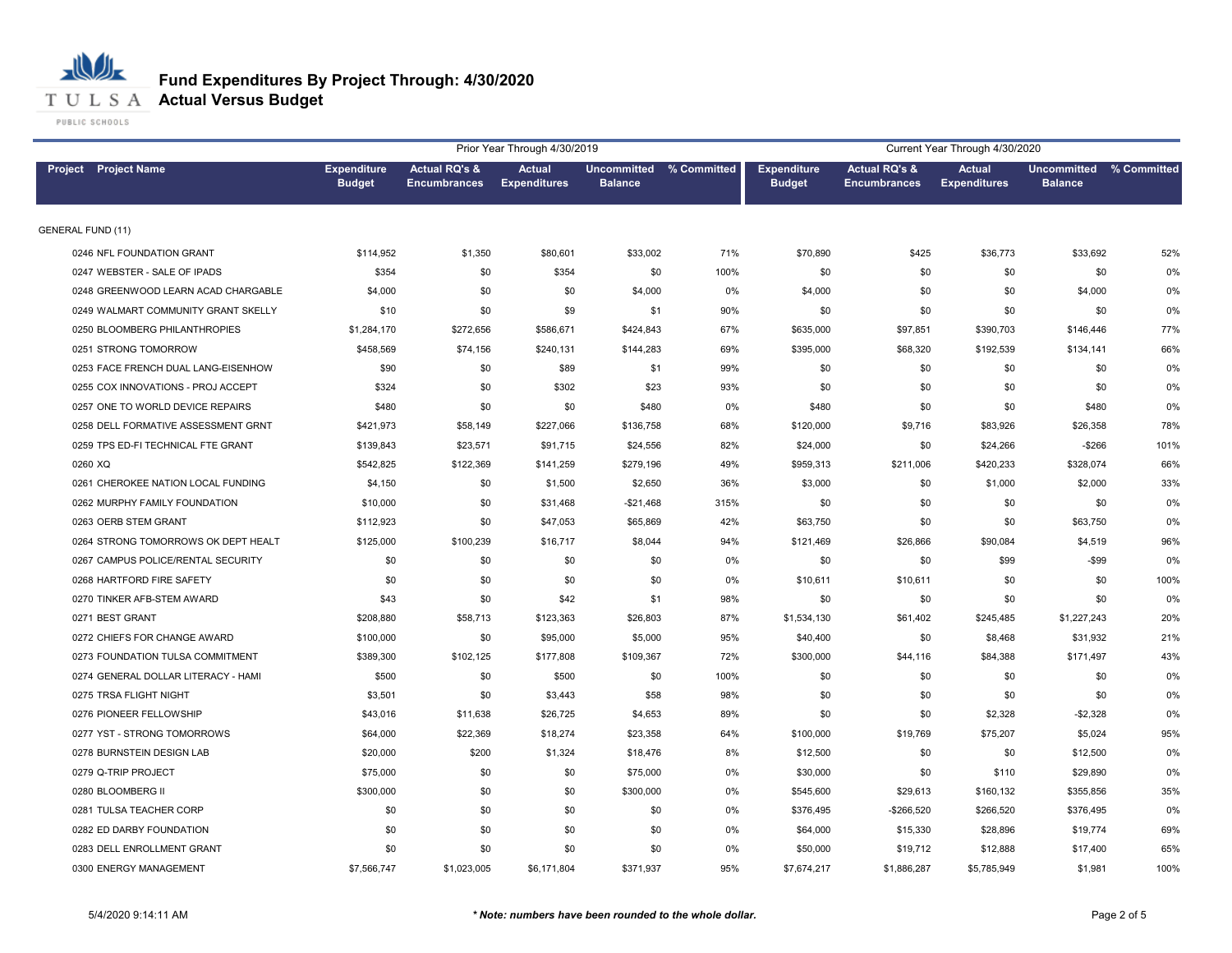

## **Fund Expenditures By Project Through: 4/30/2020**

|                                     |                                     |                                                 | Prior Year Through 4/30/2019         |                |                         |                                     |                                                 | Current Year Through 4/30/2020       |                                           |      |
|-------------------------------------|-------------------------------------|-------------------------------------------------|--------------------------------------|----------------|-------------------------|-------------------------------------|-------------------------------------------------|--------------------------------------|-------------------------------------------|------|
| Project Project Name                | <b>Expenditure</b><br><b>Budget</b> | <b>Actual RQ's &amp;</b><br><b>Encumbrances</b> | <b>Actual</b><br><b>Expenditures</b> | <b>Balance</b> | Uncommitted % Committed | <b>Expenditure</b><br><b>Budget</b> | <b>Actual RQ's &amp;</b><br><b>Encumbrances</b> | <b>Actual</b><br><b>Expenditures</b> | Uncommitted % Committed<br><b>Balance</b> |      |
| <b>GENERAL FUND (11)</b>            |                                     |                                                 |                                      |                |                         |                                     |                                                 |                                      |                                           |      |
| 0246 NFL FOUNDATION GRANT           | \$114,952                           | \$1,350                                         | \$80,601                             | \$33,002       | 71%                     | \$70,890                            | \$425                                           | \$36,773                             | \$33,692                                  | 52%  |
| 0247 WEBSTER - SALE OF IPADS        | \$354                               | \$0                                             | \$354                                | \$0            | 100%                    | \$0                                 | \$0                                             | \$0                                  | \$0                                       | 0%   |
| 0248 GREENWOOD LEARN ACAD CHARGABLE | \$4,000                             | \$0                                             | \$0                                  | \$4,000        | 0%                      | \$4,000                             | \$0                                             | \$0                                  | \$4,000                                   | 0%   |
| 0249 WALMART COMMUNITY GRANT SKELLY | \$10                                | \$0                                             | \$9                                  | \$1            | 90%                     | \$0                                 | \$0                                             | \$0                                  | \$0                                       | 0%   |
| 0250 BLOOMBERG PHILANTHROPIES       | \$1,284,170                         | \$272,656                                       | \$586,671                            | \$424,843      | 67%                     | \$635,000                           | \$97,851                                        | \$390,703                            | \$146,446                                 | 77%  |
| 0251 STRONG TOMORROW                | \$458,569                           | \$74,156                                        | \$240,131                            | \$144,283      | 69%                     | \$395,000                           | \$68,320                                        | \$192,539                            | \$134,141                                 | 66%  |
| 0253 FACE FRENCH DUAL LANG-EISENHOW | \$90                                | \$0                                             | \$89                                 | \$1            | 99%                     | \$0                                 | \$0                                             | \$0                                  | \$0                                       | 0%   |
| 0255 COX INNOVATIONS - PROJ ACCEPT  | \$324                               | \$0                                             | \$302                                | \$23           | 93%                     | \$0                                 | \$0                                             | \$0                                  | \$0                                       | 0%   |
| 0257 ONE TO WORLD DEVICE REPAIRS    | \$480                               | \$0                                             | \$0                                  | \$480          | 0%                      | \$480                               | \$0                                             | \$0                                  | \$480                                     | 0%   |
| 0258 DELL FORMATIVE ASSESSMENT GRNT | \$421,973                           | \$58,149                                        | \$227,066                            | \$136,758      | 68%                     | \$120,000                           | \$9,716                                         | \$83,926                             | \$26,358                                  | 78%  |
| 0259 TPS ED-FI TECHNICAL FTE GRANT  | \$139,843                           | \$23,571                                        | \$91,715                             | \$24,556       | 82%                     | \$24,000                            | \$0                                             | \$24,266                             | $-$266$                                   | 101% |
| 0260 XQ                             | \$542,825                           | \$122,369                                       | \$141,259                            | \$279,196      | 49%                     | \$959,313                           | \$211,006                                       | \$420,233                            | \$328,074                                 | 66%  |
| 0261 CHEROKEE NATION LOCAL FUNDING  | \$4,150                             | \$0                                             | \$1,500                              | \$2,650        | 36%                     | \$3,000                             | \$0                                             | \$1,000                              | \$2,000                                   | 33%  |
| 0262 MURPHY FAMILY FOUNDATION       | \$10,000                            | \$0                                             | \$31,468                             | $-$21,468$     | 315%                    | \$0                                 | \$0                                             | \$0                                  | \$0                                       | 0%   |
| 0263 OERB STEM GRANT                | \$112,923                           | \$0                                             | \$47,053                             | \$65,869       | 42%                     | \$63,750                            | \$0                                             | \$0                                  | \$63,750                                  | 0%   |
| 0264 STRONG TOMORROWS OK DEPT HEALT | \$125,000                           | \$100,239                                       | \$16,717                             | \$8,044        | 94%                     | \$121,469                           | \$26,866                                        | \$90,084                             | \$4,519                                   | 96%  |
| 0267 CAMPUS POLICE/RENTAL SECURITY  | \$0                                 | \$0                                             | \$0                                  | \$0            | 0%                      | \$0                                 | \$0                                             | \$99                                 | -\$99                                     | 0%   |
| 0268 HARTFORD FIRE SAFETY           | \$0                                 | \$0                                             | \$0                                  | \$0            | 0%                      | \$10,611                            | \$10,611                                        | \$0                                  | \$0                                       | 100% |
| 0270 TINKER AFB-STEM AWARD          | \$43                                | \$0                                             | \$42                                 | \$1            | 98%                     | \$0                                 | \$0                                             | \$0                                  | \$0                                       | 0%   |
| 0271 BEST GRANT                     | \$208,880                           | \$58,713                                        | \$123,363                            | \$26,803       | 87%                     | \$1,534,130                         | \$61,402                                        | \$245,485                            | \$1,227,243                               | 20%  |
| 0272 CHIEFS FOR CHANGE AWARD        | \$100,000                           | \$0                                             | \$95,000                             | \$5,000        | 95%                     | \$40,400                            | \$0                                             | \$8,468                              | \$31,932                                  | 21%  |
| 0273 FOUNDATION TULSA COMMITMENT    | \$389,300                           | \$102,125                                       | \$177,808                            | \$109,367      | 72%                     | \$300,000                           | \$44,116                                        | \$84,388                             | \$171,497                                 | 43%  |
| 0274 GENERAL DOLLAR LITERACY - HAMI | \$500                               | \$0                                             | \$500                                | \$0            | 100%                    | \$0                                 | \$0                                             | \$0                                  | \$0                                       | 0%   |
| 0275 TRSA FLIGHT NIGHT              | \$3,501                             | \$0                                             | \$3,443                              | \$58           | 98%                     | \$0                                 | \$0                                             | \$0                                  | \$0                                       | 0%   |
| 0276 PIONEER FELLOWSHIP             | \$43,016                            | \$11,638                                        | \$26,725                             | \$4,653        | 89%                     | \$0                                 | \$0                                             | \$2,328                              | $-$2,328$                                 | 0%   |
| 0277 YST - STRONG TOMORROWS         | \$64,000                            | \$22,369                                        | \$18,274                             | \$23,358       | 64%                     | \$100,000                           | \$19,769                                        | \$75,207                             | \$5,024                                   | 95%  |
| 0278 BURNSTEIN DESIGN LAB           | \$20,000                            | \$200                                           | \$1,324                              | \$18,476       | 8%                      | \$12,500                            | \$0                                             | \$0                                  | \$12,500                                  | 0%   |
| 0279 Q-TRIP PROJECT                 | \$75,000                            | \$0                                             | \$0                                  | \$75,000       | 0%                      | \$30,000                            | \$0                                             | \$110                                | \$29,890                                  | 0%   |
| 0280 BLOOMBERG II                   | \$300,000                           | \$0                                             | \$0                                  | \$300,000      | 0%                      | \$545,600                           | \$29,613                                        | \$160,132                            | \$355,856                                 | 35%  |
| 0281 TULSA TEACHER CORP             | \$0                                 | \$0                                             | \$0                                  | \$0            | 0%                      | \$376,495                           | -\$266,520                                      | \$266,520                            | \$376,495                                 | 0%   |
| 0282 ED DARBY FOUNDATION            | \$0                                 | \$0                                             | \$0                                  | \$0            | 0%                      | \$64,000                            | \$15,330                                        | \$28,896                             | \$19,774                                  | 69%  |
| 0283 DELL ENROLLMENT GRANT          | \$0                                 | \$0                                             | \$0                                  | \$0            | 0%                      | \$50,000                            | \$19,712                                        | \$12,888                             | \$17,400                                  | 65%  |
| 0300 ENERGY MANAGEMENT              | \$7,566,747                         | \$1,023,005                                     | \$6,171,804                          | \$371.937      | 95%                     | \$7,674,217                         | \$1,886,287                                     | \$5,785,949                          | \$1.981                                   | 100% |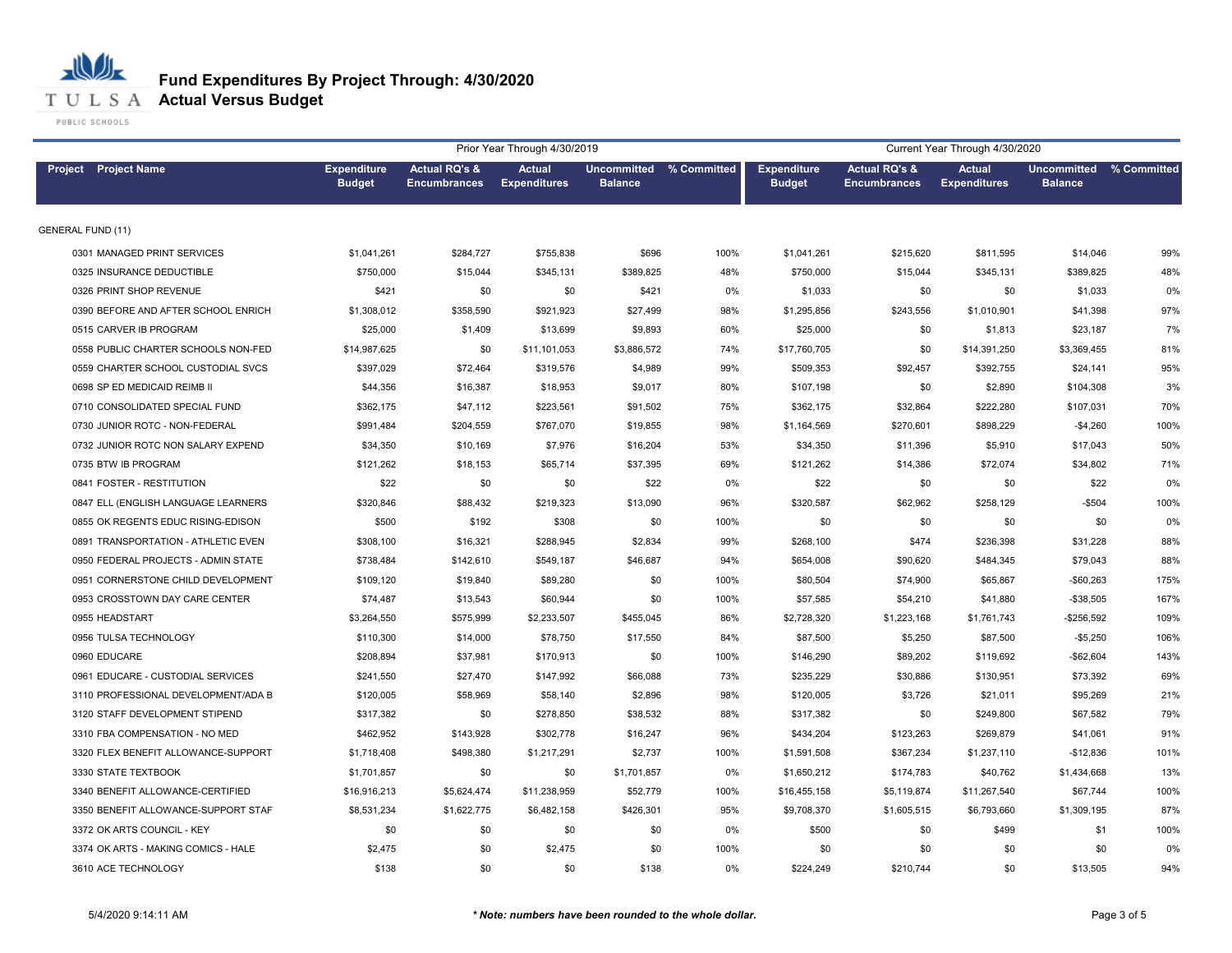

### **Fund Expenditures By Project Through: 4/30/2020**

|                                     |                                     |                                                 | Prior Year Through 4/30/2019         |                |                         |                                     |                                                 | Current Year Through 4/30/2020       |                                           |      |
|-------------------------------------|-------------------------------------|-------------------------------------------------|--------------------------------------|----------------|-------------------------|-------------------------------------|-------------------------------------------------|--------------------------------------|-------------------------------------------|------|
| <b>Project</b> Project Name         | <b>Expenditure</b><br><b>Budget</b> | <b>Actual RQ's &amp;</b><br><b>Encumbrances</b> | <b>Actual</b><br><b>Expenditures</b> | <b>Balance</b> | Uncommitted % Committed | <b>Expenditure</b><br><b>Budget</b> | <b>Actual RQ's &amp;</b><br><b>Encumbrances</b> | <b>Actual</b><br><b>Expenditures</b> | Uncommitted % Committed<br><b>Balance</b> |      |
| <b>GENERAL FUND (11)</b>            |                                     |                                                 |                                      |                |                         |                                     |                                                 |                                      |                                           |      |
| 0301 MANAGED PRINT SERVICES         | \$1,041,261                         | \$284,727                                       | \$755,838                            | \$696          | 100%                    | \$1,041,261                         | \$215,620                                       | \$811,595                            | \$14,046                                  | 99%  |
| 0325 INSURANCE DEDUCTIBLE           | \$750,000                           | \$15,044                                        | \$345,131                            | \$389,825      | 48%                     | \$750,000                           | \$15,044                                        | \$345,131                            | \$389,825                                 | 48%  |
| 0326 PRINT SHOP REVENUE             | \$421                               | \$0                                             | \$0                                  | \$421          | 0%                      | \$1,033                             | \$0                                             | \$0                                  | \$1,033                                   | 0%   |
| 0390 BEFORE AND AFTER SCHOOL ENRICH | \$1,308,012                         | \$358,590                                       | \$921,923                            | \$27,499       | 98%                     | \$1,295,856                         | \$243,556                                       | \$1,010,901                          | \$41,398                                  | 97%  |
| 0515 CARVER IB PROGRAM              | \$25,000                            | \$1,409                                         | \$13,699                             | \$9,893        | 60%                     | \$25,000                            | \$0                                             | \$1,813                              | \$23,187                                  | 7%   |
| 0558 PUBLIC CHARTER SCHOOLS NON-FED | \$14,987,625                        | \$0                                             | \$11,101,053                         | \$3,886,572    | 74%                     | \$17,760,705                        | \$0                                             | \$14,391,250                         | \$3,369,455                               | 81%  |
| 0559 CHARTER SCHOOL CUSTODIAL SVCS  | \$397,029                           | \$72,464                                        | \$319,576                            | \$4,989        | 99%                     | \$509,353                           | \$92,457                                        | \$392,755                            | \$24,141                                  | 95%  |
| 0698 SP ED MEDICAID REIMB II        | \$44,356                            | \$16,387                                        | \$18,953                             | \$9,017        | 80%                     | \$107,198                           | \$0                                             | \$2,890                              | \$104,308                                 | 3%   |
| 0710 CONSOLIDATED SPECIAL FUND      | \$362,175                           | \$47,112                                        | \$223,561                            | \$91,502       | 75%                     | \$362,175                           | \$32,864                                        | \$222,280                            | \$107,031                                 | 70%  |
| 0730 JUNIOR ROTC - NON-FEDERAL      | \$991,484                           | \$204,559                                       | \$767,070                            | \$19,855       | 98%                     | \$1,164,569                         | \$270,601                                       | \$898,229                            | $-$4,260$                                 | 100% |
| 0732 JUNIOR ROTC NON SALARY EXPEND  | \$34,350                            | \$10,169                                        | \$7,976                              | \$16,204       | 53%                     | \$34,350                            | \$11,396                                        | \$5,910                              | \$17,043                                  | 50%  |
| 0735 BTW IB PROGRAM                 | \$121,262                           | \$18,153                                        | \$65,714                             | \$37,395       | 69%                     | \$121,262                           | \$14,386                                        | \$72,074                             | \$34,802                                  | 71%  |
| 0841 FOSTER - RESTITUTION           | \$22                                | \$0                                             | \$0                                  | \$22           | 0%                      | \$22                                | \$0                                             | \$0                                  | \$22                                      | 0%   |
| 0847 ELL (ENGLISH LANGUAGE LEARNERS | \$320,846                           | \$88,432                                        | \$219,323                            | \$13,090       | 96%                     | \$320,587                           | \$62,962                                        | \$258,129                            | $-$504$                                   | 100% |
| 0855 OK REGENTS EDUC RISING-EDISON  | \$500                               | \$192                                           | \$308                                | \$0            | 100%                    | \$0                                 | \$0                                             | \$0                                  | \$0                                       | 0%   |
| 0891 TRANSPORTATION - ATHLETIC EVEN | \$308,100                           | \$16,321                                        | \$288,945                            | \$2,834        | 99%                     | \$268,100                           | \$474                                           | \$236,398                            | \$31,228                                  | 88%  |
| 0950 FEDERAL PROJECTS - ADMIN STATE | \$738,484                           | \$142,610                                       | \$549,187                            | \$46,687       | 94%                     | \$654,008                           | \$90,620                                        | \$484,345                            | \$79,043                                  | 88%  |
| 0951 CORNERSTONE CHILD DEVELOPMENT  | \$109,120                           | \$19,840                                        | \$89,280                             | \$0            | 100%                    | \$80,504                            | \$74,900                                        | \$65,867                             | $-$60,263$                                | 175% |
| 0953 CROSSTOWN DAY CARE CENTER      | \$74,487                            | \$13,543                                        | \$60,944                             | \$0            | 100%                    | \$57,585                            | \$54,210                                        | \$41,880                             | $-$38,505$                                | 167% |
| 0955 HEADSTART                      | \$3,264,550                         | \$575,999                                       | \$2,233,507                          | \$455,045      | 86%                     | \$2,728,320                         | \$1,223,168                                     | \$1,761,743                          | $-$256,592$                               | 109% |
| 0956 TULSA TECHNOLOGY               | \$110.300                           | \$14,000                                        | \$78,750                             | \$17,550       | 84%                     | \$87,500                            | \$5,250                                         | \$87,500                             | $-$5,250$                                 | 106% |
| 0960 EDUCARE                        | \$208,894                           | \$37,981                                        | \$170,913                            | \$0            | 100%                    | \$146,290                           | \$89,202                                        | \$119,692                            | $-$62,604$                                | 143% |
| 0961 EDUCARE - CUSTODIAL SERVICES   | \$241,550                           | \$27,470                                        | \$147,992                            | \$66,088       | 73%                     | \$235,229                           | \$30,886                                        | \$130,951                            | \$73,392                                  | 69%  |
| 3110 PROFESSIONAL DEVELOPMENT/ADA B | \$120,005                           | \$58,969                                        | \$58,140                             | \$2,896        | 98%                     | \$120,005                           | \$3,726                                         | \$21,011                             | \$95,269                                  | 21%  |
| 3120 STAFF DEVELOPMENT STIPEND      | \$317,382                           | \$0                                             | \$278,850                            | \$38,532       | 88%                     | \$317,382                           | \$0                                             | \$249,800                            | \$67,582                                  | 79%  |
| 3310 FBA COMPENSATION - NO MED      | \$462,952                           | \$143,928                                       | \$302,778                            | \$16,247       | 96%                     | \$434,204                           | \$123,263                                       | \$269,879                            | \$41,061                                  | 91%  |
| 3320 FLEX BENEFIT ALLOWANCE-SUPPORT | \$1,718,408                         | \$498,380                                       | \$1,217,291                          | \$2,737        | 100%                    | \$1,591,508                         | \$367,234                                       | \$1,237,110                          | $-$12,836$                                | 101% |
| 3330 STATE TEXTBOOK                 | \$1,701,857                         | \$0                                             | \$0                                  | \$1,701,857    | 0%                      | \$1,650,212                         | \$174,783                                       | \$40,762                             | \$1,434,668                               | 13%  |
| 3340 BENEFIT ALLOWANCE-CERTIFIED    | \$16,916,213                        | \$5,624,474                                     | \$11,238,959                         | \$52,779       | 100%                    | \$16,455,158                        | \$5,119,874                                     | \$11,267,540                         | \$67,744                                  | 100% |
| 3350 BENEFIT ALLOWANCE-SUPPORT STAF | \$8,531,234                         | \$1,622,775                                     | \$6,482,158                          | \$426,301      | 95%                     | \$9,708,370                         | \$1,605,515                                     | \$6,793,660                          | \$1,309,195                               | 87%  |
| 3372 OK ARTS COUNCIL - KEY          | \$0                                 | \$0                                             | \$0                                  | \$0            | 0%                      | \$500                               | \$0                                             | \$499                                | \$1                                       | 100% |
| 3374 OK ARTS - MAKING COMICS - HALE | \$2,475                             | \$0                                             | \$2,475                              | \$0            | 100%                    | \$0                                 | \$0                                             | \$0                                  | \$0                                       | 0%   |
| 3610 ACE TECHNOLOGY                 | \$138                               | \$0                                             | \$0                                  | \$138          | 0%                      | \$224,249                           | \$210,744                                       | \$0                                  | \$13,505                                  | 94%  |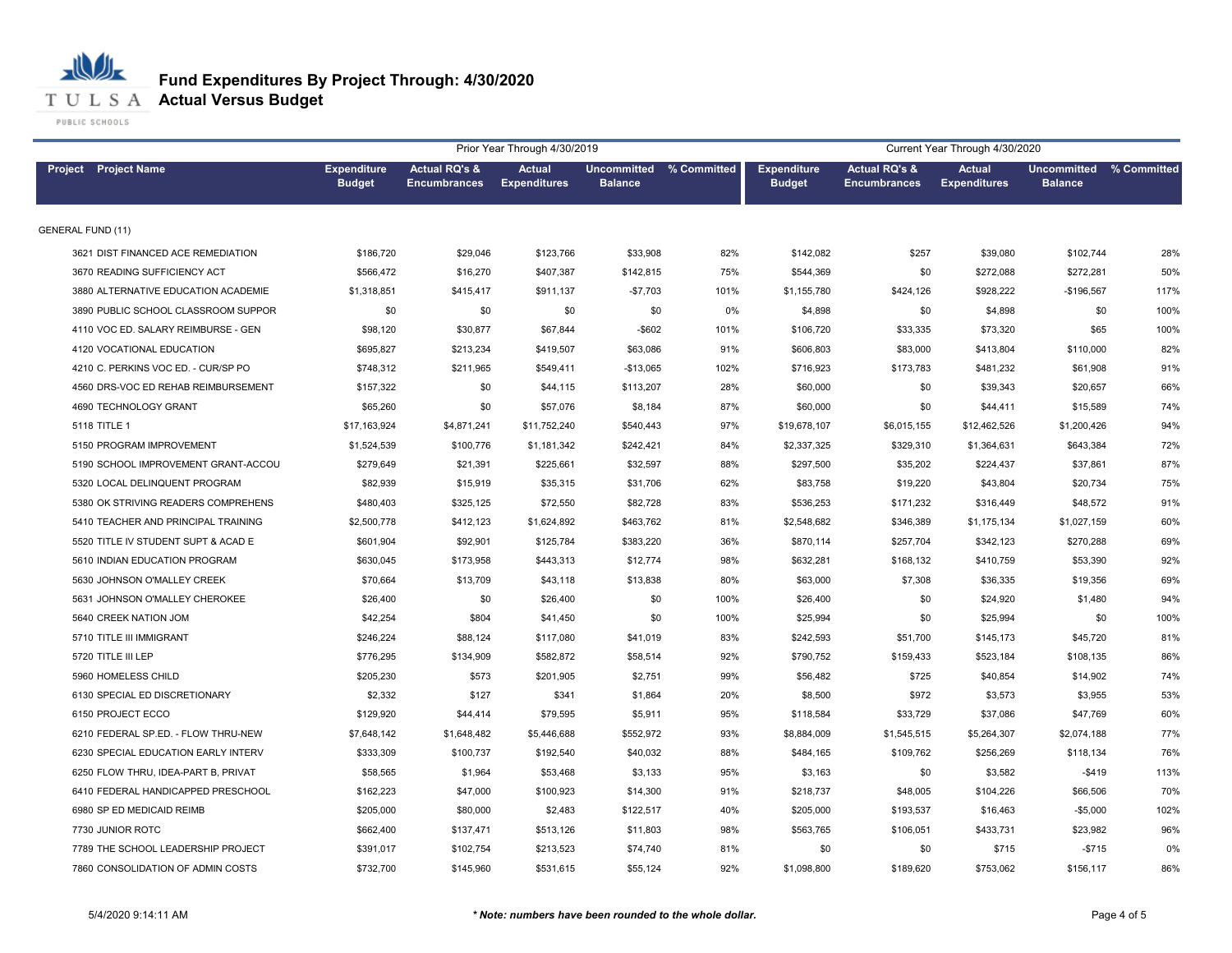

**T U L S A Actual Versus Budget** 

|                                     |                                     |                                                 | Prior Year Through 4/30/2019         |                |                         |                                     |                                                 | Current Year Through 4/30/2020       |                                      |             |
|-------------------------------------|-------------------------------------|-------------------------------------------------|--------------------------------------|----------------|-------------------------|-------------------------------------|-------------------------------------------------|--------------------------------------|--------------------------------------|-------------|
| Project Project Name                | <b>Expenditure</b><br><b>Budget</b> | <b>Actual RQ's &amp;</b><br><b>Encumbrances</b> | <b>Actual</b><br><b>Expenditures</b> | <b>Balance</b> | Uncommitted % Committed | <b>Expenditure</b><br><b>Budget</b> | <b>Actual RQ's &amp;</b><br><b>Encumbrances</b> | <b>Actual</b><br><b>Expenditures</b> | <b>Uncommitted</b><br><b>Balance</b> | % Committed |
| <b>GENERAL FUND (11)</b>            |                                     |                                                 |                                      |                |                         |                                     |                                                 |                                      |                                      |             |
| 3621 DIST FINANCED ACE REMEDIATION  | \$186,720                           | \$29,046                                        | \$123,766                            | \$33,908       | 82%                     | \$142,082                           | \$257                                           | \$39,080                             | \$102,744                            | 28%         |
| 3670 READING SUFFICIENCY ACT        | \$566,472                           | \$16,270                                        | \$407,387                            | \$142,815      | 75%                     | \$544,369                           | \$0                                             | \$272,088                            | \$272,281                            | 50%         |
| 3880 ALTERNATIVE EDUCATION ACADEMIE | \$1,318,851                         | \$415,417                                       | \$911,137                            | $-$7,703$      | 101%                    | \$1,155,780                         | \$424,126                                       | \$928,222                            | $-$196,567$                          | 117%        |
| 3890 PUBLIC SCHOOL CLASSROOM SUPPOR | \$0                                 | \$0                                             | \$0                                  | \$0            | 0%                      | \$4,898                             | \$0                                             | \$4,898                              | \$0                                  | 100%        |
| 4110 VOC ED. SALARY REIMBURSE - GEN | \$98,120                            | \$30,877                                        | \$67,844                             | $-$ \$602      | 101%                    | \$106,720                           | \$33,335                                        | \$73,320                             | \$65                                 | 100%        |
| 4120 VOCATIONAL EDUCATION           | \$695,827                           | \$213,234                                       | \$419,507                            | \$63,086       | 91%                     | \$606,803                           | \$83,000                                        | \$413,804                            | \$110,000                            | 82%         |
| 4210 C. PERKINS VOC ED. - CUR/SP PO | \$748,312                           | \$211,965                                       | \$549,411                            | $-$13,065$     | 102%                    | \$716,923                           | \$173,783                                       | \$481,232                            | \$61,908                             | 91%         |
| 4560 DRS-VOC ED REHAB REIMBURSEMENT | \$157,322                           | \$0                                             | \$44,115                             | \$113,207      | 28%                     | \$60,000                            | \$0                                             | \$39,343                             | \$20,657                             | 66%         |
| 4690 TECHNOLOGY GRANT               | \$65,260                            | \$0                                             | \$57,076                             | \$8,184        | 87%                     | \$60,000                            | \$0                                             | \$44,411                             | \$15,589                             | 74%         |
| 5118 TITLE 1                        | \$17,163,924                        | \$4,871,241                                     | \$11,752,240                         | \$540,443      | 97%                     | \$19,678,107                        | \$6,015,155                                     | \$12,462,526                         | \$1,200,426                          | 94%         |
| 5150 PROGRAM IMPROVEMENT            | \$1,524,539                         | \$100,776                                       | \$1,181,342                          | \$242,421      | 84%                     | \$2,337,325                         | \$329,310                                       | \$1,364,631                          | \$643,384                            | 72%         |
| 5190 SCHOOL IMPROVEMENT GRANT-ACCOU | \$279,649                           | \$21,391                                        | \$225,661                            | \$32,597       | 88%                     | \$297,500                           | \$35,202                                        | \$224,437                            | \$37,861                             | 87%         |
| 5320 LOCAL DELINQUENT PROGRAM       | \$82,939                            | \$15,919                                        | \$35,315                             | \$31,706       | 62%                     | \$83,758                            | \$19,220                                        | \$43,804                             | \$20,734                             | 75%         |
| 5380 OK STRIVING READERS COMPREHENS | \$480,403                           | \$325,125                                       | \$72,550                             | \$82,728       | 83%                     | \$536,253                           | \$171,232                                       | \$316,449                            | \$48,572                             | 91%         |
| 5410 TEACHER AND PRINCIPAL TRAINING | \$2,500,778                         | \$412,123                                       | \$1,624,892                          | \$463,762      | 81%                     | \$2,548,682                         | \$346,389                                       | \$1,175,134                          | \$1,027,159                          | 60%         |
| 5520 TITLE IV STUDENT SUPT & ACAD E | \$601,904                           | \$92,901                                        | \$125,784                            | \$383,220      | 36%                     | \$870,114                           | \$257,704                                       | \$342,123                            | \$270,288                            | 69%         |
| 5610 INDIAN EDUCATION PROGRAM       | \$630,045                           | \$173,958                                       | \$443,313                            | \$12,774       | 98%                     | \$632,281                           | \$168,132                                       | \$410,759                            | \$53,390                             | 92%         |
| 5630 JOHNSON O'MALLEY CREEK         | \$70,664                            | \$13,709                                        | \$43,118                             | \$13,838       | 80%                     | \$63,000                            | \$7,308                                         | \$36,335                             | \$19,356                             | 69%         |
| 5631 JOHNSON O'MALLEY CHEROKEE      | \$26,400                            | \$0                                             | \$26,400                             | \$0            | 100%                    | \$26,400                            | \$0                                             | \$24,920                             | \$1,480                              | 94%         |
| 5640 CREEK NATION JOM               | \$42,254                            | \$804                                           | \$41,450                             | \$0            | 100%                    | \$25,994                            | \$0                                             | \$25,994                             | \$0                                  | 100%        |
| 5710 TITLE III IMMIGRANT            | \$246,224                           | \$88,124                                        | \$117,080                            | \$41,019       | 83%                     | \$242,593                           | \$51,700                                        | \$145,173                            | \$45,720                             | 81%         |
| 5720 TITLE III LEP                  | \$776,295                           | \$134,909                                       | \$582,872                            | \$58,514       | 92%                     | \$790,752                           | \$159,433                                       | \$523,184                            | \$108,135                            | 86%         |
| 5960 HOMELESS CHILD                 | \$205,230                           | \$573                                           | \$201,905                            | \$2,751        | 99%                     | \$56,482                            | \$725                                           | \$40,854                             | \$14,902                             | 74%         |
| 6130 SPECIAL ED DISCRETIONARY       | \$2,332                             | \$127                                           | \$341                                | \$1,864        | 20%                     | \$8,500                             | \$972                                           | \$3,573                              | \$3,955                              | 53%         |
| 6150 PROJECT ECCO                   | \$129,920                           | \$44,414                                        | \$79,595                             | \$5,911        | 95%                     | \$118,584                           | \$33,729                                        | \$37,086                             | \$47,769                             | 60%         |
| 6210 FEDERAL SP.ED. - FLOW THRU-NEW | \$7,648,142                         | \$1,648,482                                     | \$5,446,688                          | \$552,972      | 93%                     | \$8,884,009                         | \$1,545,515                                     | \$5,264,307                          | \$2,074,188                          | 77%         |
| 6230 SPECIAL EDUCATION EARLY INTERV | \$333,309                           | \$100,737                                       | \$192,540                            | \$40,032       | 88%                     | \$484,165                           | \$109,762                                       | \$256,269                            | \$118,134                            | 76%         |
| 6250 FLOW THRU, IDEA-PART B, PRIVAT | \$58,565                            | \$1,964                                         | \$53,468                             | \$3,133        | 95%                     | \$3,163                             | \$0                                             | \$3,582                              | $-$419$                              | 113%        |
| 6410 FEDERAL HANDICAPPED PRESCHOOL  | \$162,223                           | \$47,000                                        | \$100,923                            | \$14,300       | 91%                     | \$218,737                           | \$48,005                                        | \$104,226                            | \$66,506                             | 70%         |
| 6980 SP ED MEDICAID REIMB           | \$205,000                           | \$80,000                                        | \$2,483                              | \$122,517      | 40%                     | \$205,000                           | \$193,537                                       | \$16,463                             | $-$5,000$                            | 102%        |
| 7730 JUNIOR ROTC                    | \$662,400                           | \$137,471                                       | \$513,126                            | \$11,803       | 98%                     | \$563,765                           | \$106,051                                       | \$433,731                            | \$23,982                             | 96%         |
| 7789 THE SCHOOL LEADERSHIP PROJECT  | \$391,017                           | \$102,754                                       | \$213,523                            | \$74,740       | 81%                     | \$0                                 | \$0                                             | \$715                                | $-$715$                              | 0%          |
| 7860 CONSOLIDATION OF ADMIN COSTS   | \$732,700                           | \$145,960                                       | \$531,615                            | \$55,124       | 92%                     | \$1,098,800                         | \$189,620                                       | \$753,062                            | \$156,117                            | 86%         |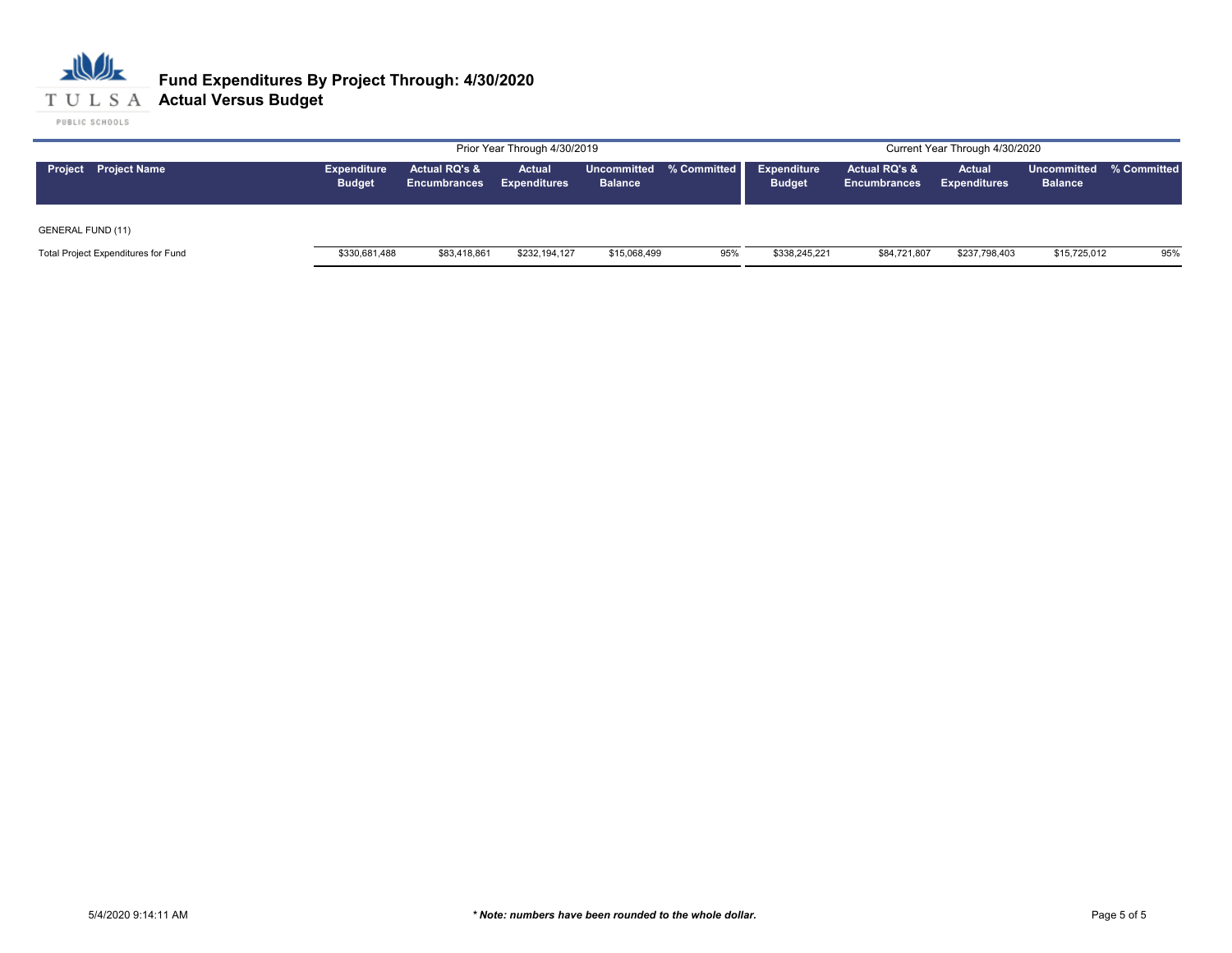

|                                     |                                     |                                                 | Prior Year Through 4/30/2019  |                |                         |                                     |                                                 | Current Year Through 4/30/2020 |                                           |     |
|-------------------------------------|-------------------------------------|-------------------------------------------------|-------------------------------|----------------|-------------------------|-------------------------------------|-------------------------------------------------|--------------------------------|-------------------------------------------|-----|
| <b>Project</b> Project Name         | <b>Expenditure</b><br><b>Budget</b> | <b>Actual RQ's &amp;</b><br><b>Encumbrances</b> | Actual<br><b>Expenditures</b> | <b>Balance</b> | Uncommitted % Committed | <b>Expenditure</b><br><b>Budget</b> | <b>Actual RQ's &amp;</b><br><b>Encumbrances</b> | Actual<br><b>Expenditures</b>  | Uncommitted % Committed<br><b>Balance</b> |     |
| <b>GENERAL FUND (11)</b>            |                                     |                                                 |                               |                |                         |                                     |                                                 |                                |                                           |     |
| Total Project Expenditures for Fund | \$330,681,488                       | \$83,418,861                                    | \$232,194,127                 | \$15,068,499   | 95%                     | \$338,245,221                       | \$84,721,807                                    | \$237,798,403                  | \$15,725,012                              | 95% |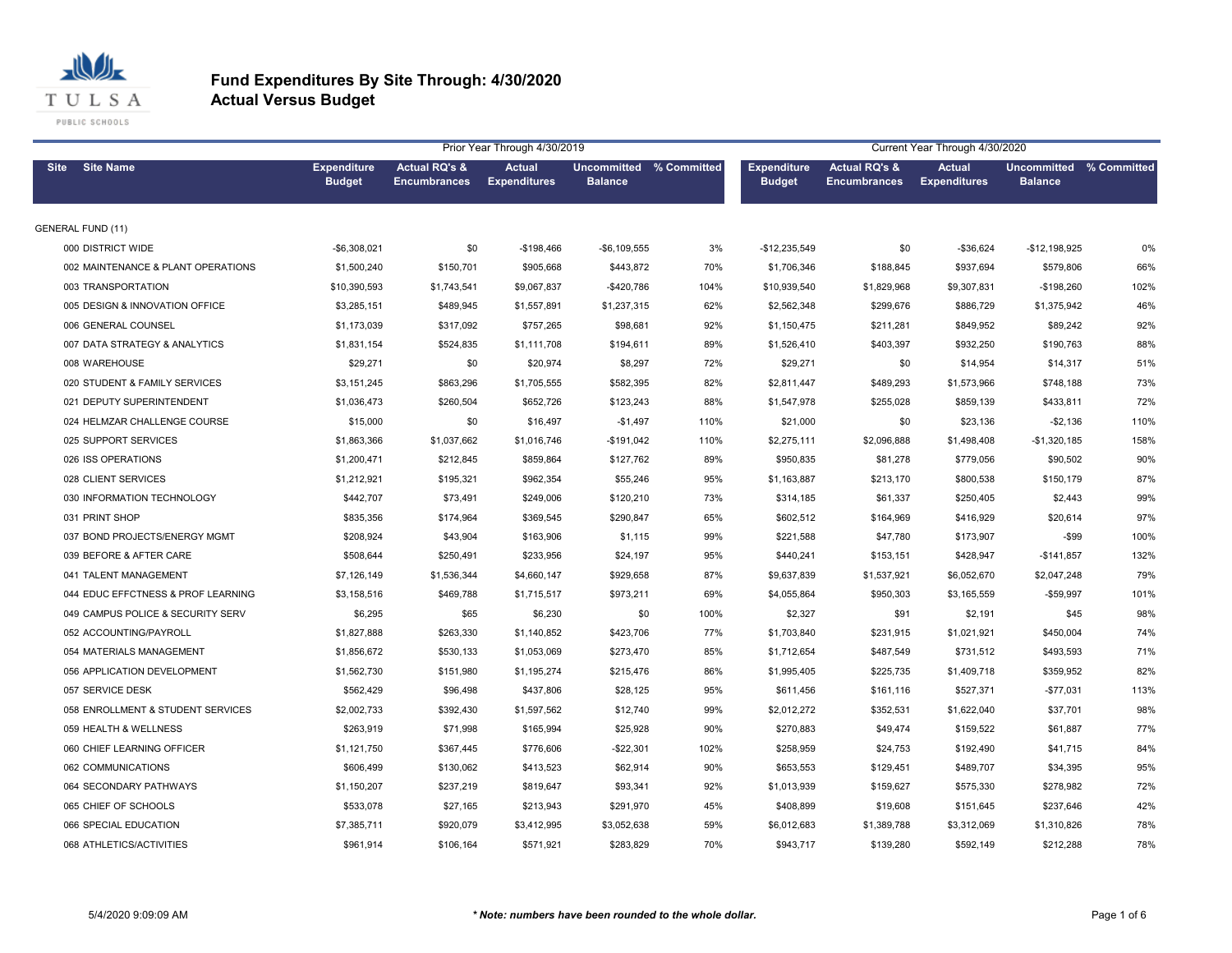

|             |                                    | Current Year Through 4/30/2020      |                                                 |                               |                                           |      |                                     |                                                 |                                      |                                                  |      |
|-------------|------------------------------------|-------------------------------------|-------------------------------------------------|-------------------------------|-------------------------------------------|------|-------------------------------------|-------------------------------------------------|--------------------------------------|--------------------------------------------------|------|
| <b>Site</b> | <b>Site Name</b>                   | <b>Expenditure</b><br><b>Budget</b> | <b>Actual RQ's &amp;</b><br><b>Encumbrances</b> | Actual<br><b>Expenditures</b> | Uncommitted % Committed<br><b>Balance</b> |      | <b>Expenditure</b><br><b>Budget</b> | <b>Actual RQ's &amp;</b><br><b>Encumbrances</b> | <b>Actual</b><br><b>Expenditures</b> | <b>Uncommitted % Committed</b><br><b>Balance</b> |      |
|             | <b>GENERAL FUND (11)</b>           |                                     |                                                 |                               |                                           |      |                                     |                                                 |                                      |                                                  |      |
|             | 000 DISTRICT WIDE                  | $-$6,308,021$                       | \$0                                             | $-$198,466$                   | $-$6,109,555$                             | 3%   | $-$12,235,549$                      | \$0                                             | $-$36,624$                           | $-$12,198,925$                                   | 0%   |
|             | 002 MAINTENANCE & PLANT OPERATIONS | \$1,500,240                         | \$150,701                                       | \$905,668                     | \$443,872                                 | 70%  | \$1,706,346                         | \$188,845                                       | \$937,694                            | \$579,806                                        | 66%  |
|             | 003 TRANSPORTATION                 | \$10,390,593                        | \$1,743,541                                     | \$9,067,837                   | $-$420,786$                               | 104% | \$10,939,540                        | \$1,829,968                                     | \$9,307,831                          | $-$198,260$                                      | 102% |
|             | 005 DESIGN & INNOVATION OFFICE     | \$3,285,151                         | \$489,945                                       | \$1,557,891                   | \$1,237,315                               | 62%  | \$2,562,348                         | \$299,676                                       | \$886,729                            | \$1,375,942                                      | 46%  |
|             | 006 GENERAL COUNSEL                | \$1,173,039                         | \$317,092                                       | \$757.265                     | \$98,681                                  | 92%  | \$1,150,475                         | \$211,281                                       | \$849.952                            | \$89,242                                         | 92%  |
|             | 007 DATA STRATEGY & ANALYTICS      | \$1,831,154                         | \$524,835                                       | \$1,111,708                   | \$194,611                                 | 89%  | \$1,526,410                         | \$403,397                                       | \$932,250                            | \$190,763                                        | 88%  |
|             | 008 WAREHOUSE                      | \$29,271                            | \$0                                             | \$20,974                      | \$8,297                                   | 72%  | \$29,271                            | \$0                                             | \$14,954                             | \$14,317                                         | 51%  |
|             | 020 STUDENT & FAMILY SERVICES      | \$3,151,245                         | \$863,296                                       | \$1,705,555                   | \$582,395                                 | 82%  | \$2,811,447                         | \$489,293                                       | \$1,573,966                          | \$748,188                                        | 73%  |
|             | 021 DEPUTY SUPERINTENDENT          | \$1,036,473                         | \$260,504                                       | \$652,726                     | \$123,243                                 | 88%  | \$1,547,978                         | \$255,028                                       | \$859,139                            | \$433,811                                        | 72%  |
|             | 024 HELMZAR CHALLENGE COURSE       | \$15,000                            | \$0                                             | \$16,497                      | $-$1,497$                                 | 110% | \$21,000                            | \$0                                             | \$23,136                             | $-$2,136$                                        | 110% |
|             | 025 SUPPORT SERVICES               | \$1,863,366                         | \$1,037,662                                     | \$1,016,746                   | $-$191,042$                               | 110% | \$2,275,111                         | \$2,096,888                                     | \$1,498,408                          | $-$1,320,185$                                    | 158% |
|             | 026 ISS OPERATIONS                 | \$1,200,471                         | \$212,845                                       | \$859,864                     | \$127,762                                 | 89%  | \$950,835                           | \$81,278                                        | \$779,056                            | \$90,502                                         | 90%  |
|             | 028 CLIENT SERVICES                | \$1,212,921                         | \$195,321                                       | \$962,354                     | \$55,246                                  | 95%  | \$1,163,887                         | \$213,170                                       | \$800,538                            | \$150,179                                        | 87%  |
|             | 030 INFORMATION TECHNOLOGY         | \$442,707                           | \$73,491                                        | \$249,006                     | \$120,210                                 | 73%  | \$314,185                           | \$61,337                                        | \$250,405                            | \$2,443                                          | 99%  |
|             | 031 PRINT SHOP                     | \$835,356                           | \$174,964                                       | \$369,545                     | \$290,847                                 | 65%  | \$602,512                           | \$164,969                                       | \$416,929                            | \$20,614                                         | 97%  |
|             | 037 BOND PROJECTS/ENERGY MGMT      | \$208,924                           | \$43,904                                        | \$163,906                     | \$1,115                                   | 99%  | \$221,588                           | \$47,780                                        | \$173,907                            | $-$ \$99                                         | 100% |
|             | 039 BEFORE & AFTER CARE            | \$508,644                           | \$250,491                                       | \$233,956                     | \$24,197                                  | 95%  | \$440,241                           | \$153,151                                       | \$428,947                            | $-$141,857$                                      | 132% |
|             | 041 TALENT MANAGEMENT              | \$7,126,149                         | \$1,536,344                                     | \$4,660,147                   | \$929,658                                 | 87%  | \$9,637,839                         | \$1,537,921                                     | \$6,052,670                          | \$2,047,248                                      | 79%  |
|             | 044 EDUC EFFCTNESS & PROF LEARNING | \$3,158,516                         | \$469,788                                       | \$1,715,517                   | \$973,211                                 | 69%  | \$4,055,864                         | \$950,303                                       | \$3,165,559                          | $-$59,997$                                       | 101% |
|             | 049 CAMPUS POLICE & SECURITY SERV  | \$6,295                             | \$65                                            | \$6,230                       | \$0                                       | 100% | \$2,327                             | \$91                                            | \$2,191                              | \$45                                             | 98%  |
|             | 052 ACCOUNTING/PAYROLL             | \$1,827,888                         | \$263,330                                       | \$1,140,852                   | \$423,706                                 | 77%  | \$1,703,840                         | \$231,915                                       | \$1,021,921                          | \$450,004                                        | 74%  |
|             | 054 MATERIALS MANAGEMENT           | \$1,856,672                         | \$530,133                                       | \$1,053,069                   | \$273,470                                 | 85%  | \$1,712,654                         | \$487,549                                       | \$731,512                            | \$493,593                                        | 71%  |
|             | 056 APPLICATION DEVELOPMENT        | \$1,562,730                         | \$151,980                                       | \$1,195,274                   | \$215,476                                 | 86%  | \$1,995,405                         | \$225,735                                       | \$1,409,718                          | \$359,952                                        | 82%  |
|             | 057 SERVICE DESK                   | \$562,429                           | \$96,498                                        | \$437,806                     | \$28,125                                  | 95%  | \$611,456                           | \$161,116                                       | \$527,371                            | $-$77,031$                                       | 113% |
|             | 058 ENROLLMENT & STUDENT SERVICES  | \$2,002,733                         | \$392,430                                       | \$1,597,562                   | \$12,740                                  | 99%  | \$2,012,272                         | \$352,531                                       | \$1,622,040                          | \$37,701                                         | 98%  |
|             | 059 HEALTH & WELLNESS              | \$263,919                           | \$71,998                                        | \$165,994                     | \$25,928                                  | 90%  | \$270,883                           | \$49,474                                        | \$159,522                            | \$61,887                                         | 77%  |
|             | 060 CHIEF LEARNING OFFICER         | \$1,121,750                         | \$367,445                                       | \$776,606                     | $-$22,301$                                | 102% | \$258,959                           | \$24,753                                        | \$192,490                            | \$41,715                                         | 84%  |
|             | 062 COMMUNICATIONS                 | \$606,499                           | \$130,062                                       | \$413,523                     | \$62,914                                  | 90%  | \$653,553                           | \$129,451                                       | \$489,707                            | \$34,395                                         | 95%  |
|             | 064 SECONDARY PATHWAYS             | \$1,150,207                         | \$237,219                                       | \$819,647                     | \$93,341                                  | 92%  | \$1,013,939                         | \$159,627                                       | \$575,330                            | \$278,982                                        | 72%  |
|             | 065 CHIEF OF SCHOOLS               | \$533,078                           | \$27,165                                        | \$213,943                     | \$291,970                                 | 45%  | \$408,899                           | \$19,608                                        | \$151,645                            | \$237,646                                        | 42%  |
|             | 066 SPECIAL EDUCATION              | \$7,385,711                         | \$920,079                                       | \$3,412,995                   | \$3,052,638                               | 59%  | \$6,012,683                         | \$1,389,788                                     | \$3,312,069                          | \$1,310,826                                      | 78%  |
|             | 068 ATHLETICS/ACTIVITIES           | \$961,914                           | \$106,164                                       | \$571,921                     | \$283,829                                 | 70%  | \$943,717                           | \$139,280                                       | \$592,149                            | \$212,288                                        | 78%  |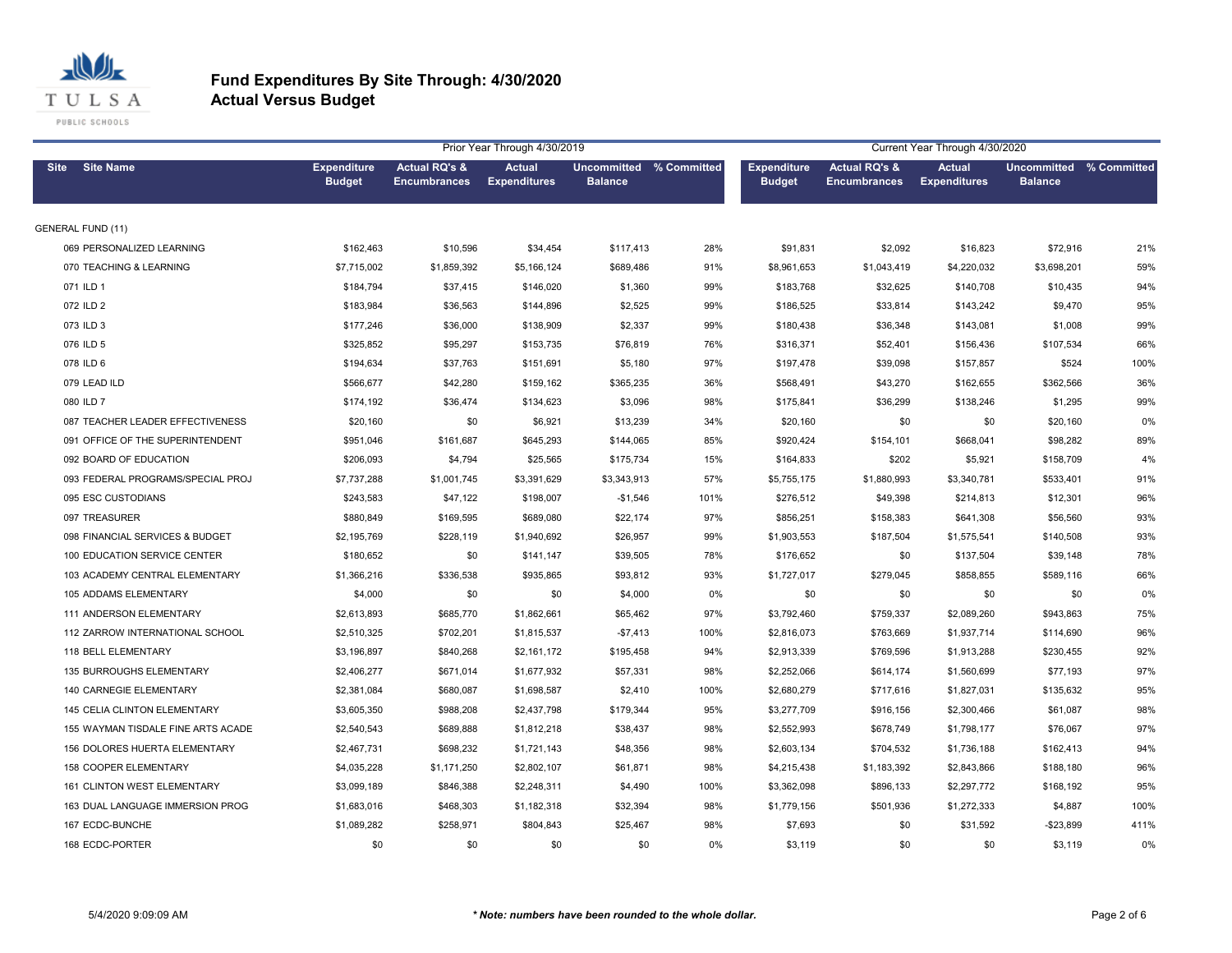

| Prior Year Through 4/30/2019       |                                     |                                                 |                                      |                                                  |      |                                     | Current Year Through 4/30/2020                  |                                      |                                                  |      |  |  |
|------------------------------------|-------------------------------------|-------------------------------------------------|--------------------------------------|--------------------------------------------------|------|-------------------------------------|-------------------------------------------------|--------------------------------------|--------------------------------------------------|------|--|--|
| <b>Site Name</b><br><b>Site</b>    | <b>Expenditure</b><br><b>Budget</b> | <b>Actual RQ's &amp;</b><br><b>Encumbrances</b> | <b>Actual</b><br><b>Expenditures</b> | <b>Uncommitted % Committed</b><br><b>Balance</b> |      | <b>Expenditure</b><br><b>Budget</b> | <b>Actual RQ's &amp;</b><br><b>Encumbrances</b> | <b>Actual</b><br><b>Expenditures</b> | <b>Uncommitted % Committed</b><br><b>Balance</b> |      |  |  |
| <b>GENERAL FUND (11)</b>           |                                     |                                                 |                                      |                                                  |      |                                     |                                                 |                                      |                                                  |      |  |  |
| 069 PERSONALIZED LEARNING          | \$162,463                           | \$10,596                                        | \$34,454                             | \$117,413                                        | 28%  | \$91,831                            | \$2,092                                         | \$16,823                             | \$72,916                                         | 21%  |  |  |
| 070 TEACHING & LEARNING            | \$7,715,002                         | \$1,859,392                                     | \$5,166,124                          | \$689,486                                        | 91%  | \$8,961,653                         | \$1,043,419                                     | \$4,220,032                          | \$3,698,201                                      | 59%  |  |  |
| 071 ILD 1                          | \$184,794                           | \$37,415                                        | \$146,020                            | \$1,360                                          | 99%  | \$183,768                           | \$32,625                                        | \$140,708                            | \$10,435                                         | 94%  |  |  |
| 072 ILD 2                          | \$183,984                           | \$36,563                                        | \$144,896                            | \$2,525                                          | 99%  | \$186,525                           | \$33,814                                        | \$143,242                            | \$9,470                                          | 95%  |  |  |
| 073 ILD 3                          | \$177.246                           | \$36,000                                        | \$138,909                            | \$2,337                                          | 99%  | \$180,438                           | \$36,348                                        | \$143,081                            | \$1,008                                          | 99%  |  |  |
| 076 ILD 5                          | \$325,852                           | \$95,297                                        | \$153,735                            | \$76,819                                         | 76%  | \$316,371                           | \$52,401                                        | \$156,436                            | \$107,534                                        | 66%  |  |  |
| 078 ILD 6                          | \$194,634                           | \$37,763                                        | \$151,691                            | \$5,180                                          | 97%  | \$197,478                           | \$39,098                                        | \$157,857                            | \$524                                            | 100% |  |  |
| 079 LEAD ILD                       | \$566,677                           | \$42,280                                        | \$159,162                            | \$365,235                                        | 36%  | \$568,491                           | \$43,270                                        | \$162,655                            | \$362,566                                        | 36%  |  |  |
| 080 ILD 7                          | \$174,192                           | \$36,474                                        | \$134,623                            | \$3,096                                          | 98%  | \$175,841                           | \$36,299                                        | \$138,246                            | \$1,295                                          | 99%  |  |  |
| 087 TEACHER LEADER EFFECTIVENESS   | \$20,160                            | \$0                                             | \$6,921                              | \$13,239                                         | 34%  | \$20,160                            | \$0                                             | \$0                                  | \$20,160                                         | 0%   |  |  |
| 091 OFFICE OF THE SUPERINTENDENT   | \$951,046                           | \$161,687                                       | \$645,293                            | \$144,065                                        | 85%  | \$920,424                           | \$154,101                                       | \$668,041                            | \$98,282                                         | 89%  |  |  |
| 092 BOARD OF EDUCATION             | \$206,093                           | \$4,794                                         | \$25,565                             | \$175,734                                        | 15%  | \$164,833                           | \$202                                           | \$5,921                              | \$158,709                                        | 4%   |  |  |
| 093 FEDERAL PROGRAMS/SPECIAL PROJ  | \$7,737,288                         | \$1,001,745                                     | \$3,391,629                          | \$3,343,913                                      | 57%  | \$5,755,175                         | \$1,880,993                                     | \$3,340,781                          | \$533,401                                        | 91%  |  |  |
| 095 ESC CUSTODIANS                 | \$243,583                           | \$47,122                                        | \$198,007                            | $-$1,546$                                        | 101% | \$276,512                           | \$49,398                                        | \$214,813                            | \$12,301                                         | 96%  |  |  |
| 097 TREASURER                      | \$880,849                           | \$169,595                                       | \$689,080                            | \$22,174                                         | 97%  | \$856,251                           | \$158,383                                       | \$641,308                            | \$56,560                                         | 93%  |  |  |
| 098 FINANCIAL SERVICES & BUDGET    | \$2,195,769                         | \$228,119                                       | \$1,940,692                          | \$26,957                                         | 99%  | \$1,903,553                         | \$187,504                                       | \$1,575,541                          | \$140,508                                        | 93%  |  |  |
| 100 EDUCATION SERVICE CENTER       | \$180,652                           | \$0                                             | \$141,147                            | \$39,505                                         | 78%  | \$176,652                           | \$0                                             | \$137,504                            | \$39,148                                         | 78%  |  |  |
| 103 ACADEMY CENTRAL ELEMENTARY     | \$1,366,216                         | \$336,538                                       | \$935,865                            | \$93,812                                         | 93%  | \$1,727,017                         | \$279,045                                       | \$858,855                            | \$589,116                                        | 66%  |  |  |
| 105 ADDAMS ELEMENTARY              | \$4,000                             | \$0                                             | \$0                                  | \$4,000                                          | 0%   | \$0                                 | \$0                                             | \$0                                  | \$0                                              | 0%   |  |  |
| 111 ANDERSON ELEMENTARY            | \$2,613,893                         | \$685,770                                       | \$1,862,661                          | \$65,462                                         | 97%  | \$3,792,460                         | \$759,337                                       | \$2,089,260                          | \$943,863                                        | 75%  |  |  |
| 112 ZARROW INTERNATIONAL SCHOOL    | \$2,510,325                         | \$702,201                                       | \$1,815,537                          | $-$7,413$                                        | 100% | \$2,816,073                         | \$763,669                                       | \$1,937,714                          | \$114,690                                        | 96%  |  |  |
| 118 BELL ELEMENTARY                | \$3,196,897                         | \$840,268                                       | \$2,161,172                          | \$195,458                                        | 94%  | \$2,913,339                         | \$769,596                                       | \$1,913,288                          | \$230,455                                        | 92%  |  |  |
| 135 BURROUGHS ELEMENTARY           | \$2,406,277                         | \$671,014                                       | \$1,677,932                          | \$57,331                                         | 98%  | \$2,252,066                         | \$614,174                                       | \$1,560,699                          | \$77,193                                         | 97%  |  |  |
| 140 CARNEGIE ELEMENTARY            | \$2,381,084                         | \$680,087                                       | \$1,698,587                          | \$2,410                                          | 100% | \$2,680,279                         | \$717,616                                       | \$1,827,031                          | \$135,632                                        | 95%  |  |  |
| 145 CELIA CLINTON ELEMENTARY       | \$3,605,350                         | \$988,208                                       | \$2,437,798                          | \$179,344                                        | 95%  | \$3,277,709                         | \$916,156                                       | \$2,300,466                          | \$61,087                                         | 98%  |  |  |
| 155 WAYMAN TISDALE FINE ARTS ACADE | \$2,540,543                         | \$689,888                                       | \$1,812,218                          | \$38,437                                         | 98%  | \$2,552,993                         | \$678,749                                       | \$1,798,177                          | \$76,067                                         | 97%  |  |  |
| 156 DOLORES HUERTA ELEMENTARY      | \$2,467,731                         | \$698,232                                       | \$1,721,143                          | \$48,356                                         | 98%  | \$2,603,134                         | \$704,532                                       | \$1,736,188                          | \$162,413                                        | 94%  |  |  |
| 158 COOPER ELEMENTARY              | \$4,035,228                         | \$1,171,250                                     | \$2,802,107                          | \$61,871                                         | 98%  | \$4,215,438                         | \$1,183,392                                     | \$2,843,866                          | \$188,180                                        | 96%  |  |  |
| 161 CLINTON WEST ELEMENTARY        | \$3,099,189                         | \$846,388                                       | \$2,248,311                          | \$4,490                                          | 100% | \$3,362,098                         | \$896,133                                       | \$2,297,772                          | \$168,192                                        | 95%  |  |  |
| 163 DUAL LANGUAGE IMMERSION PROG   | \$1,683,016                         | \$468,303                                       | \$1,182,318                          | \$32,394                                         | 98%  | \$1,779,156                         | \$501,936                                       | \$1,272,333                          | \$4,887                                          | 100% |  |  |
| 167 ECDC-BUNCHE                    | \$1,089,282                         | \$258,971                                       | \$804,843                            | \$25,467                                         | 98%  | \$7,693                             | \$0                                             | \$31,592                             | $-$23,899$                                       | 411% |  |  |
| 168 ECDC-PORTER                    | \$0                                 | \$0                                             | \$0                                  | \$0                                              | 0%   | \$3.119                             | \$0                                             | \$0                                  | \$3,119                                          | 0%   |  |  |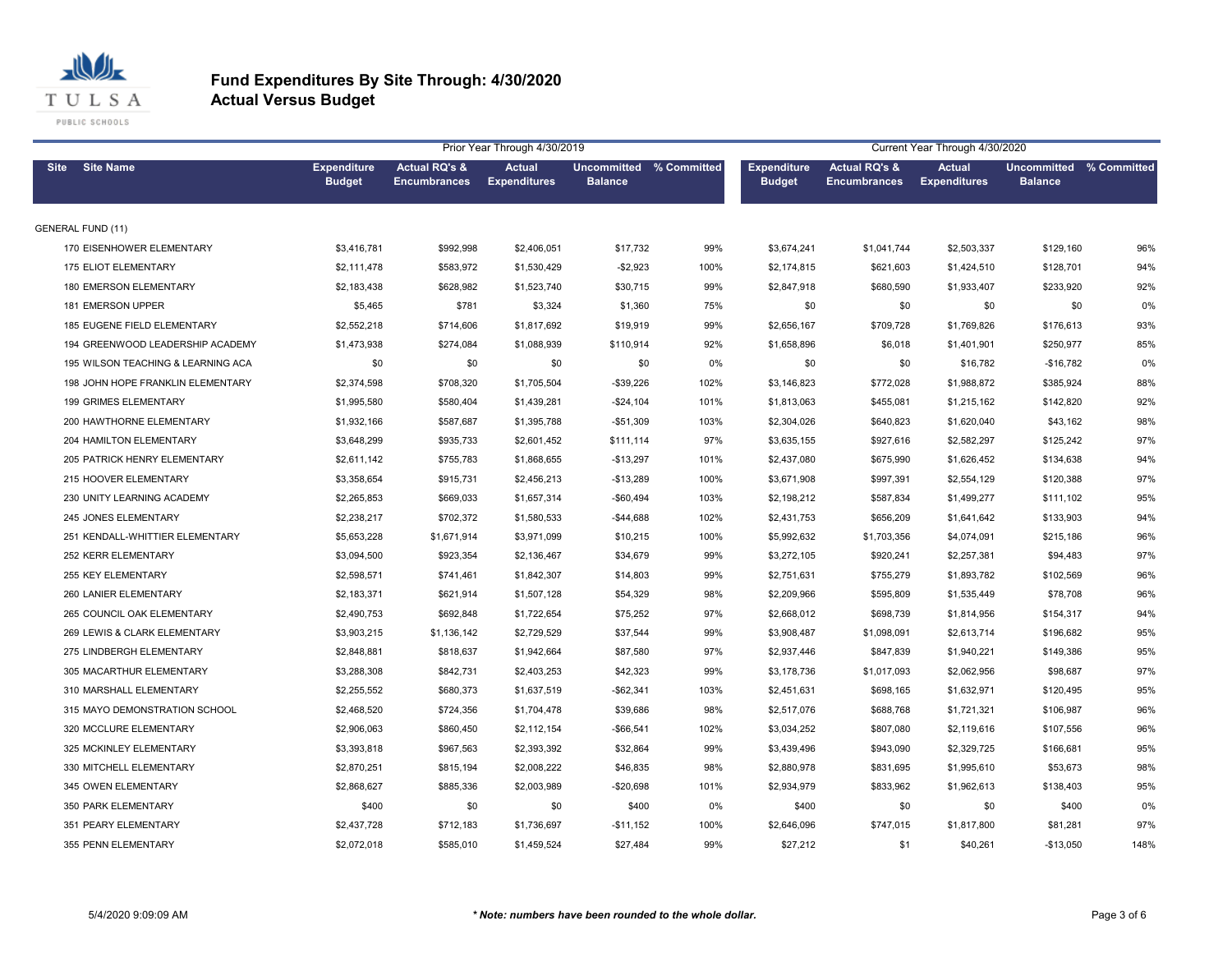

|             |                                    |                                     |                                      | Current Year Through 4/30/2020 |                                           |       |                                     |                                      |                                      |                                                  |      |
|-------------|------------------------------------|-------------------------------------|--------------------------------------|--------------------------------|-------------------------------------------|-------|-------------------------------------|--------------------------------------|--------------------------------------|--------------------------------------------------|------|
| <b>Site</b> | <b>Site Name</b>                   | <b>Expenditure</b><br><b>Budget</b> | Actual RQ's &<br><b>Encumbrances</b> | Actual<br><b>Expenditures</b>  | Uncommitted % Committed<br><b>Balance</b> |       | <b>Expenditure</b><br><b>Budget</b> | Actual RQ's &<br><b>Encumbrances</b> | <b>Actual</b><br><b>Expenditures</b> | <b>Uncommitted % Committed</b><br><b>Balance</b> |      |
|             | <b>GENERAL FUND (11)</b>           |                                     |                                      |                                |                                           |       |                                     |                                      |                                      |                                                  |      |
|             | 170 EISENHOWER ELEMENTARY          | \$3,416,781                         | \$992,998                            | \$2,406,051                    | \$17,732                                  | 99%   | \$3,674,241                         | \$1,041,744                          | \$2,503,337                          | \$129,160                                        | 96%  |
|             | <b>175 ELIOT ELEMENTARY</b>        | \$2,111,478                         | \$583,972                            | \$1,530,429                    | $-$2,923$                                 | 100%  | \$2,174,815                         | \$621,603                            | \$1,424,510                          | \$128,701                                        | 94%  |
|             | 180 EMERSON ELEMENTARY             | \$2,183,438                         | \$628,982                            | \$1,523,740                    | \$30,715                                  | 99%   | \$2,847,918                         | \$680,590                            | \$1,933,407                          | \$233,920                                        | 92%  |
|             | 181 EMERSON UPPER                  | \$5,465                             | \$781                                | \$3,324                        | \$1,360                                   | 75%   | \$0                                 | \$0                                  | \$0                                  | \$0                                              | 0%   |
|             | 185 EUGENE FIELD ELEMENTARY        | \$2,552,218                         | \$714,606                            | \$1,817,692                    | \$19,919                                  | 99%   | \$2,656,167                         | \$709,728                            | \$1,769,826                          | \$176,613                                        | 93%  |
|             | 194 GREENWOOD LEADERSHIP ACADEMY   | \$1,473,938                         | \$274,084                            | \$1,088,939                    | \$110,914                                 | 92%   | \$1,658,896                         | \$6,018                              | \$1,401,901                          | \$250,977                                        | 85%  |
|             | 195 WILSON TEACHING & LEARNING ACA | \$0                                 | \$0                                  | \$0                            | \$0                                       | $0\%$ | \$0                                 | \$0                                  | \$16,782                             | $-$16,782$                                       | 0%   |
|             | 198 JOHN HOPE FRANKLIN ELEMENTARY  | \$2,374,598                         | \$708,320                            | \$1,705,504                    | $-$39,226$                                | 102%  | \$3,146,823                         | \$772,028                            | \$1,988,872                          | \$385,924                                        | 88%  |
|             | <b>199 GRIMES ELEMENTARY</b>       | \$1,995,580                         | \$580,404                            | \$1,439,281                    | $-$24,104$                                | 101%  | \$1,813,063                         | \$455,081                            | \$1,215,162                          | \$142,820                                        | 92%  |
|             | 200 HAWTHORNE ELEMENTARY           | \$1,932,166                         | \$587,687                            | \$1,395,788                    | $-$51,309$                                | 103%  | \$2,304,026                         | \$640,823                            | \$1,620,040                          | \$43,162                                         | 98%  |
|             | 204 HAMILTON ELEMENTARY            | \$3,648,299                         | \$935,733                            | \$2,601,452                    | \$111,114                                 | 97%   | \$3,635,155                         | \$927,616                            | \$2,582,297                          | \$125,242                                        | 97%  |
|             | 205 PATRICK HENRY ELEMENTARY       | \$2,611,142                         | \$755,783                            | \$1,868,655                    | $-$13,297$                                | 101%  | \$2,437,080                         | \$675,990                            | \$1,626,452                          | \$134,638                                        | 94%  |
|             | 215 HOOVER ELEMENTARY              | \$3,358,654                         | \$915,731                            | \$2,456,213                    | $-$13,289$                                | 100%  | \$3,671,908                         | \$997,391                            | \$2,554,129                          | \$120,388                                        | 97%  |
|             | 230 UNITY LEARNING ACADEMY         | \$2,265,853                         | \$669,033                            | \$1,657,314                    | $-$60,494$                                | 103%  | \$2,198,212                         | \$587,834                            | \$1,499,277                          | \$111,102                                        | 95%  |
|             | 245 JONES ELEMENTARY               | \$2,238,217                         | \$702,372                            | \$1,580,533                    | $-$44,688$                                | 102%  | \$2,431,753                         | \$656,209                            | \$1,641,642                          | \$133,903                                        | 94%  |
|             | 251 KENDALL-WHITTIER ELEMENTARY    | \$5,653,228                         | \$1,671,914                          | \$3,971,099                    | \$10,215                                  | 100%  | \$5,992,632                         | \$1,703,356                          | \$4,074,091                          | \$215,186                                        | 96%  |
|             | 252 KERR ELEMENTARY                | \$3,094,500                         | \$923,354                            | \$2,136,467                    | \$34,679                                  | 99%   | \$3,272,105                         | \$920,241                            | \$2,257,381                          | \$94,483                                         | 97%  |
|             | 255 KEY ELEMENTARY                 | \$2,598,571                         | \$741,461                            | \$1,842,307                    | \$14,803                                  | 99%   | \$2,751,631                         | \$755,279                            | \$1,893,782                          | \$102,569                                        | 96%  |
|             | 260 LANIER ELEMENTARY              | \$2,183,371                         | \$621,914                            | \$1,507,128                    | \$54,329                                  | 98%   | \$2,209,966                         | \$595,809                            | \$1,535,449                          | \$78,708                                         | 96%  |
|             | 265 COUNCIL OAK ELEMENTARY         | \$2,490,753                         | \$692,848                            | \$1,722,654                    | \$75,252                                  | 97%   | \$2,668,012                         | \$698,739                            | \$1,814,956                          | \$154,317                                        | 94%  |
|             | 269 LEWIS & CLARK ELEMENTARY       | \$3,903,215                         | \$1,136,142                          | \$2,729,529                    | \$37,544                                  | 99%   | \$3,908,487                         | \$1,098,091                          | \$2,613,714                          | \$196,682                                        | 95%  |
|             | 275 LINDBERGH ELEMENTARY           | \$2,848,881                         | \$818,637                            | \$1,942,664                    | \$87,580                                  | 97%   | \$2,937,446                         | \$847,839                            | \$1,940,221                          | \$149,386                                        | 95%  |
|             | 305 MACARTHUR ELEMENTARY           | \$3,288,308                         | \$842,731                            | \$2,403,253                    | \$42,323                                  | 99%   | \$3,178,736                         | \$1,017,093                          | \$2,062,956                          | \$98,687                                         | 97%  |
|             | 310 MARSHALL ELEMENTARY            | \$2,255,552                         | \$680,373                            | \$1,637,519                    | $-$62,341$                                | 103%  | \$2,451,631                         | \$698,165                            | \$1,632,971                          | \$120,495                                        | 95%  |
|             | 315 MAYO DEMONSTRATION SCHOOL      | \$2,468,520                         | \$724,356                            | \$1,704,478                    | \$39,686                                  | 98%   | \$2,517,076                         | \$688,768                            | \$1,721,321                          | \$106,987                                        | 96%  |
|             | 320 MCCLURE ELEMENTARY             | \$2,906,063                         | \$860,450                            | \$2,112,154                    | $-$66,541$                                | 102%  | \$3,034,252                         | \$807,080                            | \$2,119,616                          | \$107,556                                        | 96%  |
|             | 325 MCKINLEY ELEMENTARY            | \$3,393,818                         | \$967,563                            | \$2,393,392                    | \$32,864                                  | 99%   | \$3,439,496                         | \$943,090                            | \$2,329,725                          | \$166,681                                        | 95%  |
|             | 330 MITCHELL ELEMENTARY            | \$2,870,251                         | \$815,194                            | \$2,008,222                    | \$46,835                                  | 98%   | \$2,880,978                         | \$831,695                            | \$1,995,610                          | \$53,673                                         | 98%  |
|             | 345 OWEN ELEMENTARY                | \$2,868,627                         | \$885,336                            | \$2,003,989                    | $-$20,698$                                | 101%  | \$2,934,979                         | \$833,962                            | \$1,962,613                          | \$138,403                                        | 95%  |
|             | 350 PARK ELEMENTARY                | \$400                               | \$0                                  | \$0                            | \$400                                     | 0%    | \$400                               | \$0                                  | \$0                                  | \$400                                            | 0%   |
|             | 351 PEARY ELEMENTARY               | \$2,437,728                         | \$712,183                            | \$1,736,697                    | $-$11,152$                                | 100%  | \$2,646,096                         | \$747,015                            | \$1,817,800                          | \$81,281                                         | 97%  |
|             | 355 PENN ELEMENTARY                | \$2,072,018                         | \$585,010                            | \$1,459,524                    | \$27.484                                  | 99%   | \$27,212                            | \$1                                  | \$40,261                             | $-$13,050$                                       | 148% |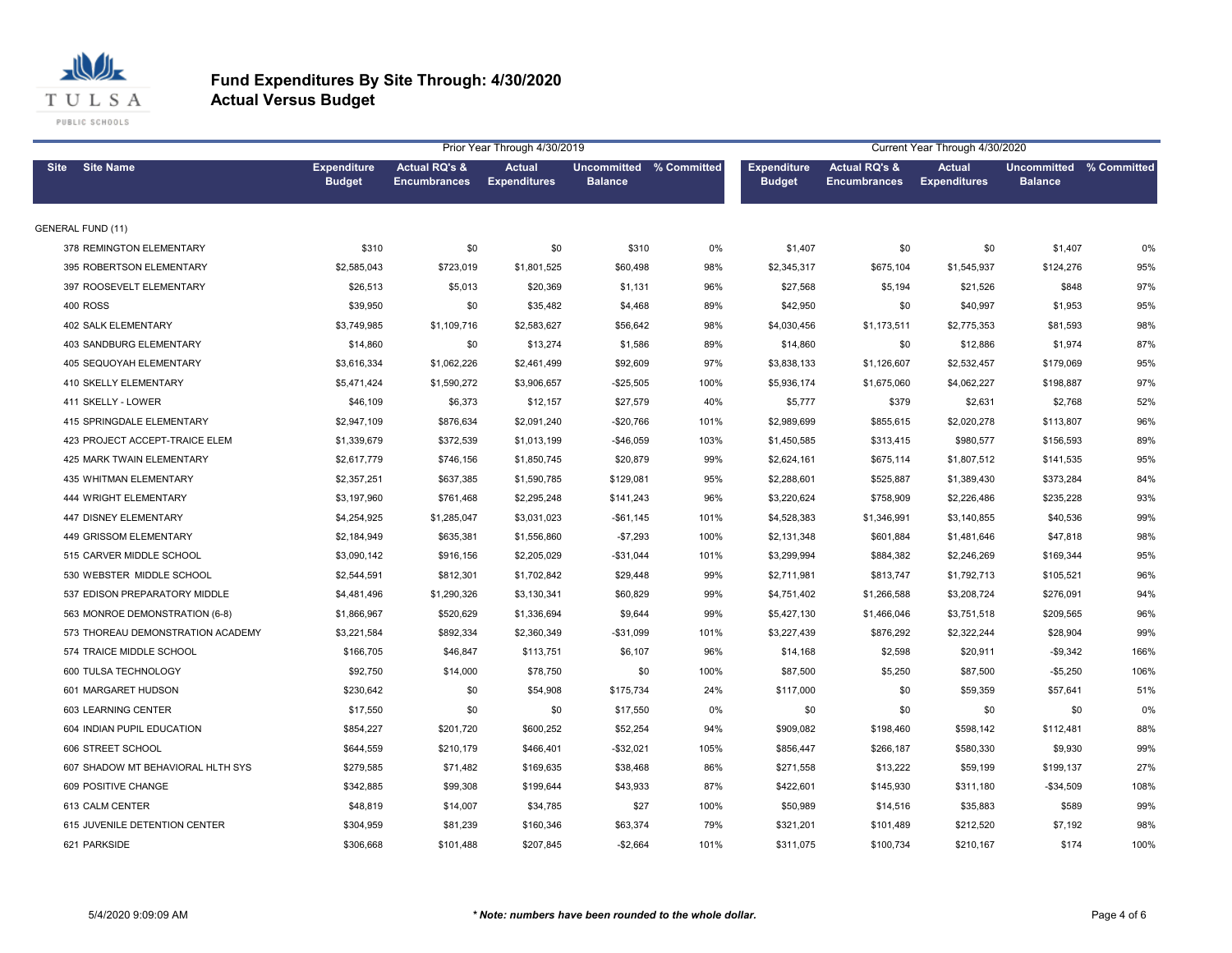

|             |                                   |                                     |                                      | Prior Year Through 4/30/2019  |                                           | Current Year Through 4/30/2020 |                                     |                                      |                                      |                                                  |      |
|-------------|-----------------------------------|-------------------------------------|--------------------------------------|-------------------------------|-------------------------------------------|--------------------------------|-------------------------------------|--------------------------------------|--------------------------------------|--------------------------------------------------|------|
| <b>Site</b> | <b>Site Name</b>                  | <b>Expenditure</b><br><b>Budget</b> | Actual RQ's &<br><b>Encumbrances</b> | Actual<br><b>Expenditures</b> | Uncommitted % Committed<br><b>Balance</b> |                                | <b>Expenditure</b><br><b>Budget</b> | Actual RQ's &<br><b>Encumbrances</b> | <b>Actual</b><br><b>Expenditures</b> | <b>Uncommitted % Committed</b><br><b>Balance</b> |      |
|             | <b>GENERAL FUND (11)</b>          |                                     |                                      |                               |                                           |                                |                                     |                                      |                                      |                                                  |      |
|             | 378 REMINGTON ELEMENTARY          | \$310                               | \$0                                  | \$0                           | \$310                                     | 0%                             | \$1,407                             | \$0                                  | \$0                                  | \$1,407                                          | 0%   |
|             | 395 ROBERTSON ELEMENTARY          | \$2,585,043                         | \$723,019                            | \$1,801,525                   | \$60,498                                  | 98%                            | \$2,345,317                         | \$675,104                            | \$1,545,937                          | \$124,276                                        | 95%  |
|             | 397 ROOSEVELT ELEMENTARY          | \$26,513                            | \$5,013                              | \$20,369                      | \$1,131                                   | 96%                            | \$27,568                            | \$5,194                              | \$21,526                             | \$848                                            | 97%  |
|             | <b>400 ROSS</b>                   | \$39,950                            | \$0                                  | \$35,482                      | \$4,468                                   | 89%                            | \$42,950                            | \$0                                  | \$40,997                             | \$1,953                                          | 95%  |
|             | <b>402 SALK ELEMENTARY</b>        | \$3,749,985                         | \$1,109,716                          | \$2,583,627                   | \$56,642                                  | 98%                            | \$4,030,456                         | \$1,173,511                          | \$2,775,353                          | \$81,593                                         | 98%  |
|             | <b>403 SANDBURG ELEMENTARY</b>    | \$14,860                            | \$0                                  | \$13,274                      | \$1,586                                   | 89%                            | \$14,860                            | \$0                                  | \$12,886                             | \$1,974                                          | 87%  |
|             | 405 SEQUOYAH ELEMENTARY           | \$3,616,334                         | \$1,062,226                          | \$2,461,499                   | \$92,609                                  | 97%                            | \$3,838,133                         | \$1,126,607                          | \$2,532,457                          | \$179,069                                        | 95%  |
|             | 410 SKELLY ELEMENTARY             | \$5,471,424                         | \$1,590,272                          | \$3,906,657                   | $-$25,505$                                | 100%                           | \$5,936,174                         | \$1,675,060                          | \$4,062,227                          | \$198,887                                        | 97%  |
|             | 411 SKELLY - LOWER                | \$46,109                            | \$6,373                              | \$12,157                      | \$27,579                                  | 40%                            | \$5,777                             | \$379                                | \$2,631                              | \$2,768                                          | 52%  |
|             | 415 SPRINGDALE ELEMENTARY         | \$2,947,109                         | \$876,634                            | \$2,091,240                   | $-$20,766$                                | 101%                           | \$2,989,699                         | \$855,615                            | \$2,020,278                          | \$113,807                                        | 96%  |
|             | 423 PROJECT ACCEPT-TRAICE ELEM    | \$1,339,679                         | \$372,539                            | \$1,013,199                   | $-$46,059$                                | 103%                           | \$1,450,585                         | \$313,415                            | \$980,577                            | \$156,593                                        | 89%  |
|             | <b>425 MARK TWAIN ELEMENTARY</b>  | \$2,617,779                         | \$746,156                            | \$1,850,745                   | \$20,879                                  | 99%                            | \$2,624,161                         | \$675,114                            | \$1,807,512                          | \$141,535                                        | 95%  |
|             | 435 WHITMAN ELEMENTARY            | \$2,357,251                         | \$637,385                            | \$1,590,785                   | \$129,081                                 | 95%                            | \$2,288,601                         | \$525,887                            | \$1,389,430                          | \$373,284                                        | 84%  |
|             | 444 WRIGHT ELEMENTARY             | \$3,197,960                         | \$761,468                            | \$2,295,248                   | \$141,243                                 | 96%                            | \$3,220,624                         | \$758,909                            | \$2,226,486                          | \$235,228                                        | 93%  |
|             | 447 DISNEY ELEMENTARY             | \$4,254,925                         | \$1,285,047                          | \$3,031,023                   | $-$61,145$                                | 101%                           | \$4,528,383                         | \$1,346,991                          | \$3,140,855                          | \$40,536                                         | 99%  |
|             | 449 GRISSOM ELEMENTARY            | \$2,184,949                         | \$635,381                            | \$1,556,860                   | $-$7,293$                                 | 100%                           | \$2,131,348                         | \$601,884                            | \$1,481,646                          | \$47,818                                         | 98%  |
|             | 515 CARVER MIDDLE SCHOOL          | \$3,090,142                         | \$916,156                            | \$2,205,029                   | $-$31,044$                                | 101%                           | \$3,299,994                         | \$884,382                            | \$2,246,269                          | \$169,344                                        | 95%  |
|             | 530 WEBSTER MIDDLE SCHOOL         | \$2,544,591                         | \$812,301                            | \$1,702,842                   | \$29,448                                  | 99%                            | \$2,711,981                         | \$813,747                            | \$1,792,713                          | \$105,521                                        | 96%  |
|             | 537 EDISON PREPARATORY MIDDLE     | \$4,481,496                         | \$1,290,326                          | \$3,130,341                   | \$60,829                                  | 99%                            | \$4,751,402                         | \$1,266,588                          | \$3,208,724                          | \$276,091                                        | 94%  |
|             | 563 MONROE DEMONSTRATION (6-8)    | \$1,866,967                         | \$520,629                            | \$1,336,694                   | \$9,644                                   | 99%                            | \$5,427,130                         | \$1,466,046                          | \$3,751,518                          | \$209,565                                        | 96%  |
|             | 573 THOREAU DEMONSTRATION ACADEMY | \$3,221,584                         | \$892,334                            | \$2,360,349                   | $-$31,099$                                | 101%                           | \$3,227,439                         | \$876,292                            | \$2,322,244                          | \$28,904                                         | 99%  |
|             | 574 TRAICE MIDDLE SCHOOL          | \$166,705                           | \$46,847                             | \$113,751                     | \$6,107                                   | 96%                            | \$14,168                            | \$2,598                              | \$20,911                             | $-$9,342$                                        | 166% |
|             | 600 TULSA TECHNOLOGY              | \$92,750                            | \$14,000                             | \$78,750                      | \$0                                       | 100%                           | \$87,500                            | \$5,250                              | \$87,500                             | $-$5,250$                                        | 106% |
|             | 601 MARGARET HUDSON               | \$230,642                           | \$0                                  | \$54,908                      | \$175,734                                 | 24%                            | \$117,000                           | \$0                                  | \$59,359                             | \$57,641                                         | 51%  |
|             | 603 LEARNING CENTER               | \$17,550                            | \$0                                  | \$0                           | \$17,550                                  | 0%                             | \$0                                 | \$0                                  | \$0                                  | \$0                                              | 0%   |
|             | 604 INDIAN PUPIL EDUCATION        | \$854,227                           | \$201,720                            | \$600,252                     | \$52,254                                  | 94%                            | \$909,082                           | \$198,460                            | \$598,142                            | \$112,481                                        | 88%  |
|             | 606 STREET SCHOOL                 | \$644,559                           | \$210,179                            | \$466,401                     | $-$32,021$                                | 105%                           | \$856,447                           | \$266,187                            | \$580,330                            | \$9,930                                          | 99%  |
|             | 607 SHADOW MT BEHAVIORAL HLTH SYS | \$279,585                           | \$71,482                             | \$169,635                     | \$38,468                                  | 86%                            | \$271,558                           | \$13,222                             | \$59,199                             | \$199,137                                        | 27%  |
|             | 609 POSITIVE CHANGE               | \$342,885                           | \$99,308                             | \$199,644                     | \$43,933                                  | 87%                            | \$422,601                           | \$145,930                            | \$311,180                            | $-$34,509$                                       | 108% |
|             | 613 CALM CENTER                   | \$48,819                            | \$14,007                             | \$34,785                      | \$27                                      | 100%                           | \$50,989                            | \$14,516                             | \$35,883                             | \$589                                            | 99%  |
|             | 615 JUVENILE DETENTION CENTER     | \$304,959                           | \$81,239                             | \$160,346                     | \$63,374                                  | 79%                            | \$321,201                           | \$101,489                            | \$212,520                            | \$7,192                                          | 98%  |
|             | 621 PARKSIDE                      | \$306,668                           | \$101.488                            | \$207.845                     | $-$2.664$                                 | 101%                           | \$311.075                           | \$100.734                            | \$210.167                            | \$174                                            | 100% |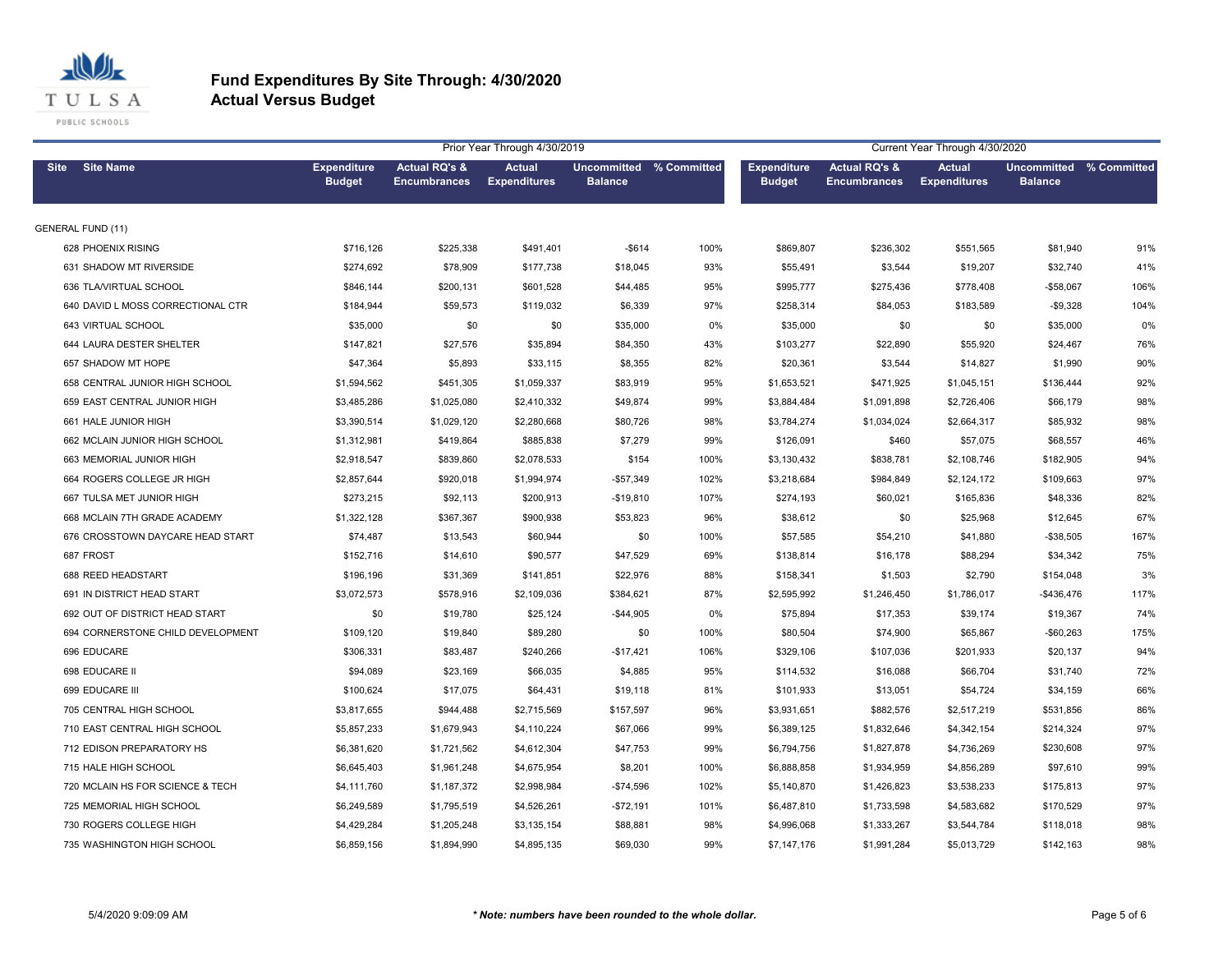

| Prior Year Through 4/30/2019 |                                   |                                     |                                      |                               |                                           |      |                                     | Current Year Through 4/30/2020       |                                      |                                                  |      |  |  |
|------------------------------|-----------------------------------|-------------------------------------|--------------------------------------|-------------------------------|-------------------------------------------|------|-------------------------------------|--------------------------------------|--------------------------------------|--------------------------------------------------|------|--|--|
| <b>Site</b>                  | <b>Site Name</b>                  | <b>Expenditure</b><br><b>Budget</b> | Actual RQ's &<br><b>Encumbrances</b> | Actual<br><b>Expenditures</b> | Uncommitted % Committed<br><b>Balance</b> |      | <b>Expenditure</b><br><b>Budget</b> | Actual RQ's &<br><b>Encumbrances</b> | <b>Actual</b><br><b>Expenditures</b> | <b>Uncommitted % Committed</b><br><b>Balance</b> |      |  |  |
|                              | <b>GENERAL FUND (11)</b>          |                                     |                                      |                               |                                           |      |                                     |                                      |                                      |                                                  |      |  |  |
|                              | 628 PHOENIX RISING                | \$716,126                           | \$225,338                            | \$491,401                     | -\$614                                    | 100% | \$869,807                           | \$236,302                            | \$551,565                            | \$81,940                                         | 91%  |  |  |
|                              | 631 SHADOW MT RIVERSIDE           | \$274,692                           | \$78,909                             | \$177,738                     | \$18,045                                  | 93%  | \$55,491                            | \$3,544                              | \$19,207                             | \$32,740                                         | 41%  |  |  |
|                              | 636 TLA/VIRTUAL SCHOOL            | \$846,144                           | \$200,131                            | \$601,528                     | \$44,485                                  | 95%  | \$995,777                           | \$275,436                            | \$778,408                            | $-$58,067$                                       | 106% |  |  |
|                              | 640 DAVID L MOSS CORRECTIONAL CTR | \$184,944                           | \$59,573                             | \$119,032                     | \$6,339                                   | 97%  | \$258,314                           | \$84,053                             | \$183,589                            | $-$9,328$                                        | 104% |  |  |
|                              | 643 VIRTUAL SCHOOL                | \$35,000                            | \$0                                  | \$0                           | \$35,000                                  | 0%   | \$35,000                            | \$0                                  | \$0                                  | \$35,000                                         | 0%   |  |  |
|                              | 644 LAURA DESTER SHELTER          | \$147,821                           | \$27,576                             | \$35,894                      | \$84,350                                  | 43%  | \$103,277                           | \$22,890                             | \$55,920                             | \$24,467                                         | 76%  |  |  |
|                              | 657 SHADOW MT HOPE                | \$47,364                            | \$5,893                              | \$33,115                      | \$8,355                                   | 82%  | \$20,361                            | \$3,544                              | \$14,827                             | \$1,990                                          | 90%  |  |  |
|                              | 658 CENTRAL JUNIOR HIGH SCHOOL    | \$1,594,562                         | \$451,305                            | \$1,059,337                   | \$83,919                                  | 95%  | \$1,653,521                         | \$471,925                            | \$1,045,151                          | \$136,444                                        | 92%  |  |  |
|                              | 659 EAST CENTRAL JUNIOR HIGH      | \$3,485,286                         | \$1,025,080                          | \$2,410,332                   | \$49,874                                  | 99%  | \$3,884,484                         | \$1,091,898                          | \$2,726,406                          | \$66,179                                         | 98%  |  |  |
|                              | 661 HALE JUNIOR HIGH              | \$3,390,514                         | \$1,029,120                          | \$2,280,668                   | \$80,726                                  | 98%  | \$3,784,274                         | \$1,034,024                          | \$2,664,317                          | \$85,932                                         | 98%  |  |  |
|                              | 662 MCLAIN JUNIOR HIGH SCHOOL     | \$1,312,981                         | \$419,864                            | \$885,838                     | \$7,279                                   | 99%  | \$126,091                           | \$460                                | \$57,075                             | \$68,557                                         | 46%  |  |  |
|                              | 663 MEMORIAL JUNIOR HIGH          | \$2,918,547                         | \$839,860                            | \$2,078,533                   | \$154                                     | 100% | \$3,130,432                         | \$838,781                            | \$2,108,746                          | \$182,905                                        | 94%  |  |  |
|                              | 664 ROGERS COLLEGE JR HIGH        | \$2,857,644                         | \$920,018                            | \$1,994,974                   | $-$57,349$                                | 102% | \$3,218,684                         | \$984,849                            | \$2,124,172                          | \$109,663                                        | 97%  |  |  |
|                              | 667 TULSA MET JUNIOR HIGH         | \$273,215                           | \$92,113                             | \$200,913                     | $-$19,810$                                | 107% | \$274,193                           | \$60,021                             | \$165,836                            | \$48,336                                         | 82%  |  |  |
|                              | 668 MCLAIN 7TH GRADE ACADEMY      | \$1,322,128                         | \$367,367                            | \$900,938                     | \$53,823                                  | 96%  | \$38,612                            | \$0                                  | \$25,968                             | \$12,645                                         | 67%  |  |  |
|                              | 676 CROSSTOWN DAYCARE HEAD START  | \$74,487                            | \$13,543                             | \$60,944                      | \$0                                       | 100% | \$57,585                            | \$54,210                             | \$41,880                             | $-$38,505$                                       | 167% |  |  |
|                              | 687 FROST                         | \$152,716                           | \$14,610                             | \$90,577                      | \$47,529                                  | 69%  | \$138,814                           | \$16,178                             | \$88,294                             | \$34,342                                         | 75%  |  |  |
|                              | 688 REED HEADSTART                | \$196,196                           | \$31,369                             | \$141,851                     | \$22,976                                  | 88%  | \$158,341                           | \$1,503                              | \$2,790                              | \$154,048                                        | 3%   |  |  |
|                              | 691 IN DISTRICT HEAD START        | \$3,072,573                         | \$578,916                            | \$2,109,036                   | \$384,621                                 | 87%  | \$2,595,992                         | \$1,246,450                          | \$1,786,017                          | -\$436,476                                       | 117% |  |  |
|                              | 692 OUT OF DISTRICT HEAD START    | \$0                                 | \$19,780                             | \$25,124                      | $-$44,905$                                | 0%   | \$75,894                            | \$17,353                             | \$39,174                             | \$19,367                                         | 74%  |  |  |
|                              | 694 CORNERSTONE CHILD DEVELOPMENT | \$109,120                           | \$19,840                             | \$89,280                      | \$0                                       | 100% | \$80,504                            | \$74,900                             | \$65,867                             | $-$60,263$                                       | 175% |  |  |
|                              | 696 EDUCARE                       | \$306,331                           | \$83,487                             | \$240,266                     | $-$17,421$                                | 106% | \$329,106                           | \$107,036                            | \$201,933                            | \$20,137                                         | 94%  |  |  |
|                              | 698 EDUCARE II                    | \$94,089                            | \$23,169                             | \$66,035                      | \$4,885                                   | 95%  | \$114,532                           | \$16,088                             | \$66,704                             | \$31,740                                         | 72%  |  |  |
|                              | 699 EDUCARE III                   | \$100,624                           | \$17,075                             | \$64,431                      | \$19,118                                  | 81%  | \$101,933                           | \$13,051                             | \$54,724                             | \$34,159                                         | 66%  |  |  |
|                              | 705 CENTRAL HIGH SCHOOL           | \$3,817,655                         | \$944,488                            | \$2,715,569                   | \$157,597                                 | 96%  | \$3,931,651                         | \$882,576                            | \$2,517,219                          | \$531,856                                        | 86%  |  |  |
|                              | 710 EAST CENTRAL HIGH SCHOOL      | \$5,857,233                         | \$1,679,943                          | \$4,110,224                   | \$67,066                                  | 99%  | \$6,389,125                         | \$1,832,646                          | \$4,342,154                          | \$214,324                                        | 97%  |  |  |
|                              | 712 EDISON PREPARATORY HS         | \$6,381,620                         | \$1,721,562                          | \$4,612,304                   | \$47,753                                  | 99%  | \$6,794,756                         | \$1,827,878                          | \$4,736,269                          | \$230,608                                        | 97%  |  |  |
|                              | 715 HALE HIGH SCHOOL              | \$6,645,403                         | \$1,961,248                          | \$4,675,954                   | \$8,201                                   | 100% | \$6,888,858                         | \$1,934,959                          | \$4,856,289                          | \$97,610                                         | 99%  |  |  |
|                              | 720 MCLAIN HS FOR SCIENCE & TECH  | \$4,111,760                         | \$1,187,372                          | \$2,998,984                   | $-$74,596$                                | 102% | \$5,140,870                         | \$1,426,823                          | \$3,538,233                          | \$175,813                                        | 97%  |  |  |
|                              | 725 MEMORIAL HIGH SCHOOL          | \$6,249,589                         | \$1,795,519                          | \$4,526,261                   | $-$72,191$                                | 101% | \$6,487,810                         | \$1,733,598                          | \$4,583,682                          | \$170,529                                        | 97%  |  |  |
|                              | 730 ROGERS COLLEGE HIGH           | \$4,429,284                         | \$1,205,248                          | \$3,135,154                   | \$88,881                                  | 98%  | \$4,996,068                         | \$1,333,267                          | \$3,544,784                          | \$118,018                                        | 98%  |  |  |
|                              | 735 WASHINGTON HIGH SCHOOL        | \$6,859,156                         | \$1,894,990                          | \$4,895,135                   | \$69,030                                  | 99%  | \$7,147,176                         | \$1,991,284                          | \$5,013,729                          | \$142,163                                        | 98%  |  |  |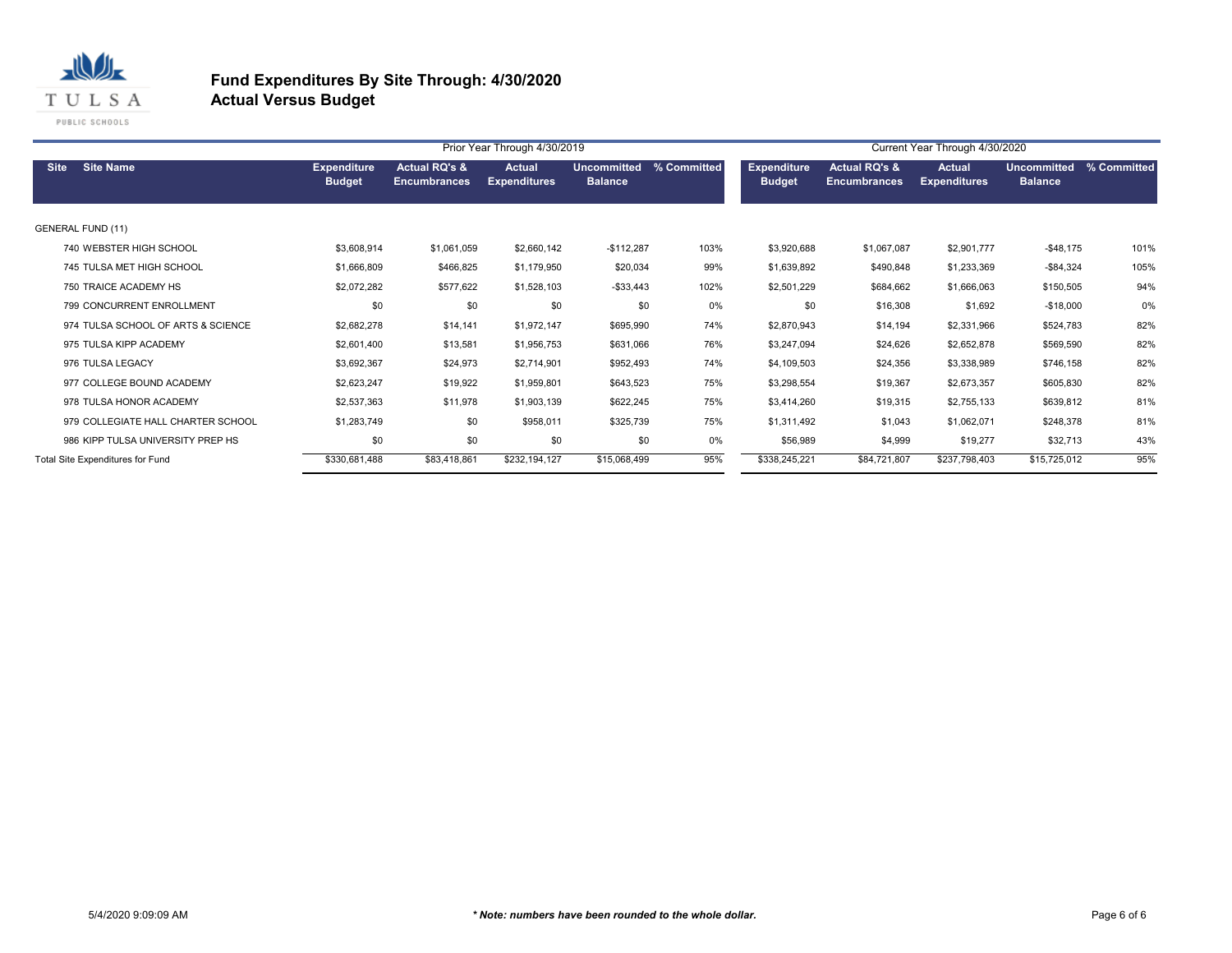

|                                    |                                     |                                                 | Prior Year Through 4/30/2019  |                               |             | Current Year Through 4/30/2020      |                                      |                                      |                                      |             |  |
|------------------------------------|-------------------------------------|-------------------------------------------------|-------------------------------|-------------------------------|-------------|-------------------------------------|--------------------------------------|--------------------------------------|--------------------------------------|-------------|--|
| <b>Site Name</b><br><b>Site</b>    | <b>Expenditure</b><br><b>Budget</b> | <b>Actual RQ's &amp;</b><br><b>Encumbrances</b> | Actual<br><b>Expenditures</b> | Uncommitted<br><b>Balance</b> | % Committed | <b>Expenditure</b><br><b>Budget</b> | Actual RQ's &<br><b>Encumbrances</b> | <b>Actual</b><br><b>Expenditures</b> | <b>Uncommitted</b><br><b>Balance</b> | % Committed |  |
| <b>GENERAL FUND (11)</b>           |                                     |                                                 |                               |                               |             |                                     |                                      |                                      |                                      |             |  |
| 740 WEBSTER HIGH SCHOOL            | \$3,608,914                         | \$1,061,059                                     | \$2,660,142                   | $-$112,287$                   | 103%        | \$3,920,688                         | \$1,067,087                          | \$2,901,777                          | $-$ \$48,175                         | 101%        |  |
| 745 TULSA MET HIGH SCHOOL          | \$1,666,809                         | \$466,825                                       | \$1,179,950                   | \$20,034                      | 99%         | \$1,639,892                         | \$490,848                            | \$1,233,369                          | $-$84,324$                           | 105%        |  |
| 750 TRAICE ACADEMY HS              | \$2,072,282                         | \$577,622                                       | \$1,528,103                   | $-$ \$33,443                  | 102%        | \$2,501,229                         | \$684,662                            | \$1,666,063                          | \$150,505                            | 94%         |  |
| 799 CONCURRENT ENROLLMENT          | \$0                                 | \$0                                             | \$0                           | \$0                           | 0%          | \$0                                 | \$16,308                             | \$1,692                              | $-$18,000$                           | 0%          |  |
| 974 TULSA SCHOOL OF ARTS & SCIENCE | \$2,682,278                         | \$14,141                                        | \$1,972,147                   | \$695,990                     | 74%         | \$2,870,943                         | \$14,194                             | \$2,331,966                          | \$524,783                            | 82%         |  |
| 975 TULSA KIPP ACADEMY             | \$2,601,400                         | \$13,581                                        | \$1,956,753                   | \$631,066                     | 76%         | \$3,247,094                         | \$24,626                             | \$2,652,878                          | \$569,590                            | 82%         |  |
| 976 TULSA LEGACY                   | \$3,692,367                         | \$24,973                                        | \$2,714,901                   | \$952,493                     | 74%         | \$4,109,503                         | \$24,356                             | \$3,338,989                          | \$746,158                            | 82%         |  |
| 977 COLLEGE BOUND ACADEMY          | \$2,623,247                         | \$19,922                                        | \$1,959,801                   | \$643,523                     | 75%         | \$3,298,554                         | \$19,367                             | \$2,673,357                          | \$605,830                            | 82%         |  |
| 978 TULSA HONOR ACADEMY            | \$2,537,363                         | \$11,978                                        | \$1,903,139                   | \$622,245                     | 75%         | \$3,414,260                         | \$19,315                             | \$2,755,133                          | \$639,812                            | 81%         |  |
| 979 COLLEGIATE HALL CHARTER SCHOOL | \$1,283,749                         | \$0                                             | \$958,011                     | \$325,739                     | 75%         | \$1,311,492                         | \$1,043                              | \$1,062,071                          | \$248,378                            | 81%         |  |
| 986 KIPP TULSA UNIVERSITY PREP HS  | \$0                                 | \$0                                             | \$0                           | \$0                           | 0%          | \$56,989                            | \$4,999                              | \$19,277                             | \$32,713                             | 43%         |  |
| Total Site Expenditures for Fund   | \$330,681,488                       | \$83,418,861                                    | \$232,194,127                 | \$15,068,499                  | 95%         | \$338,245,221                       | \$84,721,807                         | \$237,798,403                        | \$15,725,012                         | 95%         |  |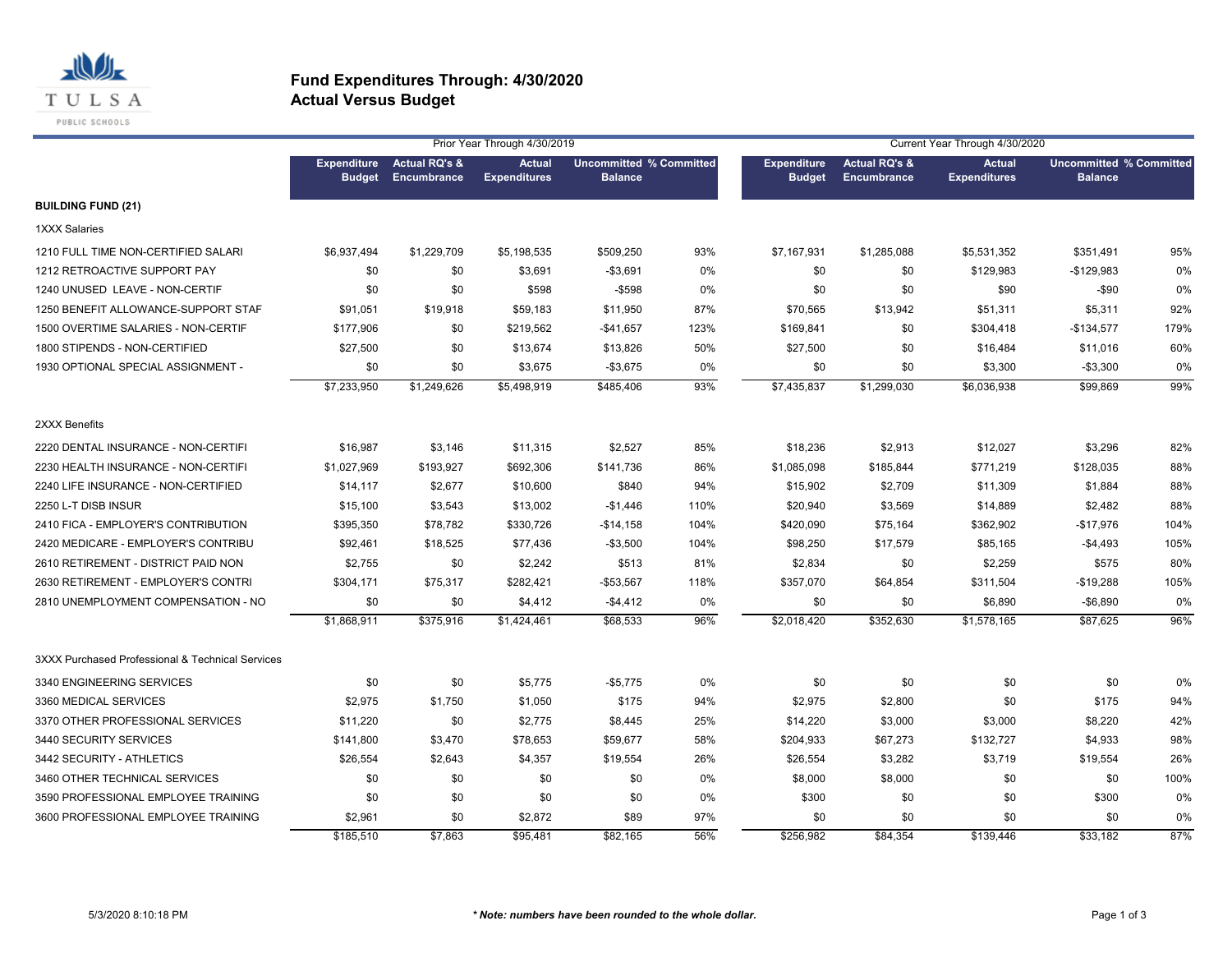

|                                                  |               |                                          | Prior Year Through 4/30/2019         |                                                  |      |                                     |                                                | Current Year Through 4/30/2020       |                                                  |      |
|--------------------------------------------------|---------------|------------------------------------------|--------------------------------------|--------------------------------------------------|------|-------------------------------------|------------------------------------------------|--------------------------------------|--------------------------------------------------|------|
|                                                  | <b>Budget</b> | Expenditure Actual RQ's &<br>Encumbrance | <b>Actual</b><br><b>Expenditures</b> | <b>Uncommitted % Committed</b><br><b>Balance</b> |      | <b>Expenditure</b><br><b>Budget</b> | <b>Actual RQ's &amp;</b><br><b>Encumbrance</b> | <b>Actual</b><br><b>Expenditures</b> | <b>Uncommitted % Committed</b><br><b>Balance</b> |      |
| <b>BUILDING FUND (21)</b>                        |               |                                          |                                      |                                                  |      |                                     |                                                |                                      |                                                  |      |
| <b>1XXX Salaries</b>                             |               |                                          |                                      |                                                  |      |                                     |                                                |                                      |                                                  |      |
| 1210 FULL TIME NON-CERTIFIED SALARI              | \$6,937,494   | \$1,229,709                              | \$5,198,535                          | \$509,250                                        | 93%  | \$7,167,931                         | \$1,285,088                                    | \$5,531,352                          | \$351,491                                        | 95%  |
| 1212 RETROACTIVE SUPPORT PAY                     | \$0           | \$0                                      | \$3,691                              | $-$ \$3,691                                      | 0%   | \$0                                 | \$0                                            | \$129,983                            | $-$129,983$                                      | 0%   |
| 1240 UNUSED LEAVE - NON-CERTIF                   | \$0           | \$0                                      | \$598                                | $-$598$                                          | 0%   | \$0                                 | \$0                                            | \$90                                 | $-$ \$90                                         | 0%   |
| 1250 BENEFIT ALLOWANCE-SUPPORT STAF              | \$91,051      | \$19,918                                 | \$59,183                             | \$11,950                                         | 87%  | \$70,565                            | \$13,942                                       | \$51,311                             | \$5,311                                          | 92%  |
| 1500 OVERTIME SALARIES - NON-CERTIF              | \$177,906     | \$0                                      | \$219,562                            | -\$41,657                                        | 123% | \$169,841                           | \$0                                            | \$304,418                            | $-$134,577$                                      | 179% |
| 1800 STIPENDS - NON-CERTIFIED                    | \$27,500      | \$0                                      | \$13,674                             | \$13,826                                         | 50%  | \$27,500                            | \$0                                            | \$16,484                             | \$11,016                                         | 60%  |
| 1930 OPTIONAL SPECIAL ASSIGNMENT -               | \$0           | \$0                                      | \$3,675                              | $-$3,675$                                        | 0%   | \$0                                 | \$0                                            | \$3,300                              | $-$3,300$                                        | 0%   |
|                                                  | \$7,233,950   | \$1,249,626                              | \$5,498,919                          | \$485,406                                        | 93%  | \$7,435,837                         | \$1,299,030                                    | \$6,036,938                          | \$99,869                                         | 99%  |
| 2XXX Benefits                                    |               |                                          |                                      |                                                  |      |                                     |                                                |                                      |                                                  |      |
| 2220 DENTAL INSURANCE - NON-CERTIFI              | \$16,987      | \$3,146                                  | \$11,315                             | \$2,527                                          | 85%  | \$18,236                            | \$2,913                                        | \$12,027                             | \$3,296                                          | 82%  |
| 2230 HEALTH INSURANCE - NON-CERTIFI              | \$1,027,969   | \$193,927                                | \$692,306                            | \$141,736                                        | 86%  | \$1,085,098                         | \$185,844                                      | \$771,219                            | \$128,035                                        | 88%  |
| 2240 LIFE INSURANCE - NON-CERTIFIED              | \$14,117      | \$2,677                                  | \$10,600                             | \$840                                            | 94%  | \$15,902                            | \$2,709                                        | \$11,309                             | \$1,884                                          | 88%  |
| 2250 L-T DISB INSUR                              | \$15,100      | \$3,543                                  | \$13,002                             | $-$1,446$                                        | 110% | \$20,940                            | \$3,569                                        | \$14,889                             | \$2,482                                          | 88%  |
| 2410 FICA - EMPLOYER'S CONTRIBUTION              | \$395,350     | \$78,782                                 | \$330,726                            | $-$14,158$                                       | 104% | \$420,090                           | \$75,164                                       | \$362,902                            | $-$17,976$                                       | 104% |
| 2420 MEDICARE - EMPLOYER'S CONTRIBU              | \$92,461      | \$18,525                                 | \$77,436                             | $-$3,500$                                        | 104% | \$98,250                            | \$17,579                                       | \$85,165                             | $-$4,493$                                        | 105% |
| 2610 RETIREMENT - DISTRICT PAID NON              | \$2,755       | \$0                                      | \$2,242                              | \$513                                            | 81%  | \$2,834                             | \$0                                            | \$2,259                              | \$575                                            | 80%  |
| 2630 RETIREMENT - EMPLOYER'S CONTRI              | \$304,171     | \$75,317                                 | \$282,421                            | $-$53,567$                                       | 118% | \$357,070                           | \$64,854                                       | \$311,504                            | $-$19,288$                                       | 105% |
| 2810 UNEMPLOYMENT COMPENSATION - NO              | \$0           | \$0                                      | \$4,412                              | $-$4,412$                                        | 0%   | \$0                                 | \$0                                            | \$6,890                              | $-$6,890$                                        | 0%   |
|                                                  | \$1,868,911   | \$375,916                                | \$1,424,461                          | \$68,533                                         | 96%  | \$2,018,420                         | \$352,630                                      | \$1,578,165                          | \$87,625                                         | 96%  |
| 3XXX Purchased Professional & Technical Services |               |                                          |                                      |                                                  |      |                                     |                                                |                                      |                                                  |      |
| 3340 ENGINEERING SERVICES                        | \$0           | \$0                                      | \$5,775                              | $-$5,775$                                        | 0%   | \$0                                 | \$0                                            | \$0                                  | \$0                                              | 0%   |
| 3360 MEDICAL SERVICES                            | \$2,975       | \$1,750                                  | \$1,050                              | \$175                                            | 94%  | \$2,975                             | \$2,800                                        | \$0                                  | \$175                                            | 94%  |
| 3370 OTHER PROFESSIONAL SERVICES                 | \$11,220      | \$0                                      | \$2,775                              | \$8,445                                          | 25%  | \$14,220                            | \$3,000                                        | \$3,000                              | \$8,220                                          | 42%  |
| 3440 SECURITY SERVICES                           | \$141,800     | \$3,470                                  | \$78,653                             | \$59,677                                         | 58%  | \$204,933                           | \$67,273                                       | \$132,727                            | \$4,933                                          | 98%  |
| 3442 SECURITY - ATHLETICS                        | \$26,554      | \$2,643                                  | \$4,357                              | \$19,554                                         | 26%  | \$26,554                            | \$3,282                                        | \$3,719                              | \$19,554                                         | 26%  |
| 3460 OTHER TECHNICAL SERVICES                    | \$0           | \$0                                      | \$0                                  | \$0                                              | 0%   | \$8,000                             | \$8,000                                        | \$0                                  | \$0                                              | 100% |
| 3590 PROFESSIONAL EMPLOYEE TRAINING              | \$0           | \$0                                      | \$0                                  | \$0                                              | 0%   | \$300                               | \$0                                            | \$0                                  | \$300                                            | 0%   |
| 3600 PROFESSIONAL EMPLOYEE TRAINING              | \$2,961       | \$0                                      | \$2,872                              | \$89                                             | 97%  | \$0                                 | \$0                                            | \$0                                  | \$0                                              | 0%   |
|                                                  | \$185,510     | \$7,863                                  | \$95,481                             | \$82,165                                         | 56%  | \$256,982                           | \$84,354                                       | \$139,446                            | \$33.182                                         | 87%  |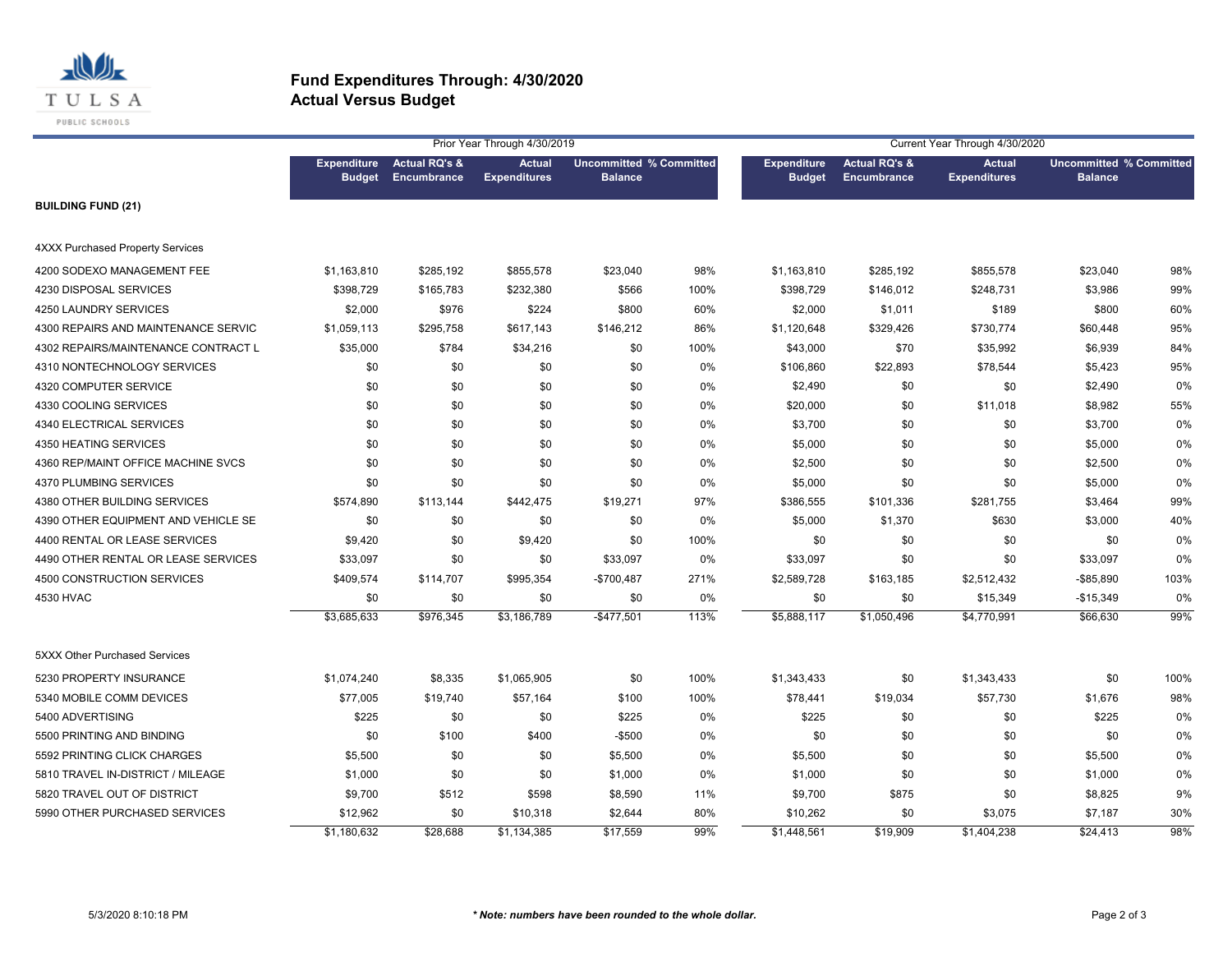

|                                         |               |                                                 | Prior Year Through 4/30/2019         |                                                  |      | Current Year Through 4/30/2020      |                                         |                                      |                                                  |      |
|-----------------------------------------|---------------|-------------------------------------------------|--------------------------------------|--------------------------------------------------|------|-------------------------------------|-----------------------------------------|--------------------------------------|--------------------------------------------------|------|
|                                         | <b>Budget</b> | <b>Expenditure</b> Actual RQ's &<br>Encumbrance | <b>Actual</b><br><b>Expenditures</b> | <b>Uncommitted % Committed</b><br><b>Balance</b> |      | <b>Expenditure</b><br><b>Budget</b> | <b>Actual RQ's &amp;</b><br>Encumbrance | <b>Actual</b><br><b>Expenditures</b> | <b>Uncommitted % Committed</b><br><b>Balance</b> |      |
| <b>BUILDING FUND (21)</b>               |               |                                                 |                                      |                                                  |      |                                     |                                         |                                      |                                                  |      |
| <b>4XXX Purchased Property Services</b> |               |                                                 |                                      |                                                  |      |                                     |                                         |                                      |                                                  |      |
| 4200 SODEXO MANAGEMENT FEE              | \$1,163,810   | \$285,192                                       | \$855,578                            | \$23,040                                         | 98%  | \$1,163,810                         | \$285,192                               | \$855,578                            | \$23,040                                         | 98%  |
| 4230 DISPOSAL SERVICES                  | \$398,729     | \$165,783                                       | \$232,380                            | \$566                                            | 100% | \$398,729                           | \$146,012                               | \$248,731                            | \$3,986                                          | 99%  |
| 4250 LAUNDRY SERVICES                   | \$2,000       | \$976                                           | \$224                                | \$800                                            | 60%  | \$2,000                             | \$1,011                                 | \$189                                | \$800                                            | 60%  |
| 4300 REPAIRS AND MAINTENANCE SERVIC     | \$1,059,113   | \$295,758                                       | \$617,143                            | \$146,212                                        | 86%  | \$1,120,648                         | \$329,426                               | \$730,774                            | \$60,448                                         | 95%  |
| 4302 REPAIRS/MAINTENANCE CONTRACT L     | \$35,000      | \$784                                           | \$34,216                             | \$0                                              | 100% | \$43,000                            | \$70                                    | \$35,992                             | \$6,939                                          | 84%  |
| 4310 NONTECHNOLOGY SERVICES             | \$0           | \$0                                             | \$0                                  | \$0                                              | 0%   | \$106,860                           | \$22,893                                | \$78,544                             | \$5,423                                          | 95%  |
| 4320 COMPUTER SERVICE                   | \$0           | \$0                                             | \$0                                  | \$0                                              | 0%   | \$2,490                             | \$0                                     | \$0                                  | \$2,490                                          | 0%   |
| 4330 COOLING SERVICES                   | \$0           | \$0                                             | \$0                                  | \$0                                              | 0%   | \$20,000                            | \$0                                     | \$11,018                             | \$8,982                                          | 55%  |
| <b>4340 ELECTRICAL SERVICES</b>         | \$0           | \$0                                             | \$0                                  | \$0                                              | 0%   | \$3,700                             | \$0                                     | \$0                                  | \$3,700                                          | 0%   |
| 4350 HEATING SERVICES                   | \$0           | \$0                                             | \$0                                  | \$0                                              | 0%   | \$5,000                             | \$0                                     | \$0                                  | \$5,000                                          | 0%   |
| 4360 REP/MAINT OFFICE MACHINE SVCS      | \$0           | \$0                                             | \$0                                  | \$0                                              | 0%   | \$2,500                             | \$0                                     | \$0                                  | \$2,500                                          | 0%   |
| 4370 PLUMBING SERVICES                  | \$0           | \$0                                             | \$0                                  | \$0                                              | 0%   | \$5,000                             | \$0                                     | \$0                                  | \$5,000                                          | 0%   |
| 4380 OTHER BUILDING SERVICES            | \$574,890     | \$113,144                                       | \$442,475                            | \$19,271                                         | 97%  | \$386,555                           | \$101,336                               | \$281,755                            | \$3,464                                          | 99%  |
| 4390 OTHER EQUIPMENT AND VEHICLE SE     | \$0           | \$0                                             | \$0                                  | \$0                                              | 0%   | \$5,000                             | \$1,370                                 | \$630                                | \$3,000                                          | 40%  |
| 4400 RENTAL OR LEASE SERVICES           | \$9,420       | \$0                                             | \$9,420                              | \$0                                              | 100% | \$0                                 | \$0                                     | \$0                                  | \$0                                              | 0%   |
| 4490 OTHER RENTAL OR LEASE SERVICES     | \$33,097      | \$0                                             | \$0                                  | \$33,097                                         | 0%   | \$33,097                            | \$0                                     | \$0                                  | \$33,097                                         | 0%   |
| 4500 CONSTRUCTION SERVICES              | \$409,574     | \$114,707                                       | \$995,354                            | $-$700,487$                                      | 271% | \$2,589,728                         | \$163,185                               | \$2,512,432                          | $-$ \$85,890                                     | 103% |
| 4530 HVAC                               | \$0           | \$0                                             | \$0                                  | \$0                                              | 0%   | \$0                                 | \$0                                     | \$15,349                             | $-$15,349$                                       | 0%   |
|                                         | \$3,685,633   | \$976,345                                       | \$3,186,789                          | $-$477,501$                                      | 113% | \$5,888,117                         | \$1,050,496                             | \$4,770,991                          | \$66,630                                         | 99%  |
| 5XXX Other Purchased Services           |               |                                                 |                                      |                                                  |      |                                     |                                         |                                      |                                                  |      |
| 5230 PROPERTY INSURANCE                 | \$1,074,240   | \$8,335                                         | \$1,065,905                          | \$0                                              | 100% | \$1,343,433                         | \$0                                     | \$1,343,433                          | \$0                                              | 100% |
| 5340 MOBILE COMM DEVICES                | \$77,005      | \$19,740                                        | \$57,164                             | \$100                                            | 100% | \$78,441                            | \$19,034                                | \$57,730                             | \$1,676                                          | 98%  |
| 5400 ADVERTISING                        | \$225         | \$0                                             | \$0                                  | \$225                                            | 0%   | \$225                               | \$0                                     | \$0                                  | \$225                                            | 0%   |
| 5500 PRINTING AND BINDING               | \$0           | \$100                                           | \$400                                | $-$500$                                          | 0%   | \$0                                 | \$0                                     | \$0                                  | \$0                                              | 0%   |
| 5592 PRINTING CLICK CHARGES             | \$5,500       | \$0                                             | \$0                                  | \$5,500                                          | 0%   | \$5,500                             | \$0                                     | \$0                                  | \$5,500                                          | 0%   |
| 5810 TRAVEL IN-DISTRICT / MILEAGE       | \$1,000       | \$0                                             | \$0                                  | \$1,000                                          | 0%   | \$1,000                             | \$0                                     | \$0                                  | \$1,000                                          | 0%   |
| 5820 TRAVEL OUT OF DISTRICT             | \$9,700       | \$512                                           | \$598                                | \$8,590                                          | 11%  | \$9,700                             | \$875                                   | \$0                                  | \$8,825                                          | 9%   |
| 5990 OTHER PURCHASED SERVICES           | \$12,962      | \$0                                             | \$10,318                             | \$2,644                                          | 80%  | \$10,262                            | \$0                                     | \$3,075                              | \$7,187                                          | 30%  |
|                                         | \$1,180,632   | \$28,688                                        | \$1,134,385                          | \$17,559                                         | 99%  | \$1,448,561                         | \$19,909                                | \$1,404,238                          | \$24,413                                         | 98%  |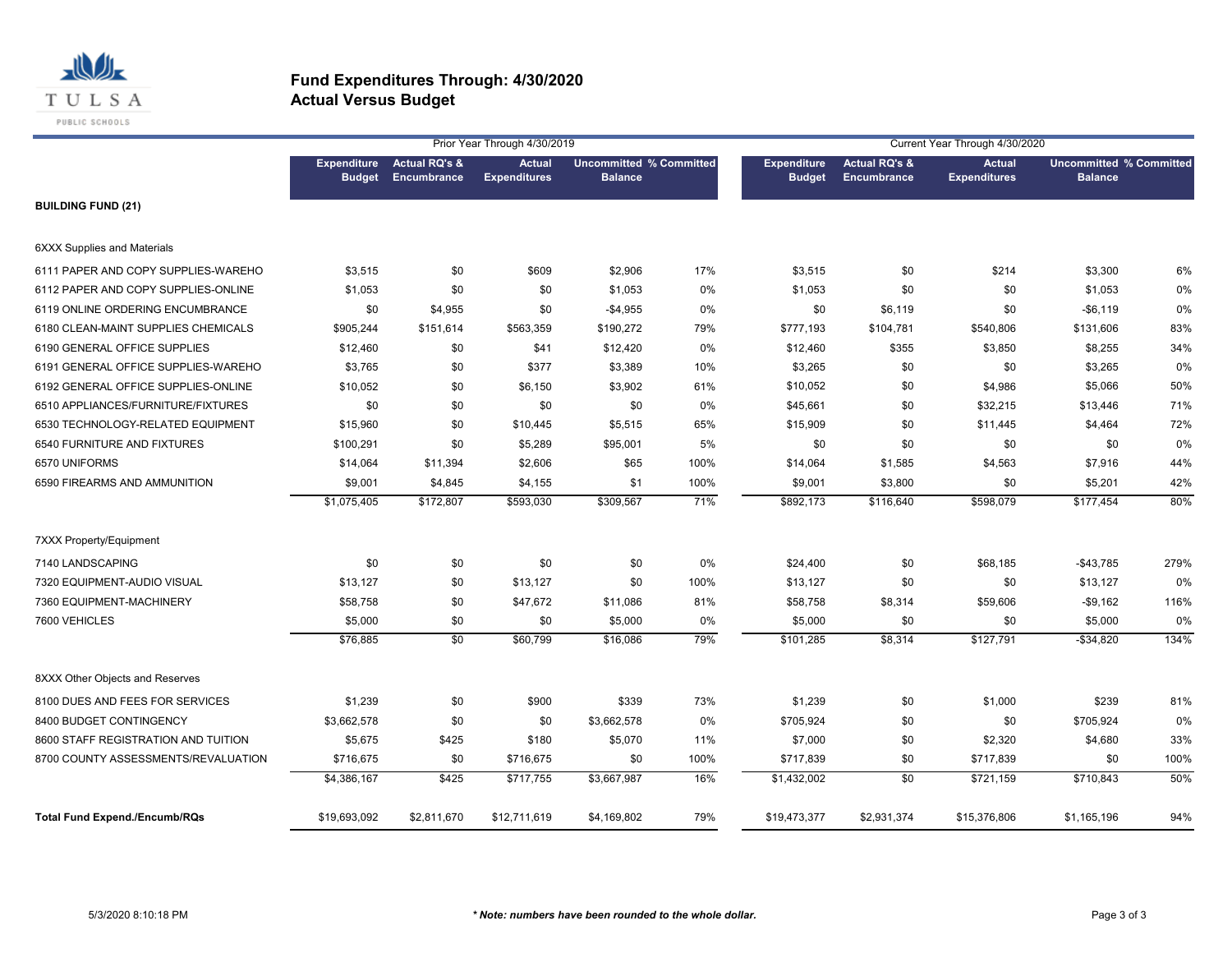

|                                      |               |                                          | Prior Year Through 4/30/2019         |                                                  |      | Current Year Through 4/30/2020      |                                         |                                      |                                                  |      |
|--------------------------------------|---------------|------------------------------------------|--------------------------------------|--------------------------------------------------|------|-------------------------------------|-----------------------------------------|--------------------------------------|--------------------------------------------------|------|
|                                      | <b>Budget</b> | Expenditure Actual RQ's &<br>Encumbrance | <b>Actual</b><br><b>Expenditures</b> | <b>Uncommitted % Committed</b><br><b>Balance</b> |      | <b>Expenditure</b><br><b>Budget</b> | <b>Actual RQ's &amp;</b><br>Encumbrance | <b>Actual</b><br><b>Expenditures</b> | <b>Uncommitted % Committed</b><br><b>Balance</b> |      |
| <b>BUILDING FUND (21)</b>            |               |                                          |                                      |                                                  |      |                                     |                                         |                                      |                                                  |      |
| <b>6XXX Supplies and Materials</b>   |               |                                          |                                      |                                                  |      |                                     |                                         |                                      |                                                  |      |
| 6111 PAPER AND COPY SUPPLIES-WAREHO  | \$3,515       | \$0                                      | \$609                                | \$2,906                                          | 17%  | \$3,515                             | \$0                                     | \$214                                | \$3,300                                          | 6%   |
| 6112 PAPER AND COPY SUPPLIES-ONLINE  | \$1,053       | \$0                                      | \$0                                  | \$1,053                                          | 0%   | \$1,053                             | \$0                                     | \$0                                  | \$1,053                                          | 0%   |
| 6119 ONLINE ORDERING ENCUMBRANCE     | \$0           | \$4,955                                  | \$0                                  | $-$4,955$                                        | 0%   | \$0                                 | \$6,119                                 | \$0                                  | $-$6,119$                                        | 0%   |
| 6180 CLEAN-MAINT SUPPLIES CHEMICALS  | \$905,244     | \$151,614                                | \$563,359                            | \$190,272                                        | 79%  | \$777,193                           | \$104,781                               | \$540,806                            | \$131,606                                        | 83%  |
| 6190 GENERAL OFFICE SUPPLIES         | \$12,460      | \$0                                      | \$41                                 | \$12,420                                         | 0%   | \$12,460                            | \$355                                   | \$3,850                              | \$8,255                                          | 34%  |
| 6191 GENERAL OFFICE SUPPLIES-WAREHO  | \$3,765       | \$0                                      | \$377                                | \$3,389                                          | 10%  | \$3,265                             | \$0                                     | \$0                                  | \$3,265                                          | 0%   |
| 6192 GENERAL OFFICE SUPPLIES-ONLINE  | \$10,052      | \$0                                      | \$6,150                              | \$3,902                                          | 61%  | \$10,052                            | \$0                                     | \$4,986                              | \$5,066                                          | 50%  |
| 6510 APPLIANCES/FURNITURE/FIXTURES   | \$0           | \$0                                      | \$0                                  | \$0                                              | 0%   | \$45,661                            | \$0                                     | \$32,215                             | \$13,446                                         | 71%  |
| 6530 TECHNOLOGY-RELATED EQUIPMENT    | \$15,960      | \$0                                      | \$10,445                             | \$5,515                                          | 65%  | \$15,909                            | \$0                                     | \$11,445                             | \$4,464                                          | 72%  |
| 6540 FURNITURE AND FIXTURES          | \$100,291     | \$0                                      | \$5,289                              | \$95,001                                         | 5%   | \$0                                 | \$0                                     | \$0                                  | \$0                                              | 0%   |
| 6570 UNIFORMS                        | \$14,064      | \$11,394                                 | \$2,606                              | \$65                                             | 100% | \$14,064                            | \$1,585                                 | \$4,563                              | \$7,916                                          | 44%  |
| 6590 FIREARMS AND AMMUNITION         | \$9,001       | \$4,845                                  | \$4,155                              | \$1                                              | 100% | \$9,001                             | \$3,800                                 | \$0                                  | \$5,201                                          | 42%  |
|                                      | \$1,075,405   | \$172,807                                | \$593,030                            | \$309,567                                        | 71%  | \$892,173                           | \$116,640                               | \$598,079                            | \$177,454                                        | 80%  |
| 7XXX Property/Equipment              |               |                                          |                                      |                                                  |      |                                     |                                         |                                      |                                                  |      |
| 7140 LANDSCAPING                     | \$0           | \$0                                      | \$0                                  | \$0                                              | 0%   | \$24,400                            | \$0                                     | \$68,185                             | $-$43,785$                                       | 279% |
| 7320 EQUIPMENT-AUDIO VISUAL          | \$13,127      | \$0                                      | \$13,127                             | \$0                                              | 100% | \$13,127                            | \$0                                     | \$0                                  | \$13,127                                         | 0%   |
| 7360 EQUIPMENT-MACHINERY             | \$58,758      | \$0                                      | \$47,672                             | \$11,086                                         | 81%  | \$58,758                            | \$8,314                                 | \$59,606                             | $-$ \$9,162                                      | 116% |
| 7600 VEHICLES                        | \$5,000       | \$0                                      | \$0                                  | \$5,000                                          | 0%   | \$5,000                             | \$0                                     | \$0                                  | \$5,000                                          | 0%   |
|                                      | \$76,885      | $\overline{50}$                          | \$60,799                             | \$16,086                                         | 79%  | \$101,285                           | \$8,314                                 | \$127,791                            | $-$34,820$                                       | 134% |
| 8XXX Other Objects and Reserves      |               |                                          |                                      |                                                  |      |                                     |                                         |                                      |                                                  |      |
| 8100 DUES AND FEES FOR SERVICES      | \$1,239       | \$0                                      | \$900                                | \$339                                            | 73%  | \$1,239                             | \$0                                     | \$1,000                              | \$239                                            | 81%  |
| 8400 BUDGET CONTINGENCY              | \$3,662,578   | \$0                                      | \$0                                  | \$3,662,578                                      | 0%   | \$705,924                           | \$0                                     | \$0                                  | \$705,924                                        | 0%   |
| 8600 STAFF REGISTRATION AND TUITION  | \$5,675       | \$425                                    | \$180                                | \$5,070                                          | 11%  | \$7,000                             | \$0                                     | \$2,320                              | \$4,680                                          | 33%  |
| 8700 COUNTY ASSESSMENTS/REVALUATION  | \$716,675     | \$0                                      | \$716,675                            | \$0                                              | 100% | \$717,839                           | \$0                                     | \$717,839                            | \$0                                              | 100% |
|                                      | \$4,386,167   | \$425                                    | \$717,755                            | \$3,667,987                                      | 16%  | \$1,432,002                         | \$0                                     | \$721,159                            | \$710,843                                        | 50%  |
| <b>Total Fund Expend./Encumb/RQs</b> | \$19,693,092  | \$2,811,670                              | \$12,711,619                         | \$4,169,802                                      | 79%  | \$19,473,377                        | \$2,931,374                             | \$15,376,806                         | \$1,165,196                                      | 94%  |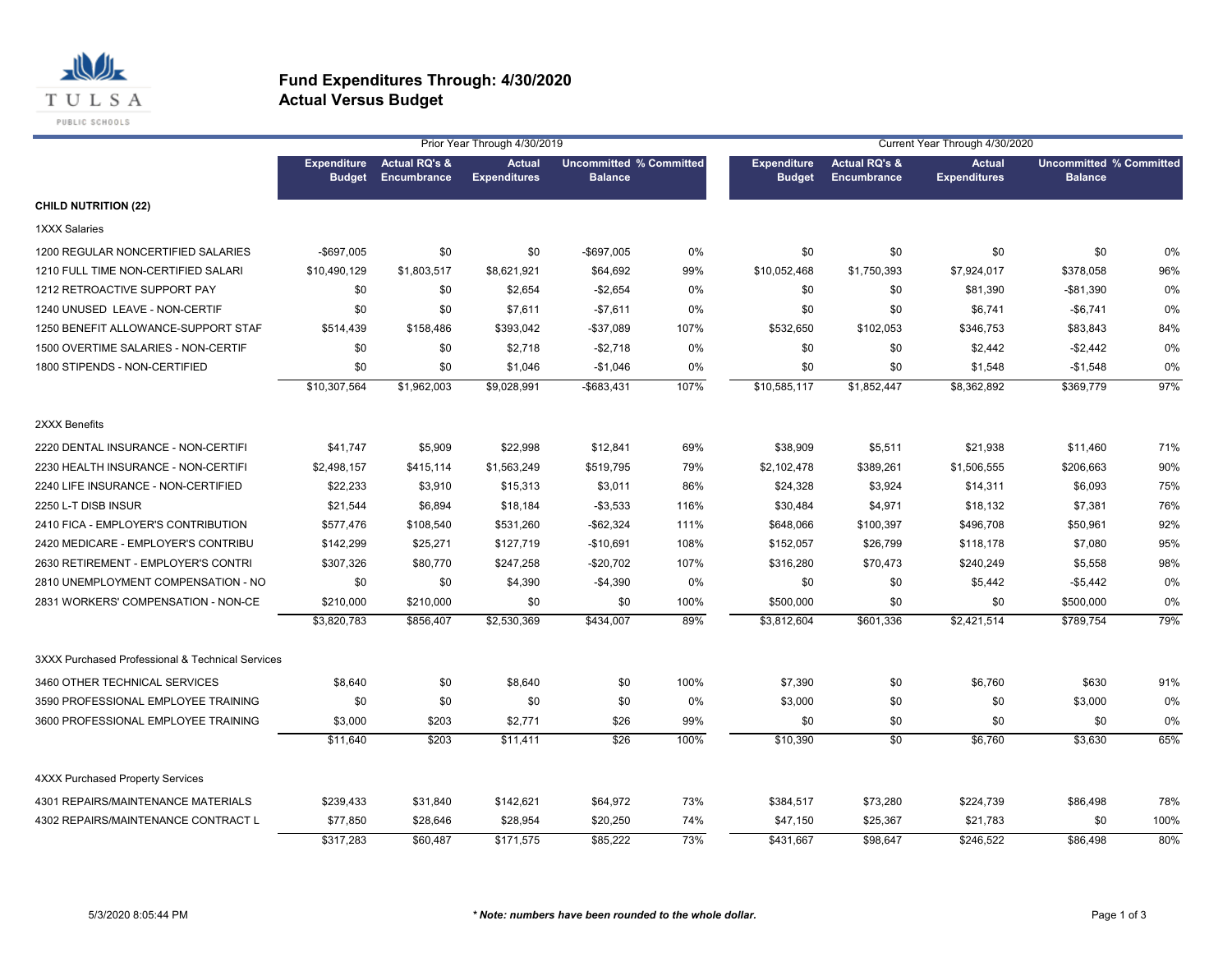

|                                                  |                                     |                                         | Prior Year Through 4/30/2019         |                                                  |      | Current Year Through 4/30/2020      |                                         |                                      |                                                  |      |  |
|--------------------------------------------------|-------------------------------------|-----------------------------------------|--------------------------------------|--------------------------------------------------|------|-------------------------------------|-----------------------------------------|--------------------------------------|--------------------------------------------------|------|--|
|                                                  | <b>Expenditure</b><br><b>Budget</b> | <b>Actual RQ's &amp;</b><br>Encumbrance | <b>Actual</b><br><b>Expenditures</b> | <b>Uncommitted % Committed</b><br><b>Balance</b> |      | <b>Expenditure</b><br><b>Budget</b> | <b>Actual RQ's &amp;</b><br>Encumbrance | <b>Actual</b><br><b>Expenditures</b> | <b>Uncommitted % Committed</b><br><b>Balance</b> |      |  |
| <b>CHILD NUTRITION (22)</b>                      |                                     |                                         |                                      |                                                  |      |                                     |                                         |                                      |                                                  |      |  |
| <b>1XXX Salaries</b>                             |                                     |                                         |                                      |                                                  |      |                                     |                                         |                                      |                                                  |      |  |
| 1200 REGULAR NONCERTIFIED SALARIES               | -\$697.005                          | \$0                                     | \$0                                  | -\$697,005                                       | 0%   | \$0                                 | \$0                                     | \$0                                  | \$0                                              | 0%   |  |
| 1210 FULL TIME NON-CERTIFIED SALARI              | \$10,490,129                        | \$1,803,517                             | \$8,621,921                          | \$64,692                                         | 99%  | \$10,052,468                        | \$1,750,393                             | \$7,924,017                          | \$378,058                                        | 96%  |  |
| 1212 RETROACTIVE SUPPORT PAY                     | \$0                                 | \$0                                     | \$2,654                              | $-$2,654$                                        | 0%   | \$0                                 | \$0                                     | \$81,390                             | -\$81,390                                        | 0%   |  |
| 1240 UNUSED LEAVE - NON-CERTIF                   | \$0                                 | \$0                                     | \$7,611                              | $-$7,611$                                        | 0%   | \$0                                 | \$0                                     | \$6,741                              | $-$6,741$                                        | 0%   |  |
| 1250 BENEFIT ALLOWANCE-SUPPORT STAF              | \$514,439                           | \$158,486                               | \$393,042                            | -\$37,089                                        | 107% | \$532,650                           | \$102,053                               | \$346,753                            | \$83,843                                         | 84%  |  |
| 1500 OVERTIME SALARIES - NON-CERTIF              | \$0                                 | \$0                                     | \$2,718                              | $-$2,718$                                        | 0%   | \$0                                 | \$0                                     | \$2,442                              | $-$2,442$                                        | 0%   |  |
| 1800 STIPENDS - NON-CERTIFIED                    | \$0                                 | \$0                                     | \$1,046                              | $-$1,046$                                        | 0%   | \$0                                 | \$0                                     | \$1,548                              | $-$1,548$                                        | 0%   |  |
|                                                  | \$10,307,564                        | \$1,962,003                             | \$9,028,991                          | -\$683,431                                       | 107% | \$10,585,117                        | \$1,852,447                             | \$8,362,892                          | \$369,779                                        | 97%  |  |
| 2XXX Benefits                                    |                                     |                                         |                                      |                                                  |      |                                     |                                         |                                      |                                                  |      |  |
| 2220 DENTAL INSURANCE - NON-CERTIFI              | \$41,747                            | \$5,909                                 | \$22,998                             | \$12,841                                         | 69%  | \$38,909                            | \$5,511                                 | \$21,938                             | \$11,460                                         | 71%  |  |
| 2230 HEALTH INSURANCE - NON-CERTIFI              | \$2,498,157                         | \$415,114                               | \$1,563,249                          | \$519,795                                        | 79%  | \$2,102,478                         | \$389,261                               | \$1,506,555                          | \$206,663                                        | 90%  |  |
| 2240 LIFE INSURANCE - NON-CERTIFIED              | \$22,233                            | \$3,910                                 | \$15,313                             | \$3,011                                          | 86%  | \$24,328                            | \$3,924                                 | \$14,311                             | \$6,093                                          | 75%  |  |
| 2250 L-T DISB INSUR                              | \$21,544                            | \$6,894                                 | \$18,184                             | $-$3,533$                                        | 116% | \$30,484                            | \$4,971                                 | \$18,132                             | \$7,381                                          | 76%  |  |
| 2410 FICA - EMPLOYER'S CONTRIBUTION              | \$577,476                           | \$108,540                               | \$531,260                            | $-$ \$62,324                                     | 111% | \$648,066                           | \$100,397                               | \$496,708                            | \$50,961                                         | 92%  |  |
| 2420 MEDICARE - EMPLOYER'S CONTRIBU              | \$142,299                           | \$25,271                                | \$127,719                            | $-$10,691$                                       | 108% | \$152,057                           | \$26,799                                | \$118,178                            | \$7,080                                          | 95%  |  |
| 2630 RETIREMENT - EMPLOYER'S CONTRI              | \$307,326                           | \$80,770                                | \$247,258                            | $-$20,702$                                       | 107% | \$316,280                           | \$70,473                                | \$240,249                            | \$5,558                                          | 98%  |  |
| 2810 UNEMPLOYMENT COMPENSATION - NO              | \$0                                 | \$0                                     | \$4,390                              | $-$4,390$                                        | 0%   | \$0                                 | \$0                                     | \$5,442                              | $-$5,442$                                        | 0%   |  |
| 2831 WORKERS' COMPENSATION - NON-CE              | \$210,000                           | \$210,000                               | \$0                                  | \$0                                              | 100% | \$500,000                           | \$0                                     | \$0                                  | \$500,000                                        | 0%   |  |
|                                                  | \$3,820,783                         | \$856,407                               | \$2,530,369                          | \$434,007                                        | 89%  | \$3,812,604                         | \$601,336                               | \$2,421,514                          | \$789,754                                        | 79%  |  |
| 3XXX Purchased Professional & Technical Services |                                     |                                         |                                      |                                                  |      |                                     |                                         |                                      |                                                  |      |  |
| 3460 OTHER TECHNICAL SERVICES                    | \$8,640                             | \$0                                     | \$8,640                              | \$0                                              | 100% | \$7,390                             | \$0                                     | \$6,760                              | \$630                                            | 91%  |  |
| 3590 PROFESSIONAL EMPLOYEE TRAINING              | \$0                                 | \$0                                     | \$0                                  | \$0                                              | 0%   | \$3,000                             | \$0                                     | \$0                                  | \$3,000                                          | 0%   |  |
| 3600 PROFESSIONAL EMPLOYEE TRAINING              | \$3,000                             | \$203                                   | \$2,771                              | \$26                                             | 99%  | \$0                                 | \$0                                     | \$0                                  | \$0                                              | 0%   |  |
|                                                  | \$11,640                            | \$203                                   | \$11,411                             | \$26                                             | 100% | \$10,390                            | \$0                                     | \$6,760                              | \$3,630                                          | 65%  |  |
| <b>4XXX Purchased Property Services</b>          |                                     |                                         |                                      |                                                  |      |                                     |                                         |                                      |                                                  |      |  |
| 4301 REPAIRS/MAINTENANCE MATERIALS               | \$239,433                           | \$31,840                                | \$142,621                            | \$64,972                                         | 73%  | \$384,517                           | \$73,280                                | \$224,739                            | \$86,498                                         | 78%  |  |
| 4302 REPAIRS/MAINTENANCE CONTRACT L              | \$77,850                            | \$28,646                                | \$28,954                             | \$20,250                                         | 74%  | \$47,150                            | \$25,367                                | \$21,783                             | \$0                                              | 100% |  |
|                                                  | \$317,283                           | \$60.487                                | \$171,575                            | \$85.222                                         | 73%  | \$431,667                           | \$98,647                                | \$246.522                            | \$86,498                                         | 80%  |  |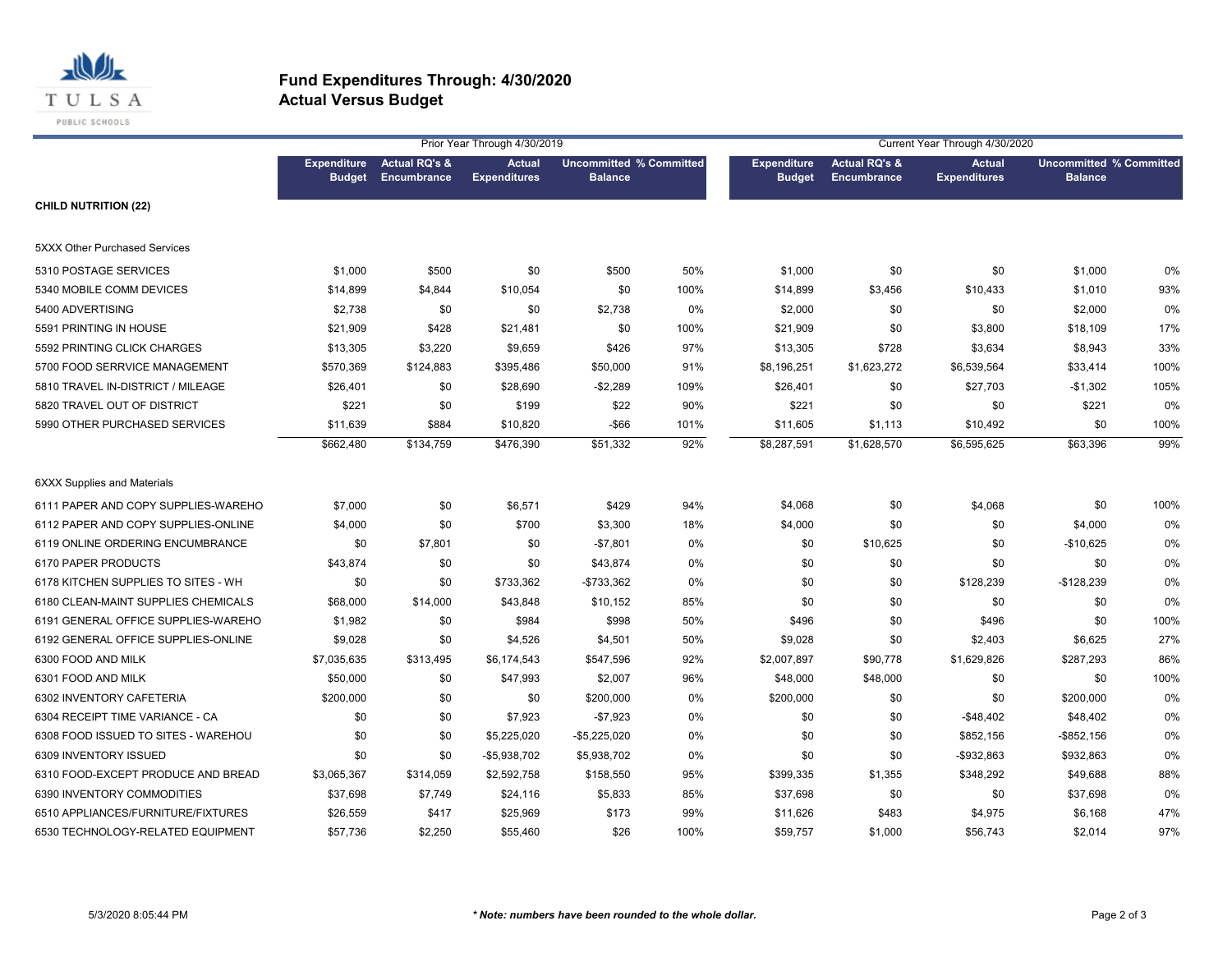

|                                     |                                     |                                         | Prior Year Through 4/30/2019         |                                                  |      | Current Year Through 4/30/2020      |                                         |                                      |                                                  |      |
|-------------------------------------|-------------------------------------|-----------------------------------------|--------------------------------------|--------------------------------------------------|------|-------------------------------------|-----------------------------------------|--------------------------------------|--------------------------------------------------|------|
|                                     | <b>Expenditure</b><br><b>Budget</b> | <b>Actual RQ's &amp;</b><br>Encumbrance | <b>Actual</b><br><b>Expenditures</b> | <b>Uncommitted % Committed</b><br><b>Balance</b> |      | <b>Expenditure</b><br><b>Budget</b> | <b>Actual RQ's &amp;</b><br>Encumbrance | <b>Actual</b><br><b>Expenditures</b> | <b>Uncommitted % Committed</b><br><b>Balance</b> |      |
| <b>CHILD NUTRITION (22)</b>         |                                     |                                         |                                      |                                                  |      |                                     |                                         |                                      |                                                  |      |
| 5XXX Other Purchased Services       |                                     |                                         |                                      |                                                  |      |                                     |                                         |                                      |                                                  |      |
| 5310 POSTAGE SERVICES               | \$1,000                             | \$500                                   | \$0                                  | \$500                                            | 50%  | \$1,000                             | \$0                                     | \$0                                  | \$1,000                                          | 0%   |
| 5340 MOBILE COMM DEVICES            | \$14,899                            | \$4,844                                 | \$10,054                             | \$0                                              | 100% | \$14,899                            | \$3,456                                 | \$10,433                             | \$1,010                                          | 93%  |
| 5400 ADVERTISING                    | \$2,738                             | \$0                                     | \$0                                  | \$2,738                                          | 0%   | \$2,000                             | \$0                                     | \$0                                  | \$2,000                                          | 0%   |
| 5591 PRINTING IN HOUSE              | \$21,909                            | \$428                                   | \$21,481                             | \$0                                              | 100% | \$21,909                            | \$0                                     | \$3,800                              | \$18,109                                         | 17%  |
| 5592 PRINTING CLICK CHARGES         | \$13,305                            | \$3,220                                 | \$9,659                              | \$426                                            | 97%  | \$13,305                            | \$728                                   | \$3,634                              | \$8,943                                          | 33%  |
| 5700 FOOD SERRVICE MANAGEMENT       | \$570,369                           | \$124,883                               | \$395,486                            | \$50,000                                         | 91%  | \$8,196,251                         | \$1,623,272                             | \$6,539,564                          | \$33,414                                         | 100% |
| 5810 TRAVEL IN-DISTRICT / MILEAGE   | \$26,401                            | \$0                                     | \$28,690                             | $-$2,289$                                        | 109% | \$26,401                            | \$0                                     | \$27,703                             | $-$1,302$                                        | 105% |
| 5820 TRAVEL OUT OF DISTRICT         | \$221                               | \$0                                     | \$199                                | \$22                                             | 90%  | \$221                               | \$0                                     | \$0                                  | \$221                                            | 0%   |
| 5990 OTHER PURCHASED SERVICES       | \$11,639                            | \$884                                   | \$10,820                             | $-$ \$66                                         | 101% | \$11,605                            | \$1,113                                 | \$10,492                             | \$0                                              | 100% |
|                                     | \$662,480                           | \$134,759                               | \$476,390                            | $\overline{$}51,332$                             | 92%  | \$8,287,591                         | \$1,628,570                             | \$6,595,625                          | \$63,396                                         | 99%  |
| <b>6XXX Supplies and Materials</b>  |                                     |                                         |                                      |                                                  |      |                                     |                                         |                                      |                                                  |      |
| 6111 PAPER AND COPY SUPPLIES-WAREHO | \$7,000                             | \$0                                     | \$6,571                              | \$429                                            | 94%  | \$4,068                             | \$0                                     | \$4,068                              | \$0                                              | 100% |
| 6112 PAPER AND COPY SUPPLIES-ONLINE | \$4,000                             | \$0                                     | \$700                                | \$3,300                                          | 18%  | \$4,000                             | \$0                                     | \$0                                  | \$4,000                                          | 0%   |
| 6119 ONLINE ORDERING ENCUMBRANCE    | \$0                                 | \$7,801                                 | \$0                                  | $-$7,801$                                        | 0%   | \$0                                 | \$10,625                                | \$0                                  | $-$10,625$                                       | 0%   |
| 6170 PAPER PRODUCTS                 | \$43,874                            | \$0                                     | \$0                                  | \$43,874                                         | 0%   | \$0                                 | \$0                                     | \$0                                  | \$0                                              | 0%   |
| 6178 KITCHEN SUPPLIES TO SITES - WH | \$0                                 | \$0                                     | \$733,362                            | -\$733,362                                       | 0%   | \$0                                 | \$0                                     | \$128,239                            | $-$128,239$                                      | 0%   |
| 6180 CLEAN-MAINT SUPPLIES CHEMICALS | \$68,000                            | \$14,000                                | \$43,848                             | \$10,152                                         | 85%  | \$0                                 | \$0                                     | \$0                                  | \$0                                              | 0%   |
| 6191 GENERAL OFFICE SUPPLIES-WAREHO | \$1,982                             | \$0                                     | \$984                                | \$998                                            | 50%  | \$496                               | \$0                                     | \$496                                | \$0                                              | 100% |
| 6192 GENERAL OFFICE SUPPLIES-ONLINE | \$9,028                             | \$0                                     | \$4,526                              | \$4,501                                          | 50%  | \$9,028                             | \$0                                     | \$2,403                              | \$6,625                                          | 27%  |
| 6300 FOOD AND MILK                  | \$7,035,635                         | \$313,495                               | \$6,174,543                          | \$547,596                                        | 92%  | \$2,007,897                         | \$90,778                                | \$1,629,826                          | \$287,293                                        | 86%  |
| 6301 FOOD AND MILK                  | \$50,000                            | \$0                                     | \$47,993                             | \$2,007                                          | 96%  | \$48,000                            | \$48,000                                | \$0                                  | \$0                                              | 100% |
| 6302 INVENTORY CAFETERIA            | \$200,000                           | \$0                                     | \$0                                  | \$200,000                                        | 0%   | \$200,000                           | \$0                                     | \$0                                  | \$200,000                                        | 0%   |
| 6304 RECEIPT TIME VARIANCE - CA     | \$0                                 | \$0                                     | \$7,923                              | $-$7,923$                                        | 0%   | \$0                                 | \$0                                     | $-$ \$48,402                         | \$48,402                                         | 0%   |
| 6308 FOOD ISSUED TO SITES - WAREHOU | \$0                                 | \$0                                     | \$5,225,020                          | $-$5,225,020$                                    | 0%   | \$0                                 | \$0                                     | \$852,156                            | $-$ \$852,156                                    | 0%   |
| 6309 INVENTORY ISSUED               | \$0                                 | \$0                                     | -\$5,938,702                         | \$5,938,702                                      | 0%   | \$0                                 | \$0                                     | -\$932,863                           | \$932,863                                        | 0%   |
| 6310 FOOD-EXCEPT PRODUCE AND BREAD  | \$3,065,367                         | \$314,059                               | \$2,592,758                          | \$158,550                                        | 95%  | \$399,335                           | \$1,355                                 | \$348,292                            | \$49,688                                         | 88%  |
| 6390 INVENTORY COMMODITIES          | \$37,698                            | \$7,749                                 | \$24,116                             | \$5,833                                          | 85%  | \$37,698                            | \$0                                     | \$0                                  | \$37,698                                         | 0%   |
| 6510 APPLIANCES/FURNITURE/FIXTURES  | \$26,559                            | \$417                                   | \$25,969                             | \$173                                            | 99%  | \$11,626                            | \$483                                   | \$4,975                              | \$6,168                                          | 47%  |
| 6530 TECHNOLOGY-RELATED EQUIPMENT   | \$57,736                            | \$2,250                                 | \$55,460                             | \$26                                             | 100% | \$59,757                            | \$1,000                                 | \$56,743                             | \$2,014                                          | 97%  |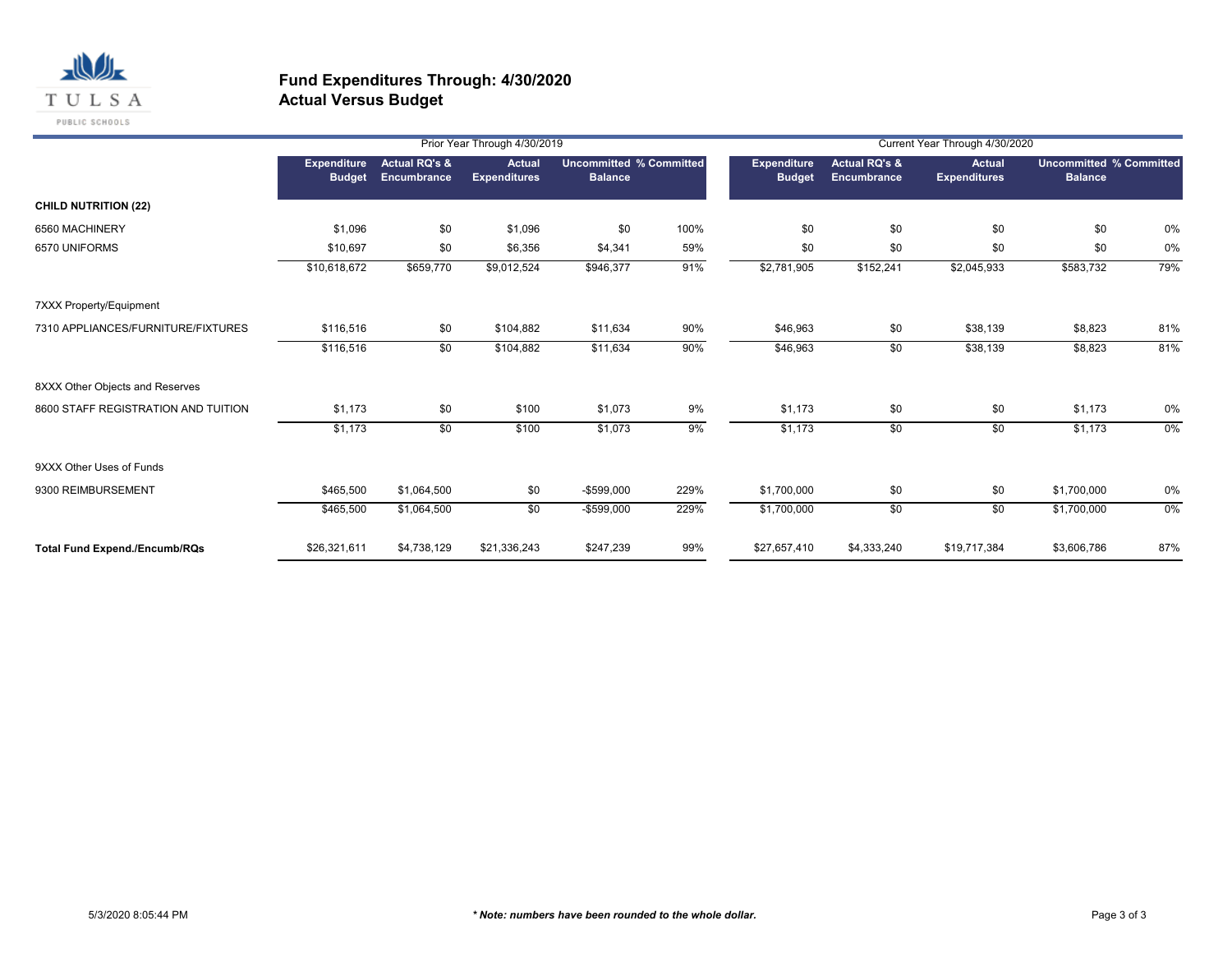

|                                      |                                     |                                         | Prior Year Through 4/30/2019         |                                                  |      |                                     |                                         | Current Year Through 4/30/2020 |                                                  |     |
|--------------------------------------|-------------------------------------|-----------------------------------------|--------------------------------------|--------------------------------------------------|------|-------------------------------------|-----------------------------------------|--------------------------------|--------------------------------------------------|-----|
|                                      | <b>Expenditure</b><br><b>Budget</b> | <b>Actual RQ's &amp;</b><br>Encumbrance | <b>Actual</b><br><b>Expenditures</b> | <b>Uncommitted % Committed</b><br><b>Balance</b> |      | <b>Expenditure</b><br><b>Budget</b> | <b>Actual RQ's &amp;</b><br>Encumbrance | Actual<br><b>Expenditures</b>  | <b>Uncommitted % Committed</b><br><b>Balance</b> |     |
| <b>CHILD NUTRITION (22)</b>          |                                     |                                         |                                      |                                                  |      |                                     |                                         |                                |                                                  |     |
| 6560 MACHINERY                       | \$1,096                             | \$0                                     | \$1,096                              | \$0                                              | 100% | \$0                                 | \$0                                     | \$0                            | \$0                                              | 0%  |
| 6570 UNIFORMS                        | \$10,697                            | \$0                                     | \$6,356                              | \$4,341                                          | 59%  | \$0                                 | \$0                                     | \$0                            | \$0                                              | 0%  |
|                                      | \$10,618,672                        | \$659,770                               | \$9,012,524                          | \$946,377                                        | 91%  | \$2,781,905                         | \$152,241                               | \$2,045,933                    | \$583,732                                        | 79% |
| 7XXX Property/Equipment              |                                     |                                         |                                      |                                                  |      |                                     |                                         |                                |                                                  |     |
| 7310 APPLIANCES/FURNITURE/FIXTURES   | \$116,516                           | \$0                                     | \$104,882                            | \$11,634                                         | 90%  | \$46,963                            | \$0                                     | \$38,139                       | \$8,823                                          | 81% |
|                                      | \$116,516                           | \$0                                     | \$104,882                            | \$11,634                                         | 90%  | \$46,963                            | \$0                                     | \$38,139                       | \$8,823                                          | 81% |
| 8XXX Other Objects and Reserves      |                                     |                                         |                                      |                                                  |      |                                     |                                         |                                |                                                  |     |
| 8600 STAFF REGISTRATION AND TUITION  | \$1,173                             | \$0                                     | \$100                                | \$1,073                                          | 9%   | \$1,173                             | \$0                                     | \$0                            | \$1,173                                          | 0%  |
|                                      | \$1,173                             | $\sqrt{50}$                             | \$100                                | \$1,073                                          | 9%   | \$1,173                             | \$0                                     | \$0                            | \$1,173                                          | 0%  |
| 9XXX Other Uses of Funds             |                                     |                                         |                                      |                                                  |      |                                     |                                         |                                |                                                  |     |
| 9300 REIMBURSEMENT                   | \$465,500                           | \$1,064,500                             | \$0                                  | -\$599,000                                       | 229% | \$1,700,000                         | \$0                                     | \$0                            | \$1,700,000                                      | 0%  |
|                                      | \$465,500                           | \$1,064,500                             | $\overline{50}$                      | $-$599,000$                                      | 229% | \$1,700,000                         | \$0                                     | \$0                            | \$1,700,000                                      | 0%  |
| <b>Total Fund Expend./Encumb/RQs</b> | \$26,321,611                        | \$4,738,129                             | \$21,336,243                         | \$247,239                                        | 99%  | \$27,657,410                        | \$4,333,240                             | \$19,717,384                   | \$3,606,786                                      | 87% |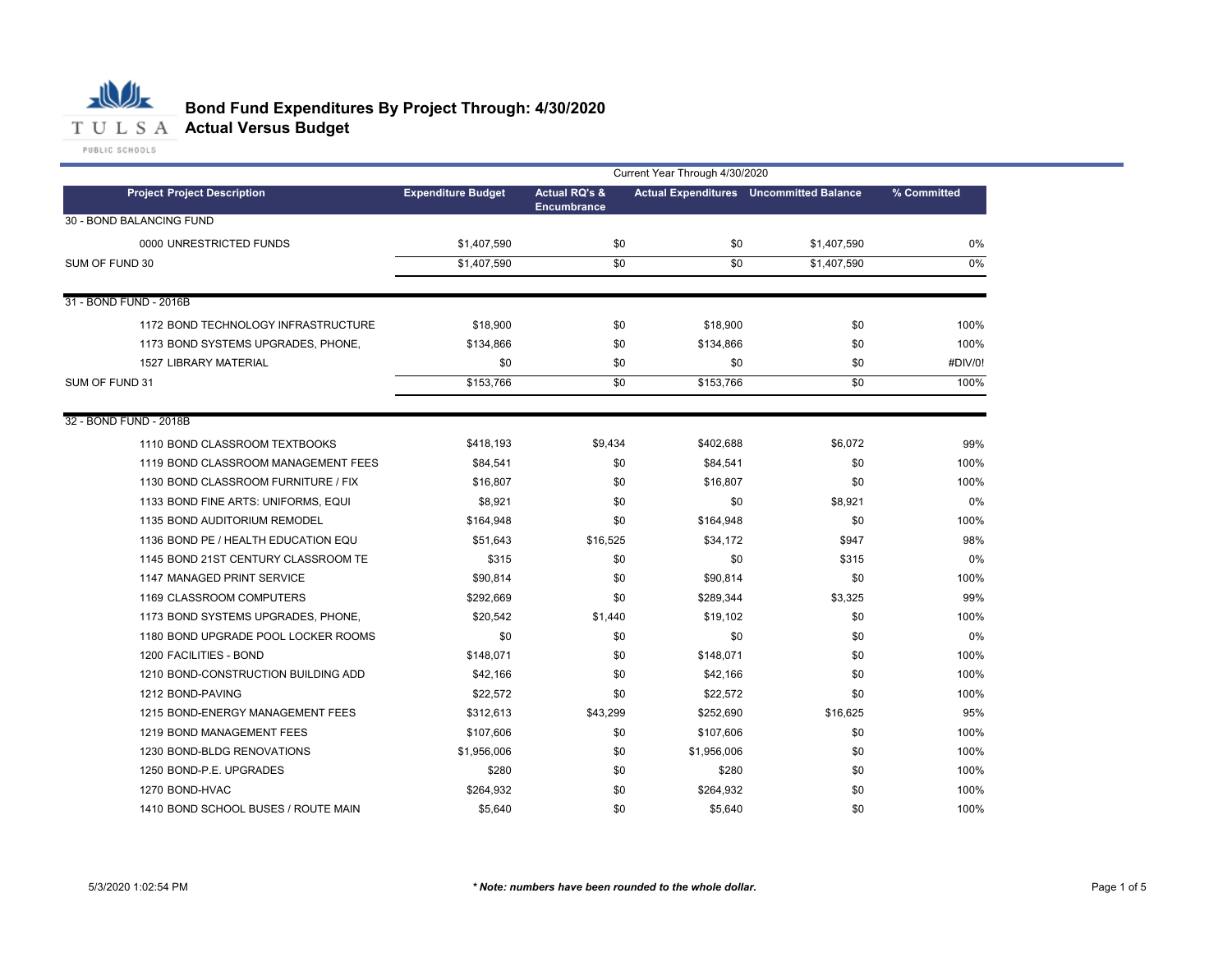

# **Bond Fund Expenditures By Project Through: 4/30/2020**

|                                     |                           |                                                | Current Year Through 4/30/2020 |                                                |             |
|-------------------------------------|---------------------------|------------------------------------------------|--------------------------------|------------------------------------------------|-------------|
| <b>Project Project Description</b>  | <b>Expenditure Budget</b> | <b>Actual RQ's &amp;</b><br><b>Encumbrance</b> |                                | <b>Actual Expenditures</b> Uncommitted Balance | % Committed |
| 30 - BOND BALANCING FUND            |                           |                                                |                                |                                                |             |
| 0000 UNRESTRICTED FUNDS             | \$1,407,590               | \$0                                            | \$0                            | \$1,407,590                                    | 0%          |
| SUM OF FUND 30                      | \$1,407,590               | $\overline{50}$                                | \$0                            | \$1,407,590                                    | $0\%$       |
|                                     |                           |                                                |                                |                                                |             |
| 31 - BOND FUND - 2016B              |                           |                                                |                                |                                                |             |
| 1172 BOND TECHNOLOGY INFRASTRUCTURE | \$18,900                  | \$0                                            | \$18,900                       | \$0                                            | 100%        |
| 1173 BOND SYSTEMS UPGRADES, PHONE,  | \$134,866                 | \$0                                            | \$134,866                      | \$0                                            | 100%        |
| <b>1527 LIBRARY MATERIAL</b>        | \$0                       | \$0                                            | \$0                            | \$0                                            | #DIV/0!     |
| SUM OF FUND 31                      | \$153,766                 | \$0                                            | \$153,766                      | \$0                                            | 100%        |
|                                     |                           |                                                |                                |                                                |             |
| 32 - BOND FUND - 2018B              |                           |                                                |                                |                                                |             |
| 1110 BOND CLASSROOM TEXTBOOKS       | \$418,193                 | \$9,434                                        | \$402,688                      | \$6,072                                        | 99%         |
| 1119 BOND CLASSROOM MANAGEMENT FEES | \$84,541                  | \$0                                            | \$84,541                       | \$0                                            | 100%        |
| 1130 BOND CLASSROOM FURNITURE / FIX | \$16,807                  | \$0                                            | \$16,807                       | \$0                                            | 100%        |
| 1133 BOND FINE ARTS: UNIFORMS, EQUI | \$8,921                   | \$0                                            | \$0                            | \$8,921                                        | 0%          |
| 1135 BOND AUDITORIUM REMODEL        | \$164,948                 | \$0                                            | \$164,948                      | \$0                                            | 100%        |
| 1136 BOND PE / HEALTH EDUCATION EQU | \$51.643                  | \$16,525                                       | \$34,172                       | \$947                                          | 98%         |
| 1145 BOND 21ST CENTURY CLASSROOM TE | \$315                     | \$0                                            | \$0                            | \$315                                          | 0%          |
| 1147 MANAGED PRINT SERVICE          | \$90,814                  | \$0                                            | \$90,814                       | \$0                                            | 100%        |
| 1169 CLASSROOM COMPUTERS            | \$292,669                 | \$0                                            | \$289,344                      | \$3,325                                        | 99%         |
| 1173 BOND SYSTEMS UPGRADES, PHONE,  | \$20,542                  | \$1,440                                        | \$19,102                       | \$0                                            | 100%        |
| 1180 BOND UPGRADE POOL LOCKER ROOMS | \$0                       | \$0                                            | \$0                            | \$0                                            | 0%          |
| 1200 FACILITIES - BOND              | \$148,071                 | \$0                                            | \$148,071                      | \$0                                            | 100%        |
| 1210 BOND-CONSTRUCTION BUILDING ADD | \$42,166                  | \$0                                            | \$42,166                       | \$0                                            | 100%        |
| 1212 BOND-PAVING                    | \$22,572                  | \$0                                            | \$22,572                       | \$0                                            | 100%        |
| 1215 BOND-ENERGY MANAGEMENT FEES    | \$312,613                 | \$43,299                                       | \$252,690                      | \$16,625                                       | 95%         |
| 1219 BOND MANAGEMENT FEES           | \$107,606                 | \$0                                            | \$107,606                      | \$0                                            | 100%        |
| 1230 BOND-BLDG RENOVATIONS          | \$1,956,006               | \$0                                            | \$1,956,006                    | \$0                                            | 100%        |
| 1250 BOND-P.E. UPGRADES             | \$280                     | \$0                                            | \$280                          | \$0                                            | 100%        |
| 1270 BOND-HVAC                      | \$264,932                 | \$0                                            | \$264,932                      | \$0                                            | 100%        |
| 1410 BOND SCHOOL BUSES / ROUTE MAIN | \$5,640                   | \$0                                            | \$5,640                        | \$0                                            | 100%        |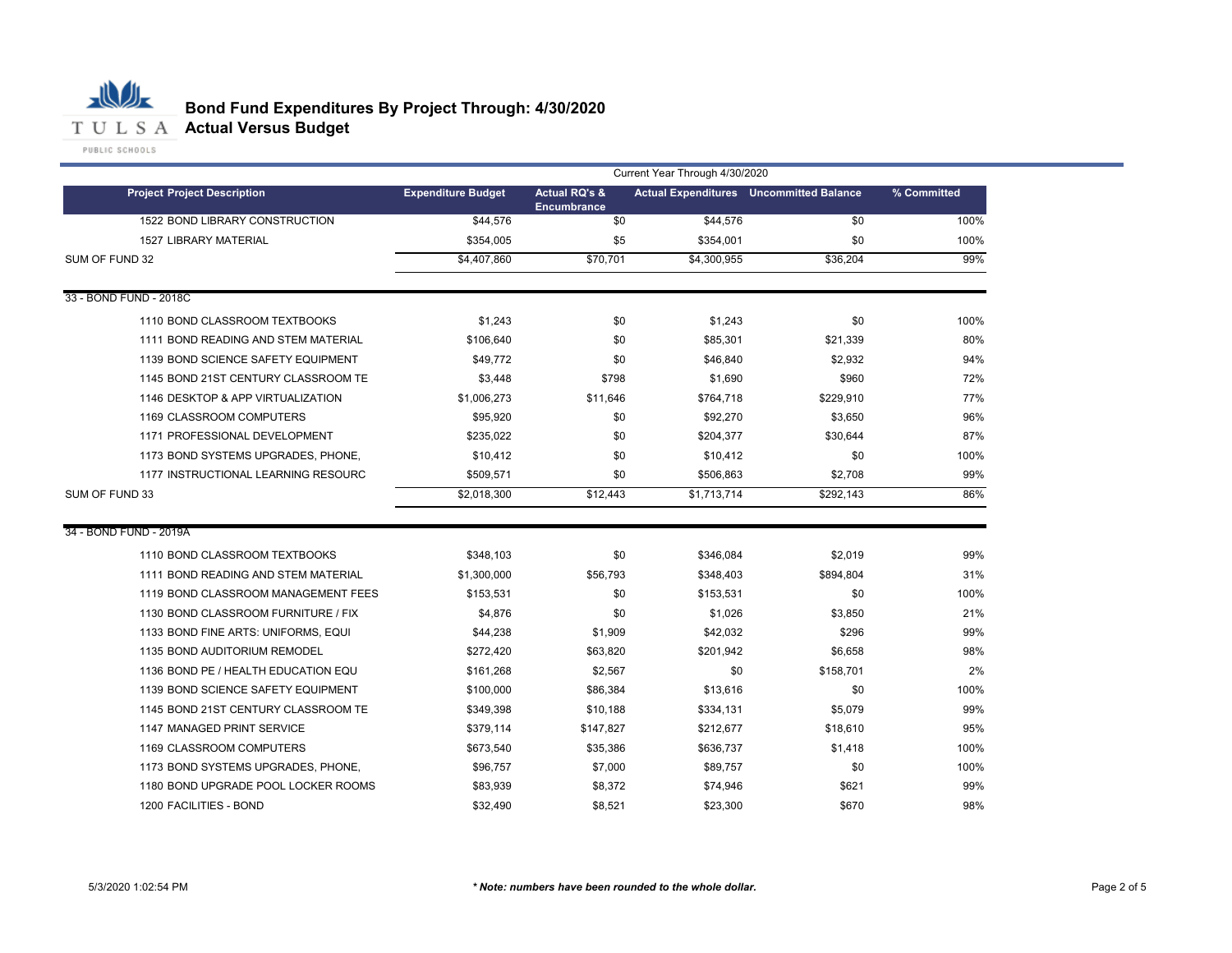

|                                     | Current Year Through 4/30/2020 |                                                |             |                                                |             |  |
|-------------------------------------|--------------------------------|------------------------------------------------|-------------|------------------------------------------------|-------------|--|
| <b>Project Project Description</b>  | <b>Expenditure Budget</b>      | <b>Actual RQ's &amp;</b><br><b>Encumbrance</b> |             | <b>Actual Expenditures</b> Uncommitted Balance | % Committed |  |
| 1522 BOND LIBRARY CONSTRUCTION      | \$44,576                       | \$0                                            | \$44,576    | \$0                                            | 100%        |  |
| <b>1527 LIBRARY MATERIAL</b>        | \$354,005                      | \$5                                            | \$354,001   | \$0                                            | 100%        |  |
| SUM OF FUND 32                      | \$4.407.860                    | \$70.701                                       | \$4,300,955 | \$36,204                                       | 99%         |  |
| 33 - BOND FUND - 2018C              |                                |                                                |             |                                                |             |  |
| 1110 BOND CLASSROOM TEXTBOOKS       | \$1,243                        | \$0                                            | \$1,243     | \$0                                            | 100%        |  |
| 1111 BOND READING AND STEM MATERIAL | \$106,640                      | \$0                                            | \$85,301    | \$21,339                                       | 80%         |  |
| 1139 BOND SCIENCE SAFETY EQUIPMENT  | \$49,772                       | \$0                                            | \$46,840    | \$2,932                                        | 94%         |  |
| 1145 BOND 21ST CENTURY CLASSROOM TE | \$3,448                        | \$798                                          | \$1,690     | \$960                                          | 72%         |  |
| 1146 DESKTOP & APP VIRTUALIZATION   | \$1,006,273                    | \$11,646                                       | \$764,718   | \$229,910                                      | 77%         |  |
| 1169 CLASSROOM COMPUTERS            | \$95,920                       | \$0                                            | \$92,270    | \$3,650                                        | 96%         |  |
| 1171 PROFESSIONAL DEVELOPMENT       | \$235,022                      | \$0                                            | \$204,377   | \$30,644                                       | 87%         |  |
| 1173 BOND SYSTEMS UPGRADES, PHONE,  | \$10,412                       | \$0                                            | \$10,412    | \$0                                            | 100%        |  |
| 1177 INSTRUCTIONAL LEARNING RESOURC | \$509,571                      | \$0                                            | \$506,863   | \$2,708                                        | 99%         |  |
| SUM OF FUND 33                      | \$2,018,300                    | \$12,443                                       | \$1,713,714 | \$292,143                                      | 86%         |  |
| 34 - BOND FUND - 2019A              |                                |                                                |             |                                                |             |  |
| 1110 BOND CLASSROOM TEXTBOOKS       | \$348,103                      | \$0                                            | \$346,084   | \$2,019                                        | 99%         |  |
| 1111 BOND READING AND STEM MATERIAL | \$1,300,000                    | \$56,793                                       | \$348,403   | \$894,804                                      | 31%         |  |
| 1119 BOND CLASSROOM MANAGEMENT FEES | \$153,531                      | \$0                                            | \$153.531   | \$0                                            | 100%        |  |
| 1130 BOND CLASSROOM FURNITURE / FIX | \$4,876                        | \$0                                            | \$1,026     | \$3,850                                        | 21%         |  |
| 1133 BOND FINE ARTS: UNIFORMS, EQUI | \$44,238                       | \$1,909                                        | \$42,032    | \$296                                          | 99%         |  |
| 1135 BOND AUDITORIUM REMODEL        | \$272,420                      | \$63,820                                       | \$201,942   | \$6,658                                        | 98%         |  |
| 1136 BOND PE / HEALTH EDUCATION EQU | \$161,268                      | \$2,567                                        | \$0         | \$158,701                                      | 2%          |  |
| 1139 BOND SCIENCE SAFETY EQUIPMENT  | \$100,000                      | \$86,384                                       | \$13,616    | \$0                                            | 100%        |  |
| 1145 BOND 21ST CENTURY CLASSROOM TE | \$349,398                      | \$10,188                                       | \$334,131   | \$5,079                                        | 99%         |  |
| 1147 MANAGED PRINT SERVICE          | \$379,114                      | \$147,827                                      | \$212,677   | \$18,610                                       | 95%         |  |
| 1169 CLASSROOM COMPUTERS            | \$673,540                      | \$35,386                                       | \$636,737   | \$1,418                                        | 100%        |  |
| 1173 BOND SYSTEMS UPGRADES, PHONE,  | \$96,757                       | \$7,000                                        | \$89,757    | \$0                                            | 100%        |  |
| 1180 BOND UPGRADE POOL LOCKER ROOMS | \$83,939                       | \$8,372                                        | \$74,946    | \$621                                          | 99%         |  |
| 1200 FACILITIES - BOND              | \$32,490                       | \$8,521                                        | \$23,300    | \$670                                          | 98%         |  |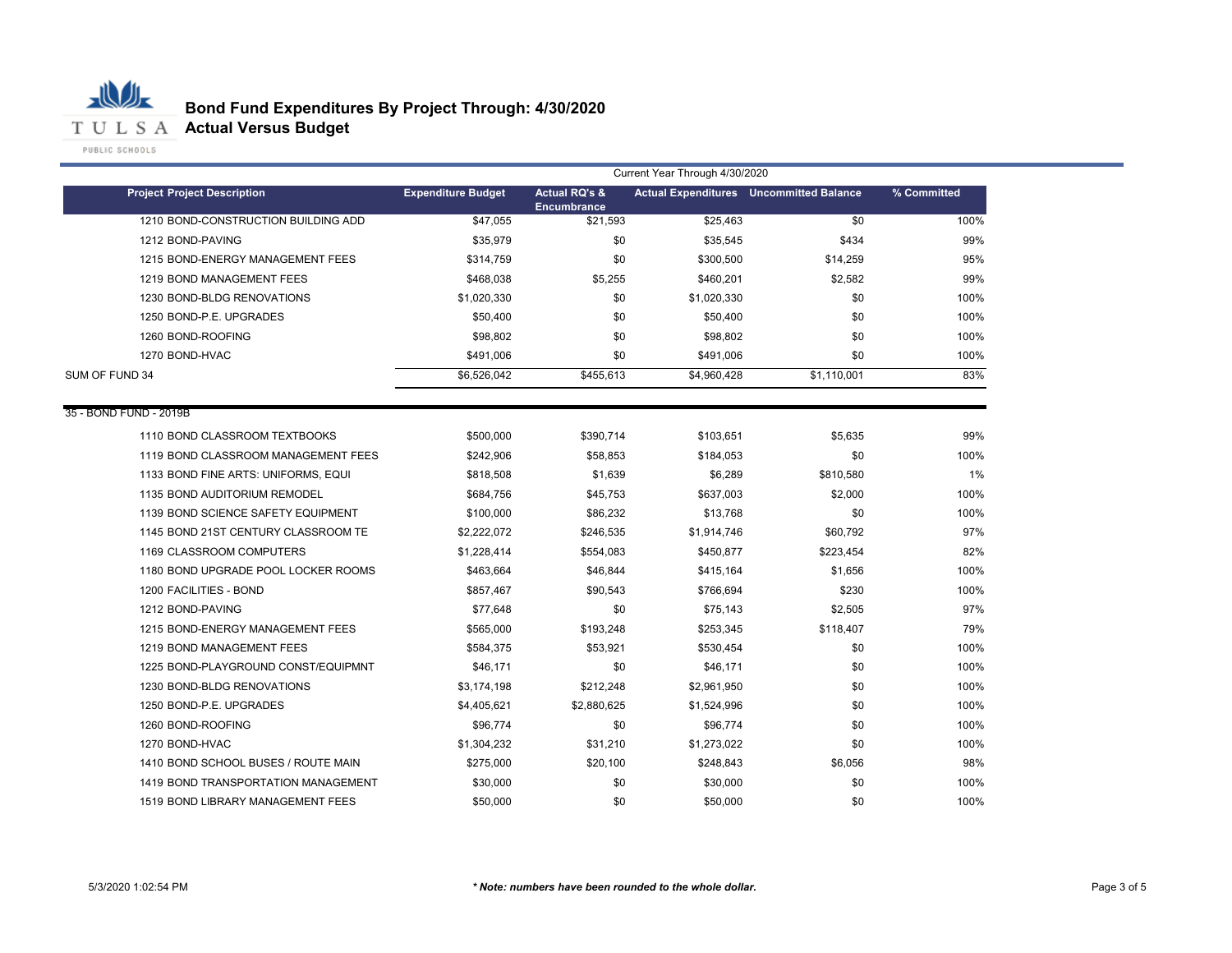

|                                     |                           |                                         | Current Year Through 4/30/2020 |                                                |             |
|-------------------------------------|---------------------------|-----------------------------------------|--------------------------------|------------------------------------------------|-------------|
| <b>Project Project Description</b>  | <b>Expenditure Budget</b> | <b>Actual RQ's &amp;</b><br>Encumbrance |                                | <b>Actual Expenditures</b> Uncommitted Balance | % Committed |
| 1210 BOND-CONSTRUCTION BUILDING ADD | \$47,055                  | \$21,593                                | \$25,463                       | \$0                                            | 100%        |
| 1212 BOND-PAVING                    | \$35,979                  | \$0                                     | \$35,545                       | \$434                                          | 99%         |
| 1215 BOND-ENERGY MANAGEMENT FEES    | \$314,759                 | \$0                                     | \$300,500                      | \$14,259                                       | 95%         |
| 1219 BOND MANAGEMENT FEES           | \$468,038                 | \$5,255                                 | \$460,201                      | \$2,582                                        | 99%         |
| 1230 BOND-BLDG RENOVATIONS          | \$1,020,330               | \$0                                     | \$1,020,330                    | \$0                                            | 100%        |
| 1250 BOND-P.E. UPGRADES             | \$50,400                  | \$0                                     | \$50,400                       | \$0                                            | 100%        |
| 1260 BOND-ROOFING                   | \$98,802                  | \$0                                     | \$98,802                       | \$0                                            | 100%        |
| 1270 BOND-HVAC                      | \$491,006                 | \$0                                     | \$491,006                      | \$0                                            | 100%        |
| SUM OF FUND 34                      | \$6,526,042               | \$455.613                               | \$4,960,428                    | \$1.110.001                                    | 83%         |
| 35 - BOND FUND - 2019B              |                           |                                         |                                |                                                |             |
| 1110 BOND CLASSROOM TEXTBOOKS       | \$500,000                 | \$390,714                               | \$103,651                      | \$5,635                                        | 99%         |
| 1119 BOND CLASSROOM MANAGEMENT FEES | \$242,906                 | \$58,853                                | \$184,053                      | \$0                                            | 100%        |
| 1133 BOND FINE ARTS: UNIFORMS, EQUI | \$818,508                 | \$1,639                                 | \$6,289                        | \$810,580                                      | 1%          |
| 1135 BOND AUDITORIUM REMODEL        | \$684,756                 | \$45,753                                | \$637,003                      | \$2,000                                        | 100%        |
| 1139 BOND SCIENCE SAFETY EQUIPMENT  | \$100,000                 | \$86,232                                | \$13.768                       | \$0                                            | 100%        |
| 1145 BOND 21ST CENTURY CLASSROOM TE | \$2,222,072               | \$246,535                               | \$1,914,746                    | \$60,792                                       | 97%         |
| 1169 CLASSROOM COMPUTERS            | \$1,228,414               | \$554,083                               | \$450,877                      | \$223,454                                      | 82%         |
| 1180 BOND UPGRADE POOL LOCKER ROOMS | \$463,664                 | \$46,844                                | \$415,164                      | \$1,656                                        | 100%        |
| 1200 FACILITIES - BOND              | \$857,467                 | \$90,543                                | \$766,694                      | \$230                                          | 100%        |
| 1212 BOND-PAVING                    | \$77,648                  | \$0                                     | \$75,143                       | \$2,505                                        | 97%         |
| 1215 BOND-ENERGY MANAGEMENT FEES    | \$565,000                 | \$193,248                               | \$253,345                      | \$118,407                                      | 79%         |
| 1219 BOND MANAGEMENT FEES           | \$584,375                 | \$53,921                                | \$530,454                      | \$0                                            | 100%        |
| 1225 BOND-PLAYGROUND CONST/EQUIPMNT | \$46,171                  | \$0                                     | \$46,171                       | \$0                                            | 100%        |
| 1230 BOND-BLDG RENOVATIONS          | \$3,174,198               | \$212,248                               | \$2,961,950                    | \$0                                            | 100%        |
| 1250 BOND-P.E. UPGRADES             | \$4,405,621               | \$2,880,625                             | \$1,524,996                    | \$0                                            | 100%        |
| 1260 BOND-ROOFING                   | \$96,774                  | \$0                                     | \$96,774                       | \$0                                            | 100%        |
| 1270 BOND-HVAC                      | \$1,304,232               | \$31,210                                | \$1,273,022                    | \$0                                            | 100%        |
| 1410 BOND SCHOOL BUSES / ROUTE MAIN | \$275,000                 | \$20,100                                | \$248,843                      | \$6,056                                        | 98%         |
| 1419 BOND TRANSPORTATION MANAGEMENT | \$30,000                  | \$0                                     | \$30,000                       | \$0                                            | 100%        |
| 1519 BOND LIBRARY MANAGEMENT FEES   | \$50,000                  | \$0                                     | \$50,000                       | \$0                                            | 100%        |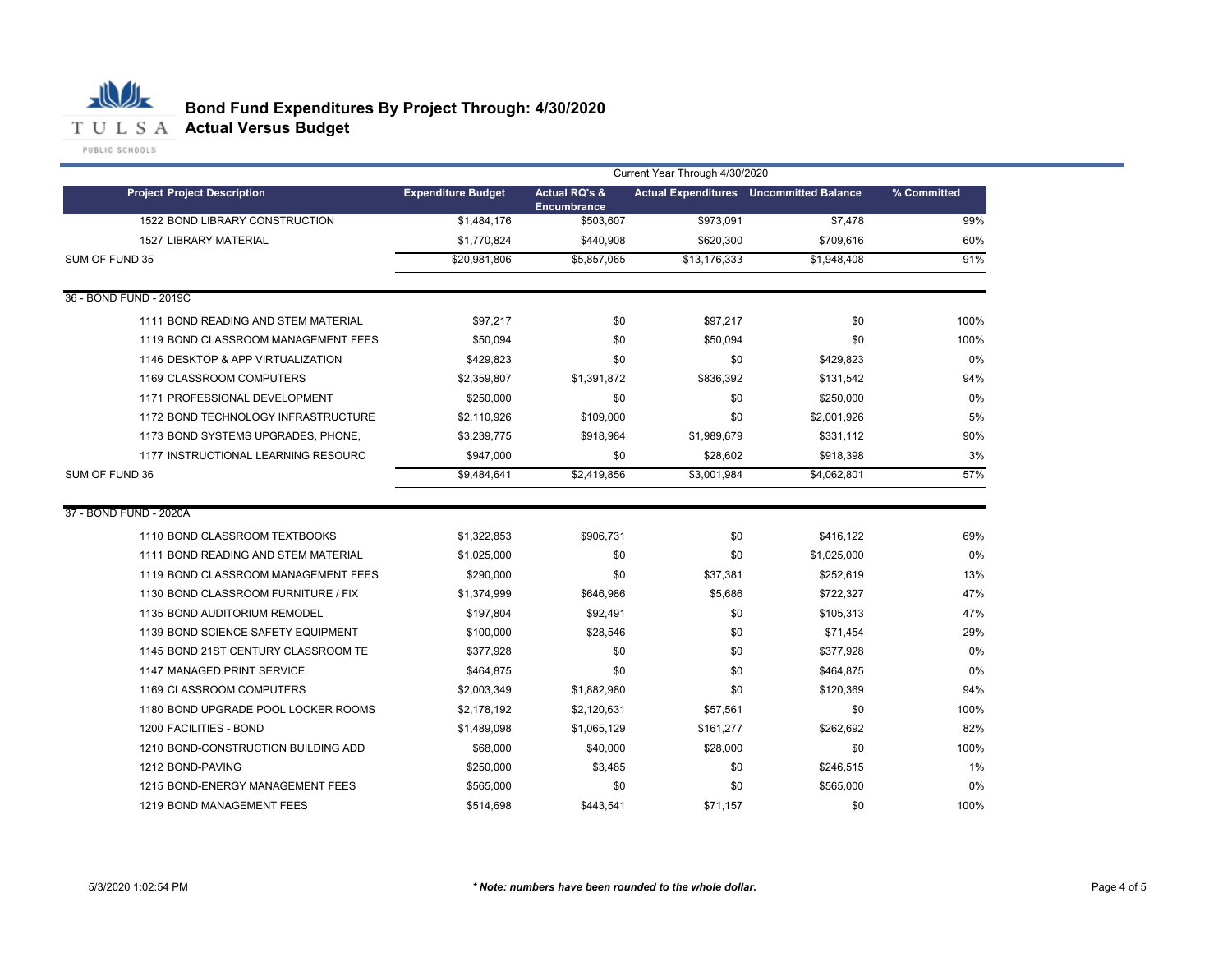

|                                     | Current Year Through 4/30/2020 |                                                |              |                                                |             |  |  |
|-------------------------------------|--------------------------------|------------------------------------------------|--------------|------------------------------------------------|-------------|--|--|
| <b>Project Project Description</b>  | <b>Expenditure Budget</b>      | <b>Actual RQ's &amp;</b><br><b>Encumbrance</b> |              | <b>Actual Expenditures</b> Uncommitted Balance | % Committed |  |  |
| 1522 BOND LIBRARY CONSTRUCTION      | \$1,484,176                    | \$503,607                                      | \$973,091    | \$7,478                                        | 99%         |  |  |
| <b>1527 LIBRARY MATERIAL</b>        | \$1,770,824                    | \$440,908                                      | \$620,300    | \$709,616                                      | 60%         |  |  |
| SUM OF FUND 35                      | \$20,981,806                   | \$5,857,065                                    | \$13,176,333 | \$1,948,408                                    | 91%         |  |  |
| 36 - BOND FUND - 2019C              |                                |                                                |              |                                                |             |  |  |
| 1111 BOND READING AND STEM MATERIAL | \$97,217                       | \$0                                            | \$97,217     | \$0                                            | 100%        |  |  |
| 1119 BOND CLASSROOM MANAGEMENT FEES | \$50,094                       | \$0                                            | \$50,094     | \$0                                            | 100%        |  |  |
| 1146 DESKTOP & APP VIRTUALIZATION   | \$429,823                      | \$0                                            | \$0          | \$429,823                                      | $0\%$       |  |  |
| 1169 CLASSROOM COMPUTERS            | \$2,359,807                    | \$1,391,872                                    | \$836,392    | \$131,542                                      | 94%         |  |  |
| 1171 PROFESSIONAL DEVELOPMENT       | \$250,000                      | \$0                                            | \$0          | \$250,000                                      | 0%          |  |  |
| 1172 BOND TECHNOLOGY INFRASTRUCTURE | \$2,110,926                    | \$109,000                                      | \$0          | \$2,001,926                                    | 5%          |  |  |
| 1173 BOND SYSTEMS UPGRADES, PHONE,  | \$3,239,775                    | \$918,984                                      | \$1,989,679  | \$331,112                                      | 90%         |  |  |
| 1177 INSTRUCTIONAL LEARNING RESOURC | \$947,000                      | \$0                                            | \$28,602     | \$918,398                                      | 3%          |  |  |
| SUM OF FUND 36                      | \$9,484,641                    | \$2,419,856                                    | \$3,001,984  | \$4,062,801                                    | 57%         |  |  |
| 37 - BOND FUND - 2020A              |                                |                                                |              |                                                |             |  |  |
| 1110 BOND CLASSROOM TEXTBOOKS       | \$1,322,853                    | \$906,731                                      | \$0          | \$416,122                                      | 69%         |  |  |
| 1111 BOND READING AND STEM MATERIAL | \$1,025,000                    | \$0                                            | \$0          | \$1,025,000                                    | 0%          |  |  |
| 1119 BOND CLASSROOM MANAGEMENT FEES | \$290,000                      | \$0                                            | \$37,381     | \$252,619                                      | 13%         |  |  |
| 1130 BOND CLASSROOM FURNITURE / FIX | \$1,374,999                    | \$646,986                                      | \$5,686      | \$722,327                                      | 47%         |  |  |
| 1135 BOND AUDITORIUM REMODEL        | \$197,804                      | \$92,491                                       | \$0          | \$105,313                                      | 47%         |  |  |
| 1139 BOND SCIENCE SAFETY EQUIPMENT  | \$100,000                      | \$28,546                                       | \$0          | \$71,454                                       | 29%         |  |  |
| 1145 BOND 21ST CENTURY CLASSROOM TE | \$377,928                      | \$0                                            | \$0          | \$377,928                                      | 0%          |  |  |
| 1147 MANAGED PRINT SERVICE          | \$464,875                      | \$0                                            | \$0          | \$464,875                                      | 0%          |  |  |
| 1169 CLASSROOM COMPUTERS            | \$2,003,349                    | \$1,882,980                                    | \$0          | \$120,369                                      | 94%         |  |  |
| 1180 BOND UPGRADE POOL LOCKER ROOMS | \$2,178,192                    | \$2,120,631                                    | \$57,561     | \$0                                            | 100%        |  |  |
| 1200 FACILITIES - BOND              | \$1,489,098                    | \$1,065,129                                    | \$161,277    | \$262,692                                      | 82%         |  |  |
| 1210 BOND-CONSTRUCTION BUILDING ADD | \$68,000                       | \$40,000                                       | \$28,000     | \$0                                            | 100%        |  |  |
| 1212 BOND-PAVING                    | \$250,000                      | \$3,485                                        | \$0          | \$246,515                                      | 1%          |  |  |
| 1215 BOND-ENERGY MANAGEMENT FEES    | \$565,000                      | \$0                                            | \$0          | \$565,000                                      | 0%          |  |  |
| 1219 BOND MANAGEMENT FEES           | \$514,698                      | \$443,541                                      | \$71.157     | \$0                                            | 100%        |  |  |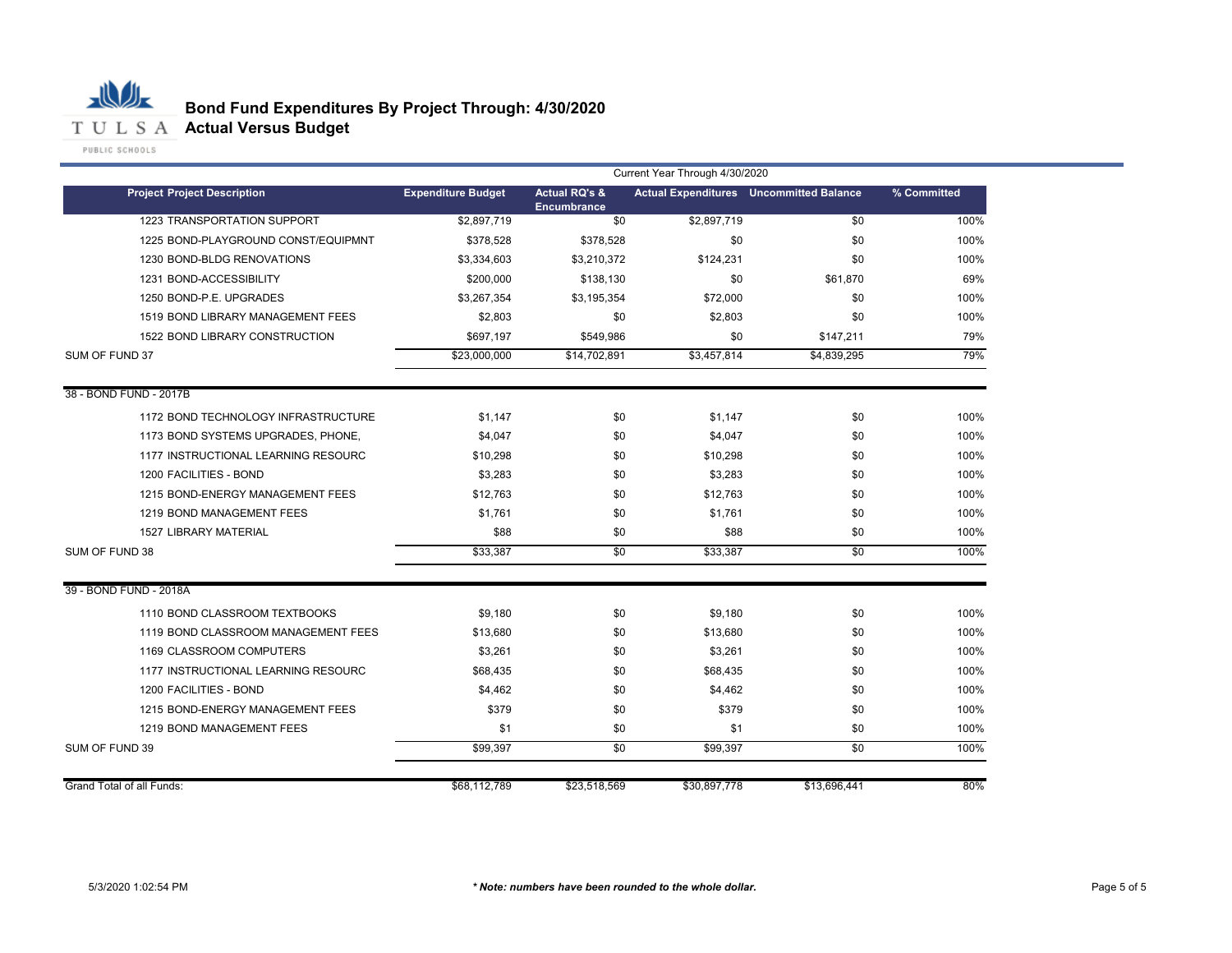

|                                     | Current Year Through 4/30/2020 |                                                |              |                                                |             |  |
|-------------------------------------|--------------------------------|------------------------------------------------|--------------|------------------------------------------------|-------------|--|
| <b>Project Project Description</b>  | <b>Expenditure Budget</b>      | <b>Actual RQ's &amp;</b><br><b>Encumbrance</b> |              | <b>Actual Expenditures</b> Uncommitted Balance | % Committed |  |
| 1223 TRANSPORTATION SUPPORT         | \$2,897,719                    | \$0                                            | \$2,897,719  | \$0                                            | 100%        |  |
| 1225 BOND-PLAYGROUND CONST/EQUIPMNT | \$378,528                      | \$378,528                                      | \$0          | \$0                                            | 100%        |  |
| 1230 BOND-BLDG RENOVATIONS          | \$3,334,603                    | \$3,210,372                                    | \$124,231    | \$0                                            | 100%        |  |
| 1231 BOND-ACCESSIBILITY             | \$200,000                      | \$138,130                                      | \$0          | \$61,870                                       | 69%         |  |
| 1250 BOND-P.E. UPGRADES             | \$3,267,354                    | \$3,195,354                                    | \$72,000     | \$0                                            | 100%        |  |
| 1519 BOND LIBRARY MANAGEMENT FEES   | \$2,803                        | \$0                                            | \$2,803      | \$0                                            | 100%        |  |
| 1522 BOND LIBRARY CONSTRUCTION      | \$697,197                      | \$549,986                                      | \$0          | \$147,211                                      | 79%         |  |
| SUM OF FUND 37                      | \$23,000,000                   | \$14,702,891                                   | \$3,457,814  | \$4,839,295                                    | 79%         |  |
| 38 - BOND FUND - 2017B              |                                |                                                |              |                                                |             |  |
| 1172 BOND TECHNOLOGY INFRASTRUCTURE | \$1,147                        | \$0                                            | \$1,147      | \$0                                            | 100%        |  |
| 1173 BOND SYSTEMS UPGRADES, PHONE,  | \$4,047                        | \$0                                            | \$4,047      | \$0                                            | 100%        |  |
| 1177 INSTRUCTIONAL LEARNING RESOURC | \$10,298                       | \$0                                            | \$10,298     | \$0                                            | 100%        |  |
| 1200 FACILITIES - BOND              | \$3,283                        | \$0                                            | \$3,283      | \$0                                            | 100%        |  |
| 1215 BOND-ENERGY MANAGEMENT FEES    | \$12,763                       | \$0                                            | \$12,763     | \$0                                            | 100%        |  |
| 1219 BOND MANAGEMENT FEES           | \$1,761                        | \$0                                            | \$1.761      | \$0                                            | 100%        |  |
| <b>1527 LIBRARY MATERIAL</b>        | \$88                           | \$0                                            | \$88         | \$0                                            | 100%        |  |
| SUM OF FUND 38                      | \$33,387                       | \$0                                            | \$33,387     | \$0                                            | 100%        |  |
| 39 - BOND FUND - 2018A              |                                |                                                |              |                                                |             |  |
| 1110 BOND CLASSROOM TEXTBOOKS       | \$9,180                        | \$0                                            | \$9,180      | \$0                                            | 100%        |  |
| 1119 BOND CLASSROOM MANAGEMENT FEES | \$13,680                       | \$0                                            | \$13,680     | \$0                                            | 100%        |  |
| 1169 CLASSROOM COMPUTERS            | \$3,261                        | \$0                                            | \$3,261      | \$0                                            | 100%        |  |
| 1177 INSTRUCTIONAL LEARNING RESOURC | \$68,435                       | \$0                                            | \$68,435     | \$0                                            | 100%        |  |
| 1200 FACILITIES - BOND              | \$4,462                        | \$0                                            | \$4,462      | \$0                                            | 100%        |  |
| 1215 BOND-ENERGY MANAGEMENT FEES    | \$379                          | \$0                                            | \$379        | \$0                                            | 100%        |  |
| 1219 BOND MANAGEMENT FEES           | \$1                            | \$0                                            | \$1          | \$0                                            | 100%        |  |
| SUM OF FUND 39                      | \$99,397                       | \$0                                            | \$99.397     | \$0                                            | 100%        |  |
| Grand Total of all Funds:           | \$68,112,789                   | \$23,518,569                                   | \$30,897,778 | \$13,696,441                                   | 80%         |  |